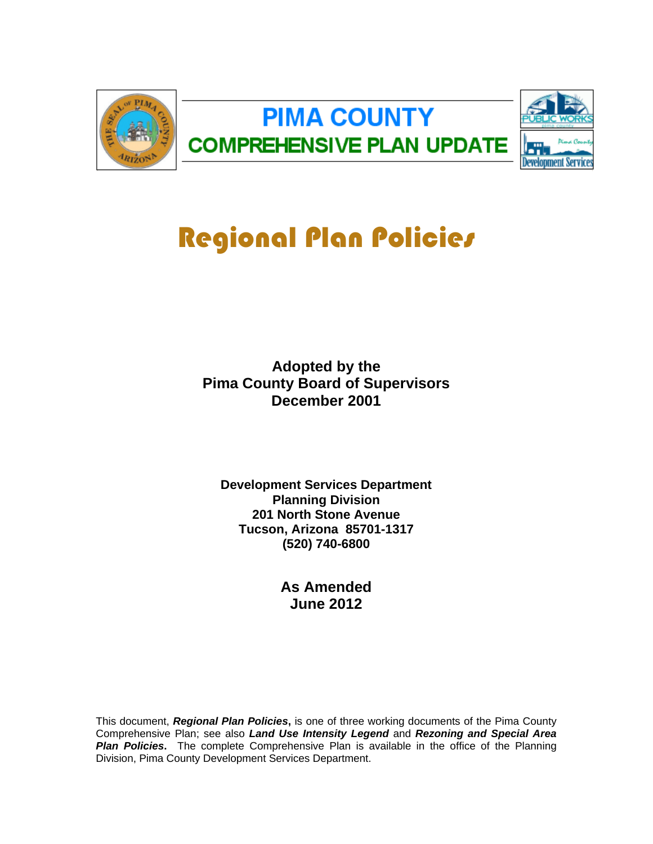

# Regional Plan Policies

**Adopted by the Pima County Board of Supervisors December 2001**

**Development Services Department Planning Division 201 North Stone Avenue Tucson, Arizona 85701-1317 (520) 740-6800**

> **As Amended June 2012**

This document, *Regional Plan Policies***,** is one of three working documents of the Pima County Comprehensive Plan; see also *Land Use Intensity Legend* and *Rezoning and Special Area*  **Plan Policies.** The complete Comprehensive Plan is available in the office of the Planning Division, Pima County Development Services Department.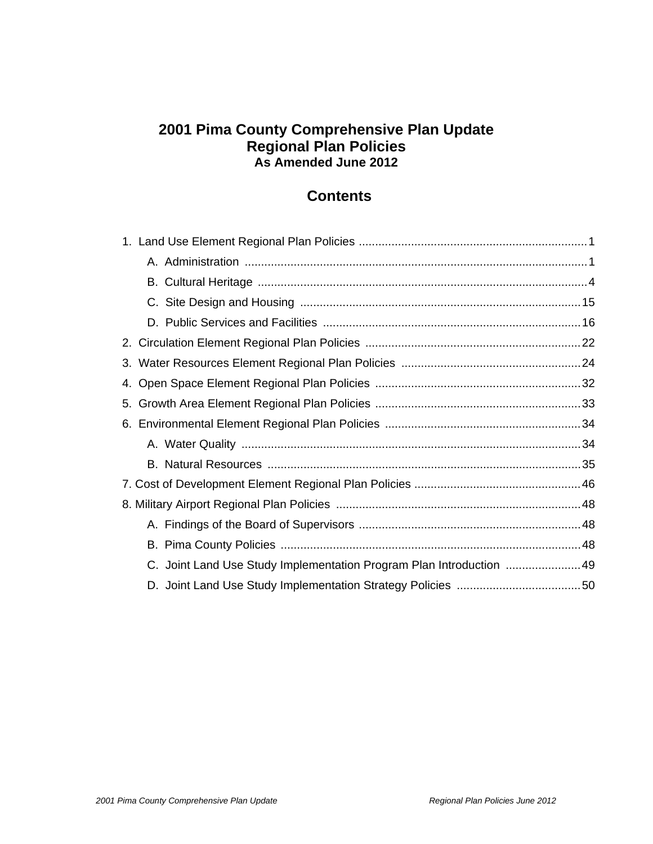# **2001 Pima County Comprehensive Plan Update Regional Plan Policies As Amended June 2012**

# **Contents**

| 4.                                                                   |  |
|----------------------------------------------------------------------|--|
|                                                                      |  |
|                                                                      |  |
|                                                                      |  |
|                                                                      |  |
|                                                                      |  |
|                                                                      |  |
|                                                                      |  |
|                                                                      |  |
| C. Joint Land Use Study Implementation Program Plan Introduction  49 |  |
|                                                                      |  |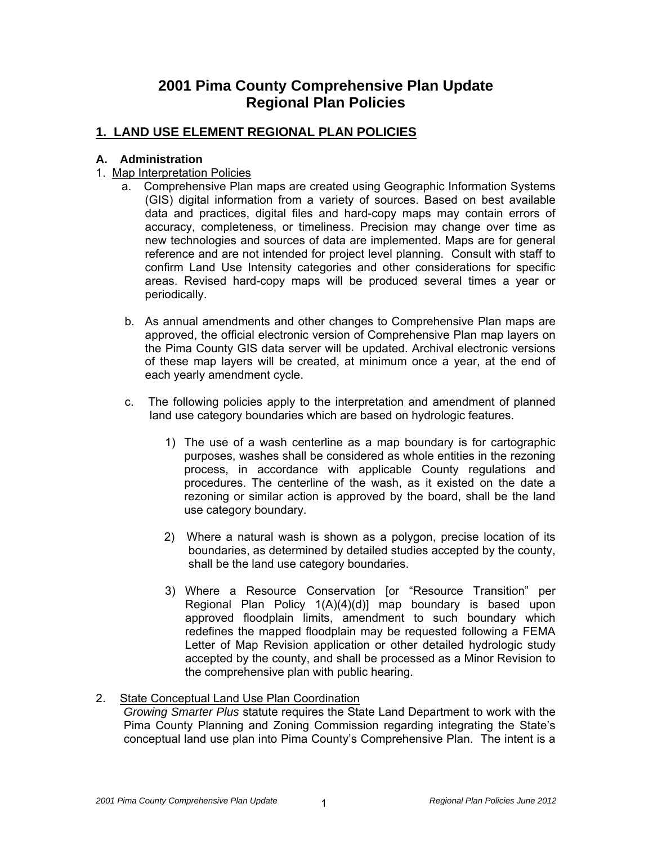# **2001 Pima County Comprehensive Plan Update Regional Plan Policies**

# **1. LAND USE ELEMENT REGIONAL PLAN POLICIES**

#### **A. Administration**

- 1. Map Interpretation Policies
	- a. Comprehensive Plan maps are created using Geographic Information Systems (GIS) digital information from a variety of sources. Based on best available data and practices, digital files and hard-copy maps may contain errors of accuracy, completeness, or timeliness. Precision may change over time as new technologies and sources of data are implemented. Maps are for general reference and are not intended for project level planning. Consult with staff to confirm Land Use Intensity categories and other considerations for specific areas. Revised hard-copy maps will be produced several times a year or periodically.
	- b. As annual amendments and other changes to Comprehensive Plan maps are approved, the official electronic version of Comprehensive Plan map layers on the Pima County GIS data server will be updated. Archival electronic versions of these map layers will be created, at minimum once a year, at the end of each yearly amendment cycle.
	- c. The following policies apply to the interpretation and amendment of planned land use category boundaries which are based on hydrologic features.
		- 1) The use of a wash centerline as a map boundary is for cartographic purposes, washes shall be considered as whole entities in the rezoning process, in accordance with applicable County regulations and procedures. The centerline of the wash, as it existed on the date a rezoning or similar action is approved by the board, shall be the land use category boundary.
		- 2) Where a natural wash is shown as a polygon, precise location of its boundaries, as determined by detailed studies accepted by the county, shall be the land use category boundaries.
		- 3) Where a Resource Conservation [or "Resource Transition" per Regional Plan Policy 1(A)(4)(d)] map boundary is based upon approved floodplain limits, amendment to such boundary which redefines the mapped floodplain may be requested following a FEMA Letter of Map Revision application or other detailed hydrologic study accepted by the county, and shall be processed as a Minor Revision to the comprehensive plan with public hearing.

# 2. State Conceptual Land Use Plan Coordination

 *Growing Smarter Plus* statute requires the State Land Department to work with the Pima County Planning and Zoning Commission regarding integrating the State's conceptual land use plan into Pima County's Comprehensive Plan. The intent is a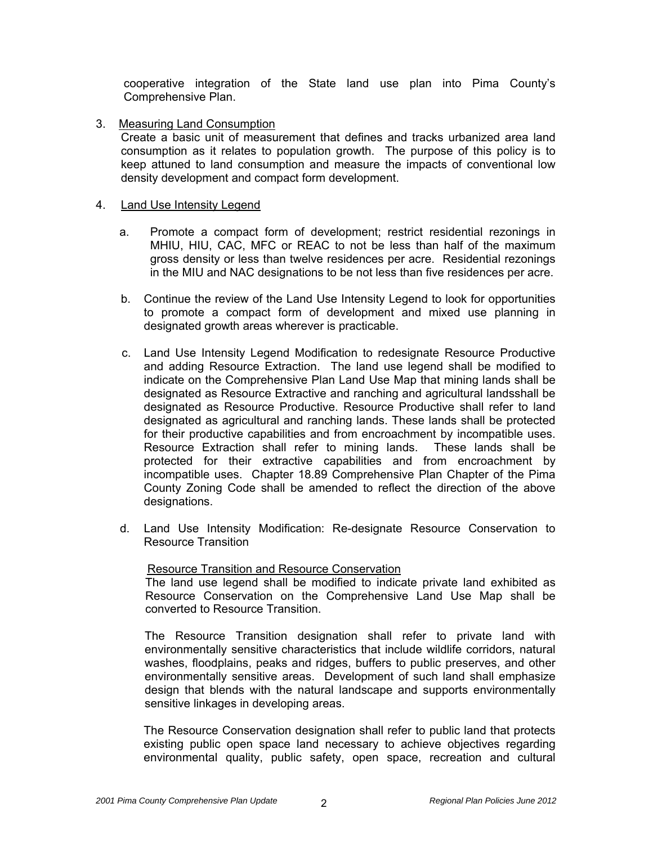cooperative integration of the State land use plan into Pima County's Comprehensive Plan.

3. Measuring Land Consumption

Create a basic unit of measurement that defines and tracks urbanized area land consumption as it relates to population growth. The purpose of this policy is to keep attuned to land consumption and measure the impacts of conventional low density development and compact form development.

#### 4. Land Use Intensity Legend

- a. Promote a compact form of development; restrict residential rezonings in MHIU, HIU, CAC, MFC or REAC to not be less than half of the maximum gross density or less than twelve residences per acre. Residential rezonings in the MIU and NAC designations to be not less than five residences per acre.
- b. Continue the review of the Land Use Intensity Legend to look for opportunities to promote a compact form of development and mixed use planning in designated growth areas wherever is practicable.
- c. Land Use Intensity Legend Modification to redesignate Resource Productive and adding Resource Extraction. The land use legend shall be modified to indicate on the Comprehensive Plan Land Use Map that mining lands shall be designated as Resource Extractive and ranching and agricultural landsshall be designated as Resource Productive. Resource Productive shall refer to land designated as agricultural and ranching lands. These lands shall be protected for their productive capabilities and from encroachment by incompatible uses. Resource Extraction shall refer to mining lands. These lands shall be protected for their extractive capabilities and from encroachment by incompatible uses. Chapter 18.89 Comprehensive Plan Chapter of the Pima County Zoning Code shall be amended to reflect the direction of the above designations.
- d. Land Use Intensity Modification: Re-designate Resource Conservation to Resource Transition

#### Resource Transition and Resource Conservation

The land use legend shall be modified to indicate private land exhibited as Resource Conservation on the Comprehensive Land Use Map shall be converted to Resource Transition.

 The Resource Transition designation shall refer to private land with environmentally sensitive characteristics that include wildlife corridors, natural washes, floodplains, peaks and ridges, buffers to public preserves, and other environmentally sensitive areas. Development of such land shall emphasize design that blends with the natural landscape and supports environmentally sensitive linkages in developing areas.

 The Resource Conservation designation shall refer to public land that protects existing public open space land necessary to achieve objectives regarding environmental quality, public safety, open space, recreation and cultural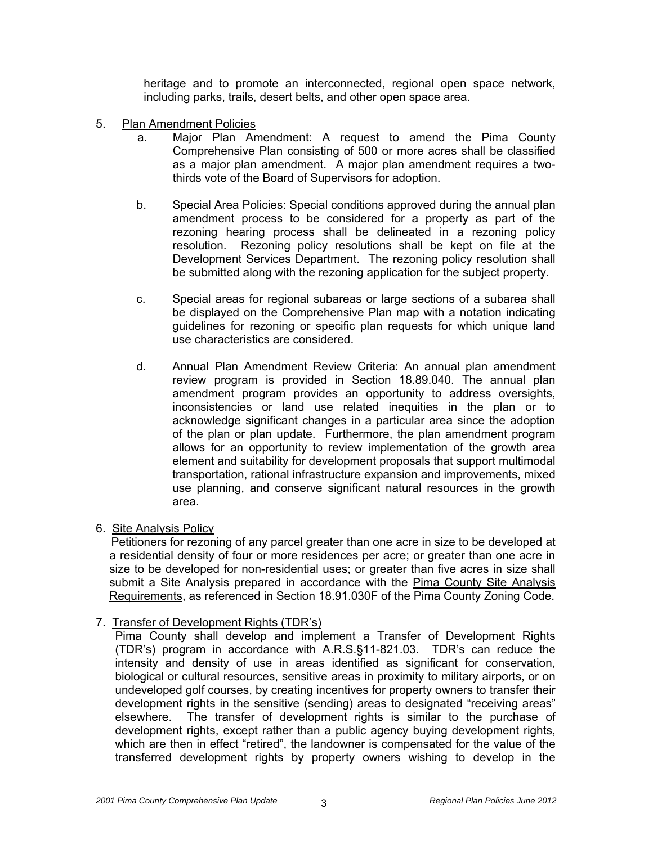heritage and to promote an interconnected, regional open space network, including parks, trails, desert belts, and other open space area.

- 5. Plan Amendment Policies
	- a. Major Plan Amendment: A request to amend the Pima County Comprehensive Plan consisting of 500 or more acres shall be classified as a major plan amendment. A major plan amendment requires a twothirds vote of the Board of Supervisors for adoption.
	- b. Special Area Policies: Special conditions approved during the annual plan amendment process to be considered for a property as part of the rezoning hearing process shall be delineated in a rezoning policy resolution. Rezoning policy resolutions shall be kept on file at the Development Services Department. The rezoning policy resolution shall be submitted along with the rezoning application for the subject property.
	- c. Special areas for regional subareas or large sections of a subarea shall be displayed on the Comprehensive Plan map with a notation indicating guidelines for rezoning or specific plan requests for which unique land use characteristics are considered.
	- d. Annual Plan Amendment Review Criteria: An annual plan amendment review program is provided in Section 18.89.040. The annual plan amendment program provides an opportunity to address oversights, inconsistencies or land use related inequities in the plan or to acknowledge significant changes in a particular area since the adoption of the plan or plan update. Furthermore, the plan amendment program allows for an opportunity to review implementation of the growth area element and suitability for development proposals that support multimodal transportation, rational infrastructure expansion and improvements, mixed use planning, and conserve significant natural resources in the growth area.

#### 6. Site Analysis Policy

Petitioners for rezoning of any parcel greater than one acre in size to be developed at a residential density of four or more residences per acre; or greater than one acre in size to be developed for non-residential uses; or greater than five acres in size shall submit a Site Analysis prepared in accordance with the Pima County Site Analysis Requirements, as referenced in Section 18.91.030F of the Pima County Zoning Code.

7. Transfer of Development Rights (TDR's)

 Pima County shall develop and implement a Transfer of Development Rights (TDR's) program in accordance with A.R.S.§11-821.03. TDR's can reduce the intensity and density of use in areas identified as significant for conservation, biological or cultural resources, sensitive areas in proximity to military airports, or on undeveloped golf courses, by creating incentives for property owners to transfer their development rights in the sensitive (sending) areas to designated "receiving areas" elsewhere. The transfer of development rights is similar to the purchase of development rights, except rather than a public agency buying development rights, which are then in effect "retired", the landowner is compensated for the value of the transferred development rights by property owners wishing to develop in the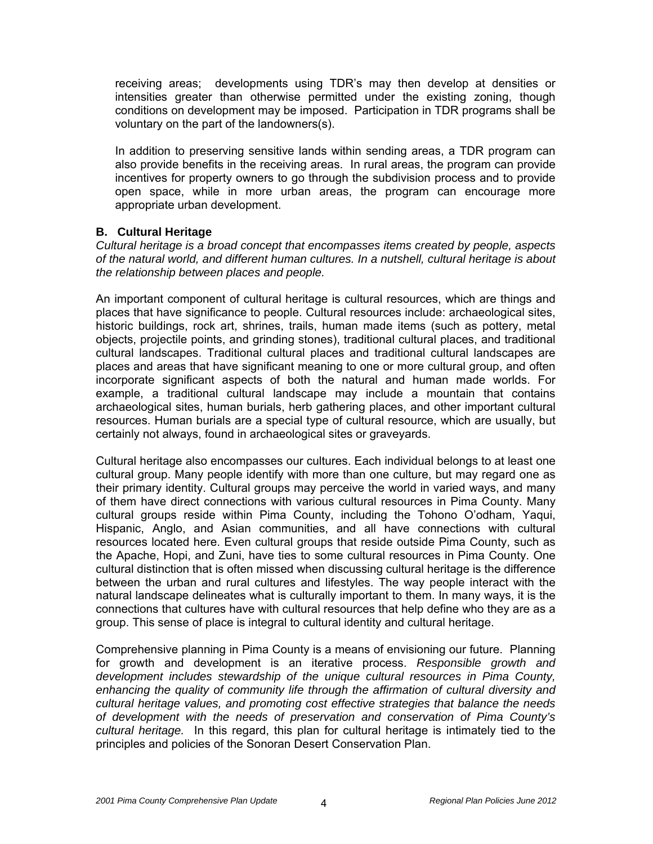receiving areas; developments using TDR's may then develop at densities or intensities greater than otherwise permitted under the existing zoning, though conditions on development may be imposed. Participation in TDR programs shall be voluntary on the part of the landowners(s).

 In addition to preserving sensitive lands within sending areas, a TDR program can also provide benefits in the receiving areas. In rural areas, the program can provide incentives for property owners to go through the subdivision process and to provide open space, while in more urban areas, the program can encourage more appropriate urban development.

## **B. Cultural Heritage**

*Cultural heritage is a broad concept that encompasses items created by people, aspects of the natural world, and different human cultures. In a nutshell, cultural heritage is about the relationship between places and people.* 

An important component of cultural heritage is cultural resources, which are things and places that have significance to people. Cultural resources include: archaeological sites. historic buildings, rock art, shrines, trails, human made items (such as pottery, metal objects, projectile points, and grinding stones), traditional cultural places, and traditional cultural landscapes. Traditional cultural places and traditional cultural landscapes are places and areas that have significant meaning to one or more cultural group, and often incorporate significant aspects of both the natural and human made worlds. For example, a traditional cultural landscape may include a mountain that contains archaeological sites, human burials, herb gathering places, and other important cultural resources. Human burials are a special type of cultural resource, which are usually, but certainly not always, found in archaeological sites or graveyards.

Cultural heritage also encompasses our cultures. Each individual belongs to at least one cultural group. Many people identify with more than one culture, but may regard one as their primary identity. Cultural groups may perceive the world in varied ways, and many of them have direct connections with various cultural resources in Pima County. Many cultural groups reside within Pima County, including the Tohono O'odham, Yaqui, Hispanic, Anglo, and Asian communities, and all have connections with cultural resources located here. Even cultural groups that reside outside Pima County, such as the Apache, Hopi, and Zuni, have ties to some cultural resources in Pima County. One cultural distinction that is often missed when discussing cultural heritage is the difference between the urban and rural cultures and lifestyles. The way people interact with the natural landscape delineates what is culturally important to them. In many ways, it is the connections that cultures have with cultural resources that help define who they are as a group. This sense of place is integral to cultural identity and cultural heritage.

Comprehensive planning in Pima County is a means of envisioning our future. Planning for growth and development is an iterative process. *Responsible growth and development includes stewardship of the unique cultural resources in Pima County, enhancing the quality of community life through the affirmation of cultural diversity and cultural heritage values, and promoting cost effective strategies that balance the needs of development with the needs of preservation and conservation of Pima County's cultural heritage.* In this regard, this plan for cultural heritage is intimately tied to the principles and policies of the Sonoran Desert Conservation Plan.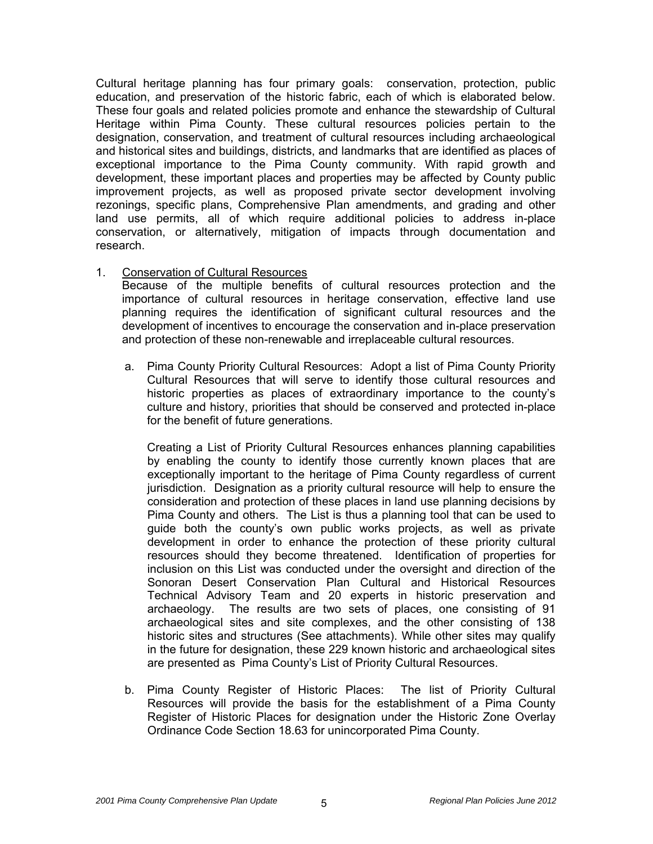Cultural heritage planning has four primary goals: conservation, protection, public education, and preservation of the historic fabric, each of which is elaborated below. These four goals and related policies promote and enhance the stewardship of Cultural Heritage within Pima County. These cultural resources policies pertain to the designation, conservation, and treatment of cultural resources including archaeological and historical sites and buildings, districts, and landmarks that are identified as places of exceptional importance to the Pima County community. With rapid growth and development, these important places and properties may be affected by County public improvement projects, as well as proposed private sector development involving rezonings, specific plans, Comprehensive Plan amendments, and grading and other land use permits, all of which require additional policies to address in-place conservation, or alternatively, mitigation of impacts through documentation and research.

#### 1. Conservation of Cultural Resources

 Because of the multiple benefits of cultural resources protection and the importance of cultural resources in heritage conservation, effective land use planning requires the identification of significant cultural resources and the development of incentives to encourage the conservation and in-place preservation and protection of these non-renewable and irreplaceable cultural resources.

a. Pima County Priority Cultural Resources: Adopt a list of Pima County Priority Cultural Resources that will serve to identify those cultural resources and historic properties as places of extraordinary importance to the county's culture and history, priorities that should be conserved and protected in-place for the benefit of future generations.

 Creating a List of Priority Cultural Resources enhances planning capabilities by enabling the county to identify those currently known places that are exceptionally important to the heritage of Pima County regardless of current jurisdiction. Designation as a priority cultural resource will help to ensure the consideration and protection of these places in land use planning decisions by Pima County and others. The List is thus a planning tool that can be used to guide both the county's own public works projects, as well as private development in order to enhance the protection of these priority cultural resources should they become threatened. Identification of properties for inclusion on this List was conducted under the oversight and direction of the Sonoran Desert Conservation Plan Cultural and Historical Resources Technical Advisory Team and 20 experts in historic preservation and archaeology. The results are two sets of places, one consisting of 91 archaeological sites and site complexes, and the other consisting of 138 historic sites and structures (See attachments). While other sites may qualify in the future for designation, these 229 known historic and archaeological sites are presented as Pima County's List of Priority Cultural Resources.

b. Pima County Register of Historic Places: The list of Priority Cultural Resources will provide the basis for the establishment of a Pima County Register of Historic Places for designation under the Historic Zone Overlay Ordinance Code Section 18.63 for unincorporated Pima County.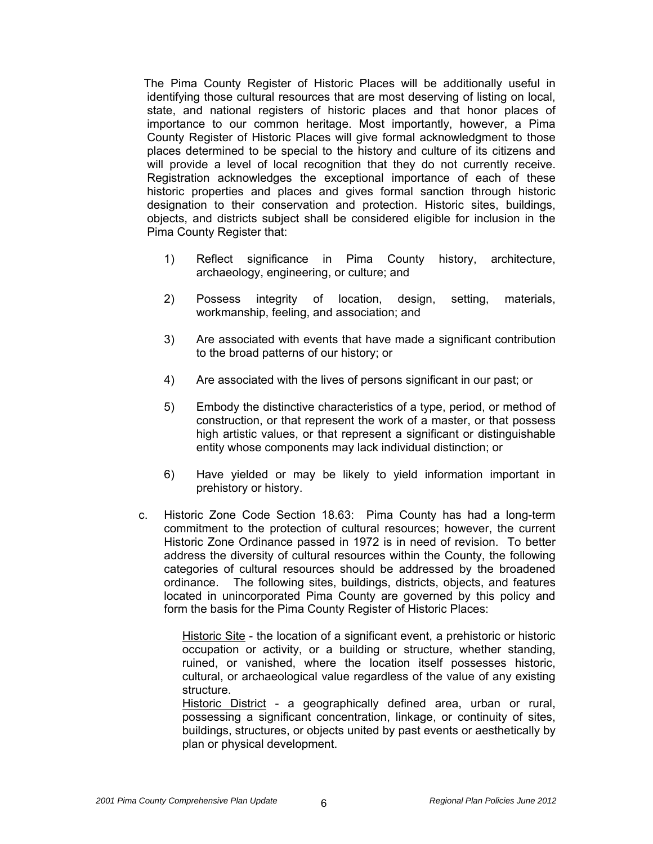The Pima County Register of Historic Places will be additionally useful in identifying those cultural resources that are most deserving of listing on local, state, and national registers of historic places and that honor places of importance to our common heritage. Most importantly, however, a Pima County Register of Historic Places will give formal acknowledgment to those places determined to be special to the history and culture of its citizens and will provide a level of local recognition that they do not currently receive. Registration acknowledges the exceptional importance of each of these historic properties and places and gives formal sanction through historic designation to their conservation and protection. Historic sites, buildings, objects, and districts subject shall be considered eligible for inclusion in the Pima County Register that:

- 1) Reflect significance in Pima County history, architecture, archaeology, engineering, or culture; and
- 2) Possess integrity of location, design, setting, materials, workmanship, feeling, and association; and
- 3) Are associated with events that have made a significant contribution to the broad patterns of our history; or
- 4) Are associated with the lives of persons significant in our past; or
- 5) Embody the distinctive characteristics of a type, period, or method of construction, or that represent the work of a master, or that possess high artistic values, or that represent a significant or distinguishable entity whose components may lack individual distinction; or
- 6) Have yielded or may be likely to yield information important in prehistory or history.
- c. Historic Zone Code Section 18.63: Pima County has had a long-term commitment to the protection of cultural resources; however, the current Historic Zone Ordinance passed in 1972 is in need of revision. To better address the diversity of cultural resources within the County, the following categories of cultural resources should be addressed by the broadened ordinance. The following sites, buildings, districts, objects, and features located in unincorporated Pima County are governed by this policy and form the basis for the Pima County Register of Historic Places:

Historic Site - the location of a significant event, a prehistoric or historic occupation or activity, or a building or structure, whether standing, ruined, or vanished, where the location itself possesses historic, cultural, or archaeological value regardless of the value of any existing structure.

Historic District - a geographically defined area, urban or rural, possessing a significant concentration, linkage, or continuity of sites, buildings, structures, or objects united by past events or aesthetically by plan or physical development.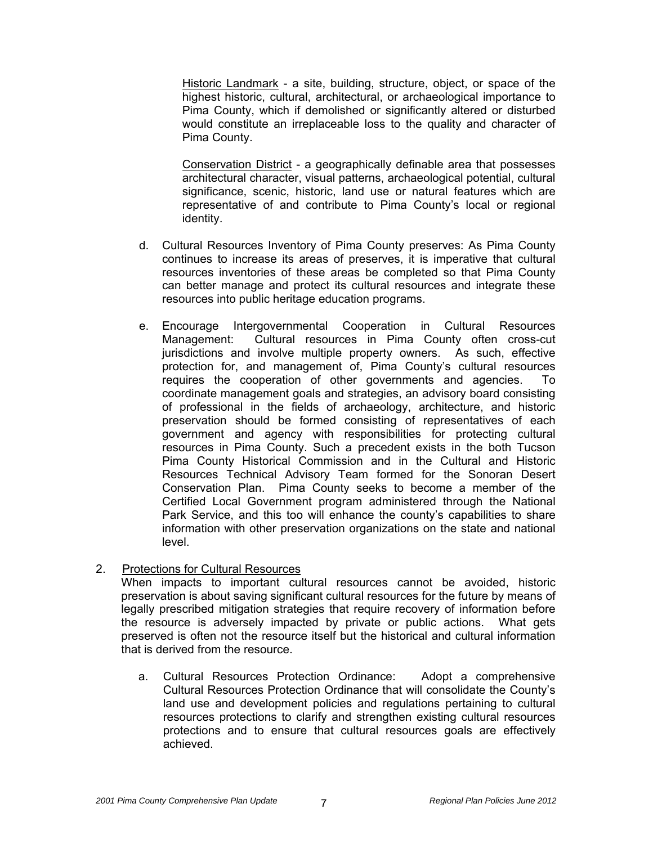Historic Landmark - a site, building, structure, object, or space of the highest historic, cultural, architectural, or archaeological importance to Pima County, which if demolished or significantly altered or disturbed would constitute an irreplaceable loss to the quality and character of Pima County.

Conservation District - a geographically definable area that possesses architectural character, visual patterns, archaeological potential, cultural significance, scenic, historic, land use or natural features which are representative of and contribute to Pima County's local or regional identity.

- d. Cultural Resources Inventory of Pima County preserves: As Pima County continues to increase its areas of preserves, it is imperative that cultural resources inventories of these areas be completed so that Pima County can better manage and protect its cultural resources and integrate these resources into public heritage education programs.
- e. Encourage Intergovernmental Cooperation in Cultural Resources Management: Cultural resources in Pima County often cross-cut jurisdictions and involve multiple property owners. As such, effective protection for, and management of, Pima County's cultural resources requires the cooperation of other governments and agencies. To coordinate management goals and strategies, an advisory board consisting of professional in the fields of archaeology, architecture, and historic preservation should be formed consisting of representatives of each government and agency with responsibilities for protecting cultural resources in Pima County. Such a precedent exists in the both Tucson Pima County Historical Commission and in the Cultural and Historic Resources Technical Advisory Team formed for the Sonoran Desert Conservation Plan. Pima County seeks to become a member of the Certified Local Government program administered through the National Park Service, and this too will enhance the county's capabilities to share information with other preservation organizations on the state and national level.

#### 2. Protections for Cultural Resources

 When impacts to important cultural resources cannot be avoided, historic preservation is about saving significant cultural resources for the future by means of legally prescribed mitigation strategies that require recovery of information before the resource is adversely impacted by private or public actions. What gets preserved is often not the resource itself but the historical and cultural information that is derived from the resource.

a. Cultural Resources Protection Ordinance: Adopt a comprehensive Cultural Resources Protection Ordinance that will consolidate the County's land use and development policies and regulations pertaining to cultural resources protections to clarify and strengthen existing cultural resources protections and to ensure that cultural resources goals are effectively achieved.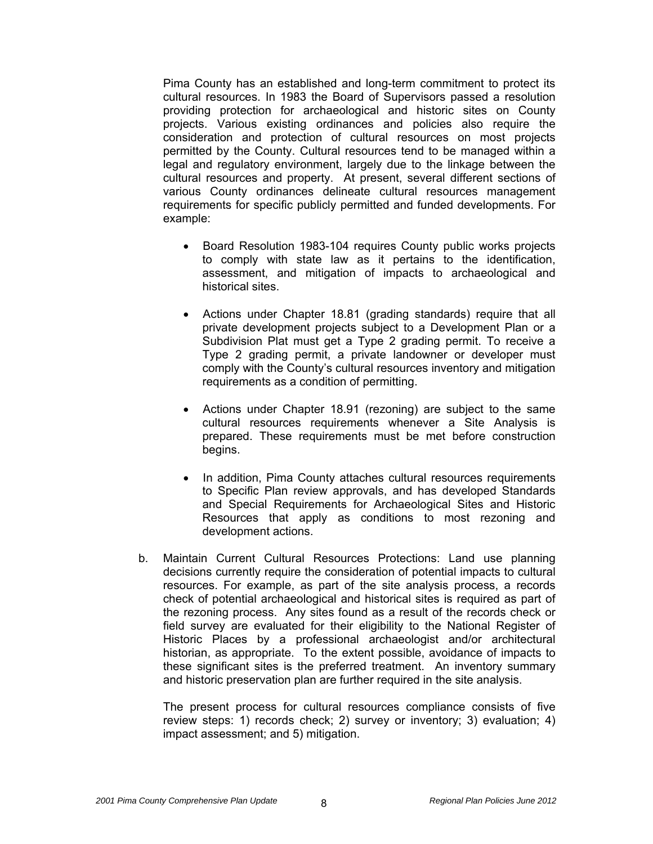Pima County has an established and long-term commitment to protect its cultural resources. In 1983 the Board of Supervisors passed a resolution providing protection for archaeological and historic sites on County projects. Various existing ordinances and policies also require the consideration and protection of cultural resources on most projects permitted by the County. Cultural resources tend to be managed within a legal and regulatory environment, largely due to the linkage between the cultural resources and property. At present, several different sections of various County ordinances delineate cultural resources management requirements for specific publicly permitted and funded developments. For example:

- Board Resolution 1983-104 requires County public works projects to comply with state law as it pertains to the identification, assessment, and mitigation of impacts to archaeological and historical sites.
- Actions under Chapter 18.81 (grading standards) require that all private development projects subject to a Development Plan or a Subdivision Plat must get a Type 2 grading permit. To receive a Type 2 grading permit, a private landowner or developer must comply with the County's cultural resources inventory and mitigation requirements as a condition of permitting.
- Actions under Chapter 18.91 (rezoning) are subject to the same cultural resources requirements whenever a Site Analysis is prepared. These requirements must be met before construction begins.
- In addition, Pima County attaches cultural resources requirements to Specific Plan review approvals, and has developed Standards and Special Requirements for Archaeological Sites and Historic Resources that apply as conditions to most rezoning and development actions.
- b. Maintain Current Cultural Resources Protections: Land use planning decisions currently require the consideration of potential impacts to cultural resources. For example, as part of the site analysis process, a records check of potential archaeological and historical sites is required as part of the rezoning process. Any sites found as a result of the records check or field survey are evaluated for their eligibility to the National Register of Historic Places by a professional archaeologist and/or architectural historian, as appropriate. To the extent possible, avoidance of impacts to these significant sites is the preferred treatment. An inventory summary and historic preservation plan are further required in the site analysis.

 The present process for cultural resources compliance consists of five review steps: 1) records check; 2) survey or inventory; 3) evaluation; 4) impact assessment; and 5) mitigation.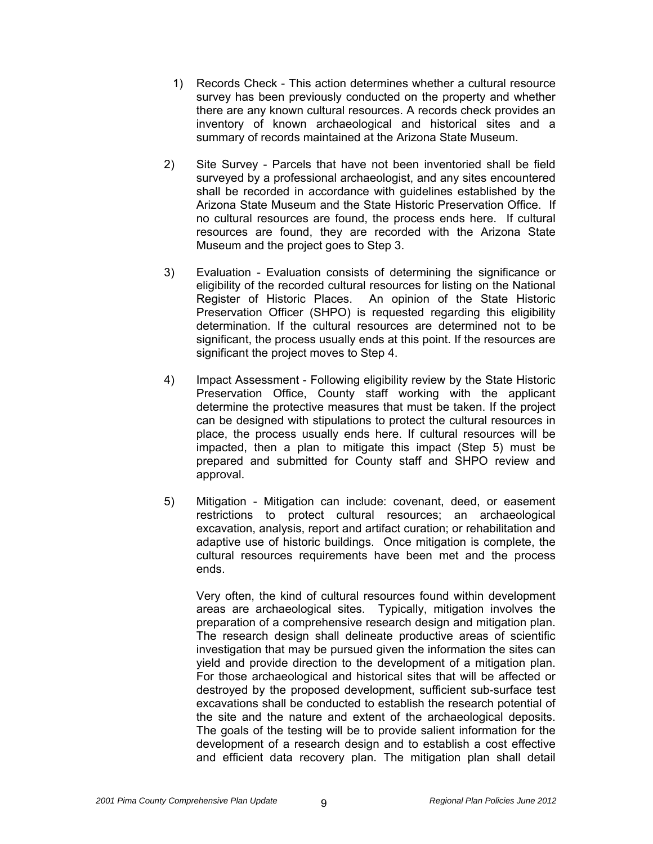- 1) Records Check This action determines whether a cultural resource survey has been previously conducted on the property and whether there are any known cultural resources. A records check provides an inventory of known archaeological and historical sites and a summary of records maintained at the Arizona State Museum.
- 2) Site Survey Parcels that have not been inventoried shall be field surveyed by a professional archaeologist, and any sites encountered shall be recorded in accordance with guidelines established by the Arizona State Museum and the State Historic Preservation Office. If no cultural resources are found, the process ends here. If cultural resources are found, they are recorded with the Arizona State Museum and the project goes to Step 3.
- 3) Evaluation Evaluation consists of determining the significance or eligibility of the recorded cultural resources for listing on the National Register of Historic Places. An opinion of the State Historic Preservation Officer (SHPO) is requested regarding this eligibility determination. If the cultural resources are determined not to be significant, the process usually ends at this point. If the resources are significant the project moves to Step 4.
- 4) Impact Assessment Following eligibility review by the State Historic Preservation Office, County staff working with the applicant determine the protective measures that must be taken. If the project can be designed with stipulations to protect the cultural resources in place, the process usually ends here. If cultural resources will be impacted, then a plan to mitigate this impact (Step 5) must be prepared and submitted for County staff and SHPO review and approval.
- 5) Mitigation Mitigation can include: covenant, deed, or easement restrictions to protect cultural resources; an archaeological excavation, analysis, report and artifact curation; or rehabilitation and adaptive use of historic buildings. Once mitigation is complete, the cultural resources requirements have been met and the process ends.

Very often, the kind of cultural resources found within development areas are archaeological sites. Typically, mitigation involves the preparation of a comprehensive research design and mitigation plan. The research design shall delineate productive areas of scientific investigation that may be pursued given the information the sites can yield and provide direction to the development of a mitigation plan. For those archaeological and historical sites that will be affected or destroyed by the proposed development, sufficient sub-surface test excavations shall be conducted to establish the research potential of the site and the nature and extent of the archaeological deposits. The goals of the testing will be to provide salient information for the development of a research design and to establish a cost effective and efficient data recovery plan. The mitigation plan shall detail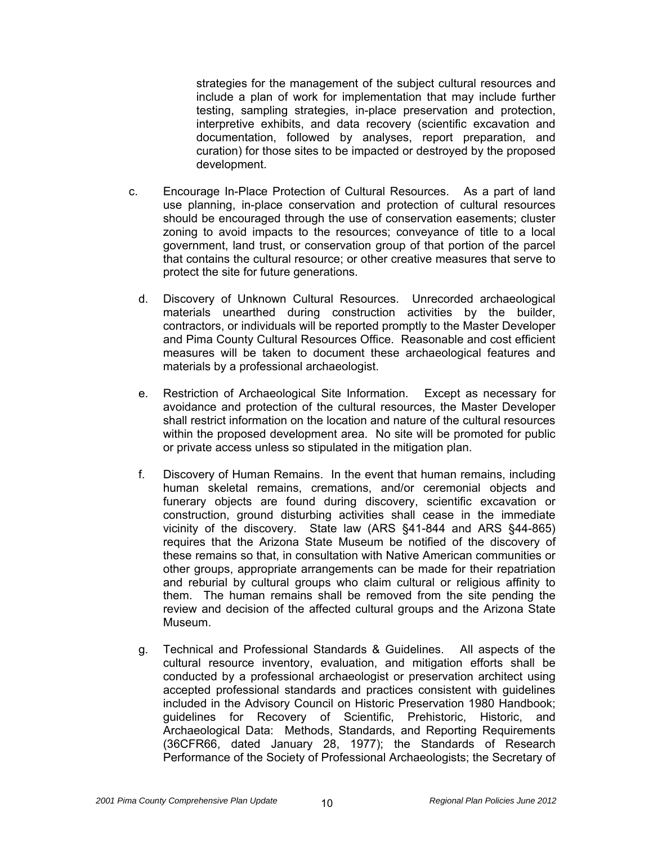strategies for the management of the subject cultural resources and include a plan of work for implementation that may include further testing, sampling strategies, in-place preservation and protection, interpretive exhibits, and data recovery (scientific excavation and documentation, followed by analyses, report preparation, and curation) for those sites to be impacted or destroyed by the proposed development.

- c. Encourage In-Place Protection of Cultural Resources. As a part of land use planning, in-place conservation and protection of cultural resources should be encouraged through the use of conservation easements; cluster zoning to avoid impacts to the resources; conveyance of title to a local government, land trust, or conservation group of that portion of the parcel that contains the cultural resource; or other creative measures that serve to protect the site for future generations.
	- d. Discovery of Unknown Cultural Resources. Unrecorded archaeological materials unearthed during construction activities by the builder, contractors, or individuals will be reported promptly to the Master Developer and Pima County Cultural Resources Office. Reasonable and cost efficient measures will be taken to document these archaeological features and materials by a professional archaeologist.
	- e. Restriction of Archaeological Site Information. Except as necessary for avoidance and protection of the cultural resources, the Master Developer shall restrict information on the location and nature of the cultural resources within the proposed development area. No site will be promoted for public or private access unless so stipulated in the mitigation plan.
	- f. Discovery of Human Remains. In the event that human remains, including human skeletal remains, cremations, and/or ceremonial objects and funerary objects are found during discovery, scientific excavation or construction, ground disturbing activities shall cease in the immediate vicinity of the discovery. State law (ARS §41-844 and ARS §44-865) requires that the Arizona State Museum be notified of the discovery of these remains so that, in consultation with Native American communities or other groups, appropriate arrangements can be made for their repatriation and reburial by cultural groups who claim cultural or religious affinity to them. The human remains shall be removed from the site pending the review and decision of the affected cultural groups and the Arizona State Museum.
	- g. Technical and Professional Standards & Guidelines. All aspects of the cultural resource inventory, evaluation, and mitigation efforts shall be conducted by a professional archaeologist or preservation architect using accepted professional standards and practices consistent with guidelines included in the Advisory Council on Historic Preservation 1980 Handbook; guidelines for Recovery of Scientific, Prehistoric, Historic, and Archaeological Data: Methods, Standards, and Reporting Requirements (36CFR66, dated January 28, 1977); the Standards of Research Performance of the Society of Professional Archaeologists; the Secretary of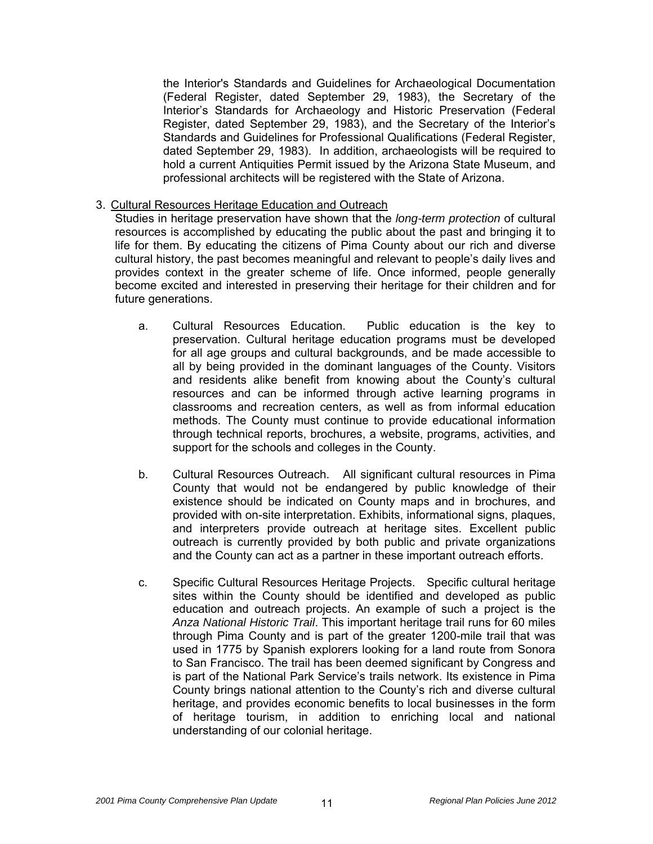the Interior's Standards and Guidelines for Archaeological Documentation (Federal Register, dated September 29, 1983), the Secretary of the Interior's Standards for Archaeology and Historic Preservation (Federal Register, dated September 29, 1983), and the Secretary of the Interior's Standards and Guidelines for Professional Qualifications (Federal Register, dated September 29, 1983). In addition, archaeologists will be required to hold a current Antiquities Permit issued by the Arizona State Museum, and professional architects will be registered with the State of Arizona.

#### 3. Cultural Resources Heritage Education and Outreach

 Studies in heritage preservation have shown that the *long-term protection* of cultural resources is accomplished by educating the public about the past and bringing it to life for them. By educating the citizens of Pima County about our rich and diverse cultural history, the past becomes meaningful and relevant to people's daily lives and provides context in the greater scheme of life. Once informed, people generally become excited and interested in preserving their heritage for their children and for future generations.

- a. Cultural Resources Education. Public education is the key to preservation. Cultural heritage education programs must be developed for all age groups and cultural backgrounds, and be made accessible to all by being provided in the dominant languages of the County. Visitors and residents alike benefit from knowing about the County's cultural resources and can be informed through active learning programs in classrooms and recreation centers, as well as from informal education methods. The County must continue to provide educational information through technical reports, brochures, a website, programs, activities, and support for the schools and colleges in the County.
- b. Cultural Resources Outreach. All significant cultural resources in Pima County that would not be endangered by public knowledge of their existence should be indicated on County maps and in brochures, and provided with on-site interpretation. Exhibits, informational signs, plaques, and interpreters provide outreach at heritage sites. Excellent public outreach is currently provided by both public and private organizations and the County can act as a partner in these important outreach efforts.
- c. Specific Cultural Resources Heritage Projects. Specific cultural heritage sites within the County should be identified and developed as public education and outreach projects. An example of such a project is the *Anza National Historic Trail*. This important heritage trail runs for 60 miles through Pima County and is part of the greater 1200-mile trail that was used in 1775 by Spanish explorers looking for a land route from Sonora to San Francisco. The trail has been deemed significant by Congress and is part of the National Park Service's trails network. Its existence in Pima County brings national attention to the County's rich and diverse cultural heritage, and provides economic benefits to local businesses in the form of heritage tourism, in addition to enriching local and national understanding of our colonial heritage.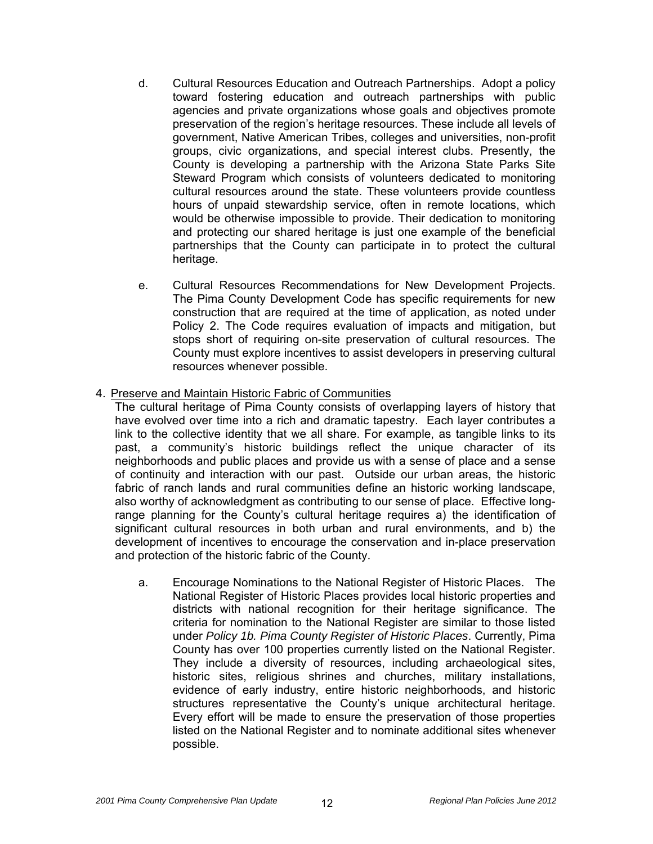- d. Cultural Resources Education and Outreach Partnerships. Adopt a policy toward fostering education and outreach partnerships with public agencies and private organizations whose goals and objectives promote preservation of the region's heritage resources. These include all levels of government, Native American Tribes, colleges and universities, non-profit groups, civic organizations, and special interest clubs. Presently, the County is developing a partnership with the Arizona State Parks Site Steward Program which consists of volunteers dedicated to monitoring cultural resources around the state. These volunteers provide countless hours of unpaid stewardship service, often in remote locations, which would be otherwise impossible to provide. Their dedication to monitoring and protecting our shared heritage is just one example of the beneficial partnerships that the County can participate in to protect the cultural heritage.
- e. Cultural Resources Recommendations for New Development Projects. The Pima County Development Code has specific requirements for new construction that are required at the time of application, as noted under Policy 2. The Code requires evaluation of impacts and mitigation, but stops short of requiring on-site preservation of cultural resources. The County must explore incentives to assist developers in preserving cultural resources whenever possible.

#### 4. Preserve and Maintain Historic Fabric of Communities

 The cultural heritage of Pima County consists of overlapping layers of history that have evolved over time into a rich and dramatic tapestry. Each layer contributes a link to the collective identity that we all share. For example, as tangible links to its past, a community's historic buildings reflect the unique character of its neighborhoods and public places and provide us with a sense of place and a sense of continuity and interaction with our past. Outside our urban areas, the historic fabric of ranch lands and rural communities define an historic working landscape, also worthy of acknowledgment as contributing to our sense of place. Effective longrange planning for the County's cultural heritage requires a) the identification of significant cultural resources in both urban and rural environments, and b) the development of incentives to encourage the conservation and in-place preservation and protection of the historic fabric of the County.

a. Encourage Nominations to the National Register of Historic Places. The National Register of Historic Places provides local historic properties and districts with national recognition for their heritage significance. The criteria for nomination to the National Register are similar to those listed under *Policy 1b. Pima County Register of Historic Places*. Currently, Pima County has over 100 properties currently listed on the National Register. They include a diversity of resources, including archaeological sites, historic sites, religious shrines and churches, military installations, evidence of early industry, entire historic neighborhoods, and historic structures representative the County's unique architectural heritage. Every effort will be made to ensure the preservation of those properties listed on the National Register and to nominate additional sites whenever possible.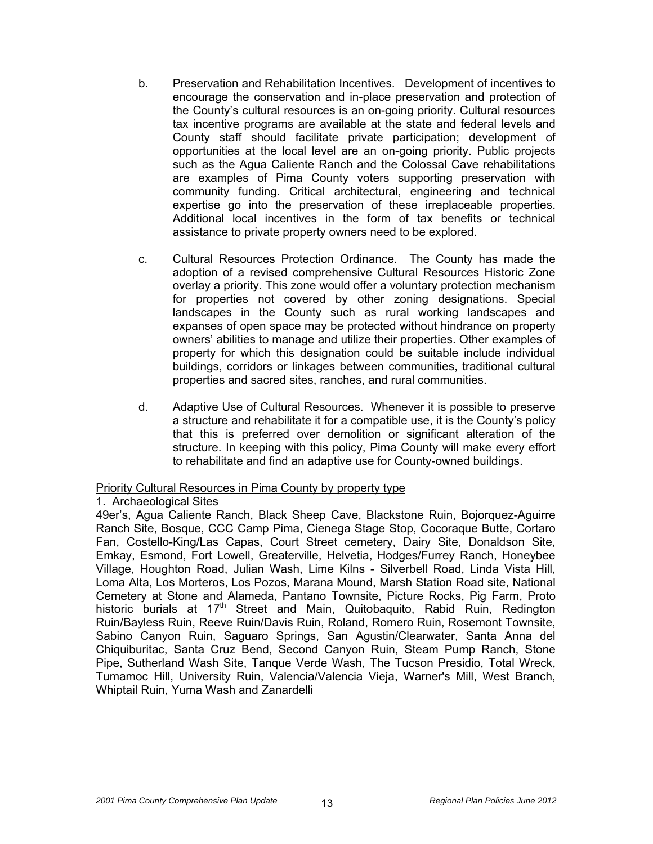- b. Preservation and Rehabilitation Incentives. Development of incentives to encourage the conservation and in-place preservation and protection of the County's cultural resources is an on-going priority. Cultural resources tax incentive programs are available at the state and federal levels and County staff should facilitate private participation; development of opportunities at the local level are an on-going priority. Public projects such as the Agua Caliente Ranch and the Colossal Cave rehabilitations are examples of Pima County voters supporting preservation with community funding. Critical architectural, engineering and technical expertise go into the preservation of these irreplaceable properties. Additional local incentives in the form of tax benefits or technical assistance to private property owners need to be explored.
- c. Cultural Resources Protection Ordinance. The County has made the adoption of a revised comprehensive Cultural Resources Historic Zone overlay a priority. This zone would offer a voluntary protection mechanism for properties not covered by other zoning designations. Special landscapes in the County such as rural working landscapes and expanses of open space may be protected without hindrance on property owners' abilities to manage and utilize their properties. Other examples of property for which this designation could be suitable include individual buildings, corridors or linkages between communities, traditional cultural properties and sacred sites, ranches, and rural communities.
- d. Adaptive Use of Cultural Resources. Whenever it is possible to preserve a structure and rehabilitate it for a compatible use, it is the County's policy that this is preferred over demolition or significant alteration of the structure. In keeping with this policy, Pima County will make every effort to rehabilitate and find an adaptive use for County-owned buildings.

#### Priority Cultural Resources in Pima County by property type

1. Archaeological Sites

49er's, Agua Caliente Ranch, Black Sheep Cave, Blackstone Ruin, Bojorquez-Aguirre Ranch Site, Bosque, CCC Camp Pima, Cienega Stage Stop, Cocoraque Butte, Cortaro Fan, Costello-King/Las Capas, Court Street cemetery, Dairy Site, Donaldson Site, Emkay, Esmond, Fort Lowell, Greaterville, Helvetia, Hodges/Furrey Ranch, Honeybee Village, Houghton Road, Julian Wash, Lime Kilns - Silverbell Road, Linda Vista Hill, Loma Alta, Los Morteros, Los Pozos, Marana Mound, Marsh Station Road site, National Cemetery at Stone and Alameda, Pantano Townsite, Picture Rocks, Pig Farm, Proto historic burials at  $17<sup>th</sup>$  Street and Main, Quitobaquito, Rabid Ruin, Redington Ruin/Bayless Ruin, Reeve Ruin/Davis Ruin, Roland, Romero Ruin, Rosemont Townsite, Sabino Canyon Ruin, Saguaro Springs, San Agustin/Clearwater, Santa Anna del Chiquiburitac, Santa Cruz Bend, Second Canyon Ruin, Steam Pump Ranch, Stone Pipe, Sutherland Wash Site, Tanque Verde Wash, The Tucson Presidio, Total Wreck, Tumamoc Hill, University Ruin, Valencia/Valencia Vieja, Warner's Mill, West Branch, Whiptail Ruin, Yuma Wash and Zanardelli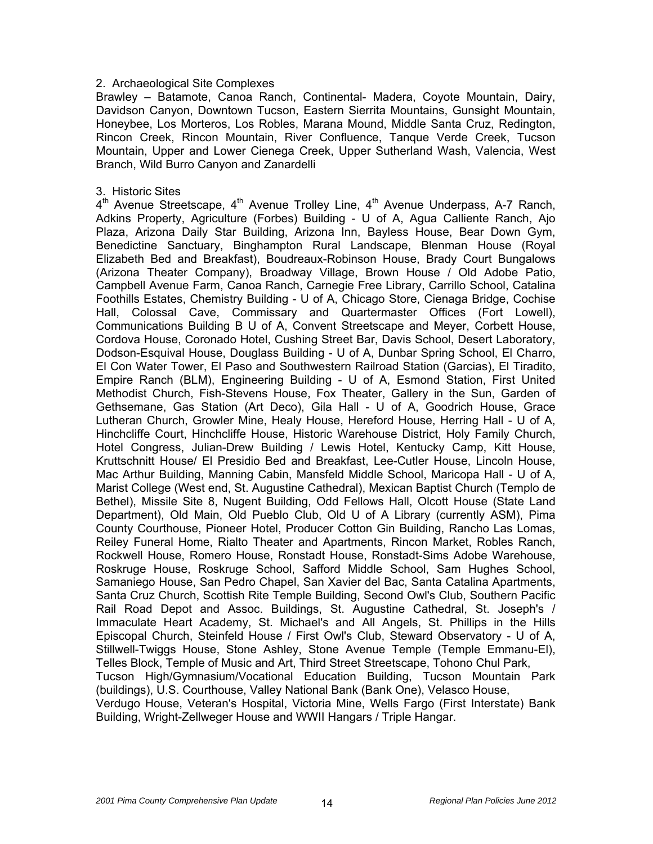#### 2. Archaeological Site Complexes

Brawley – Batamote, Canoa Ranch, Continental- Madera, Coyote Mountain, Dairy, Davidson Canyon, Downtown Tucson, Eastern Sierrita Mountains, Gunsight Mountain, Honeybee, Los Morteros, Los Robles, Marana Mound, Middle Santa Cruz, Redington, Rincon Creek, Rincon Mountain, River Confluence, Tanque Verde Creek, Tucson Mountain, Upper and Lower Cienega Creek, Upper Sutherland Wash, Valencia, West Branch, Wild Burro Canyon and Zanardelli

#### 3. Historic Sites

 $4<sup>th</sup>$  Avenue Streetscape,  $4<sup>th</sup>$  Avenue Trolley Line,  $4<sup>th</sup>$  Avenue Underpass, A-7 Ranch, Adkins Property, Agriculture (Forbes) Building - U of A, Agua Calliente Ranch, Ajo Plaza, Arizona Daily Star Building, Arizona Inn, Bayless House, Bear Down Gym, Benedictine Sanctuary, Binghampton Rural Landscape, Blenman House (Royal Elizabeth Bed and Breakfast), Boudreaux-Robinson House, Brady Court Bungalows (Arizona Theater Company), Broadway Village, Brown House / Old Adobe Patio, Campbell Avenue Farm, Canoa Ranch, Carnegie Free Library, Carrillo School, Catalina Foothills Estates, Chemistry Building - U of A, Chicago Store, Cienaga Bridge, Cochise Hall, Colossal Cave, Commissary and Quartermaster Offices (Fort Lowell), Communications Building B U of A, Convent Streetscape and Meyer, Corbett House, Cordova House, Coronado Hotel, Cushing Street Bar, Davis School, Desert Laboratory, Dodson-Esquival House, Douglass Building - U of A, Dunbar Spring School, El Charro, El Con Water Tower, El Paso and Southwestern Railroad Station (Garcias), El Tiradito, Empire Ranch (BLM), Engineering Building - U of A, Esmond Station, First United Methodist Church, Fish-Stevens House, Fox Theater, Gallery in the Sun, Garden of Gethsemane, Gas Station (Art Deco), Gila Hall - U of A, Goodrich House, Grace Lutheran Church, Growler Mine, Healy House, Hereford House, Herring Hall - U of A, Hinchcliffe Court, Hinchcliffe House, Historic Warehouse District, Holy Family Church, Hotel Congress, Julian-Drew Building / Lewis Hotel, Kentucky Camp, Kitt House, Kruttschnitt House/ El Presidio Bed and Breakfast, Lee-Cutler House, Lincoln House, Mac Arthur Building, Manning Cabin, Mansfeld Middle School, Maricopa Hall - U of A, Marist College (West end, St. Augustine Cathedral), Mexican Baptist Church (Templo de Bethel), Missile Site 8, Nugent Building, Odd Fellows Hall, Olcott House (State Land Department), Old Main, Old Pueblo Club, Old U of A Library (currently ASM), Pima County Courthouse, Pioneer Hotel, Producer Cotton Gin Building, Rancho Las Lomas, Reiley Funeral Home, Rialto Theater and Apartments, Rincon Market, Robles Ranch, Rockwell House, Romero House, Ronstadt House, Ronstadt-Sims Adobe Warehouse, Roskruge House, Roskruge School, Safford Middle School, Sam Hughes School, Samaniego House, San Pedro Chapel, San Xavier del Bac, Santa Catalina Apartments, Santa Cruz Church, Scottish Rite Temple Building, Second Owl's Club, Southern Pacific Rail Road Depot and Assoc. Buildings, St. Augustine Cathedral, St. Joseph's / Immaculate Heart Academy, St. Michael's and All Angels, St. Phillips in the Hills Episcopal Church, Steinfeld House / First Owl's Club, Steward Observatory - U of A, Stillwell-Twiggs House, Stone Ashley, Stone Avenue Temple (Temple Emmanu-El), Telles Block, Temple of Music and Art, Third Street Streetscape, Tohono Chul Park, Tucson High/Gymnasium/Vocational Education Building, Tucson Mountain Park (buildings), U.S. Courthouse, Valley National Bank (Bank One), Velasco House, Verdugo House, Veteran's Hospital, Victoria Mine, Wells Fargo (First Interstate) Bank Building, Wright-Zellweger House and WWII Hangars / Triple Hangar.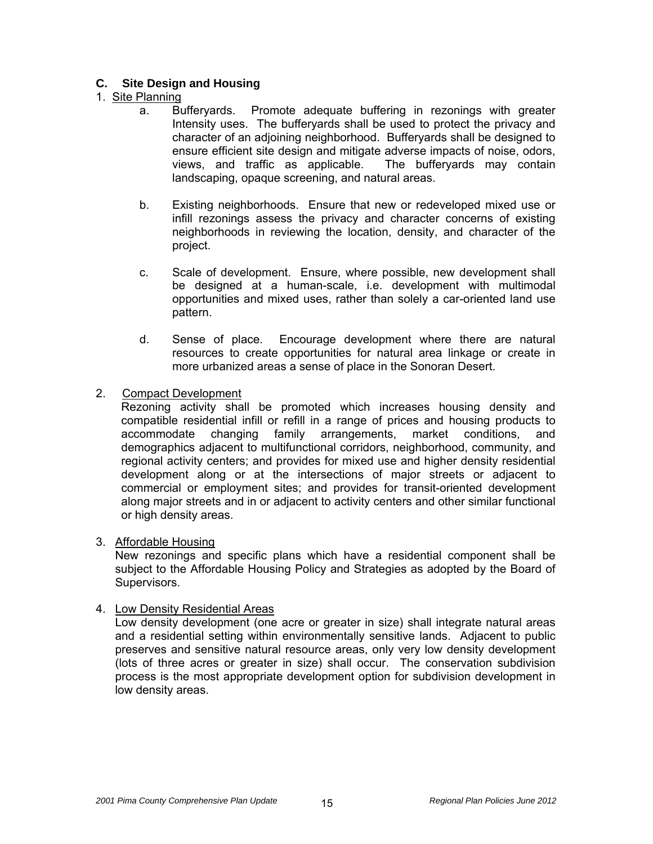# **C. Site Design and Housing**

# 1. Site Planning

- a. Bufferyards. Promote adequate buffering in rezonings with greater Intensity uses. The bufferyards shall be used to protect the privacy and character of an adjoining neighborhood. Bufferyards shall be designed to ensure efficient site design and mitigate adverse impacts of noise, odors, views, and traffic as applicable. The bufferyards may contain landscaping, opaque screening, and natural areas.
- b. Existing neighborhoods. Ensure that new or redeveloped mixed use or infill rezonings assess the privacy and character concerns of existing neighborhoods in reviewing the location, density, and character of the project.
- c. Scale of development. Ensure, where possible, new development shall be designed at a human-scale, i.e. development with multimodal opportunities and mixed uses, rather than solely a car-oriented land use pattern.
- d. Sense of place. Encourage development where there are natural resources to create opportunities for natural area linkage or create in more urbanized areas a sense of place in the Sonoran Desert.
- 2. Compact Development

 Rezoning activity shall be promoted which increases housing density and compatible residential infill or refill in a range of prices and housing products to accommodate changing family arrangements, market conditions, and demographics adjacent to multifunctional corridors, neighborhood, community, and regional activity centers; and provides for mixed use and higher density residential development along or at the intersections of major streets or adjacent to commercial or employment sites; and provides for transit-oriented development along major streets and in or adjacent to activity centers and other similar functional or high density areas.

#### 3. Affordable Housing

 New rezonings and specific plans which have a residential component shall be subject to the Affordable Housing Policy and Strategies as adopted by the Board of Supervisors.

#### 4. Low Density Residential Areas

 Low density development (one acre or greater in size) shall integrate natural areas and a residential setting within environmentally sensitive lands. Adjacent to public preserves and sensitive natural resource areas, only very low density development (lots of three acres or greater in size) shall occur. The conservation subdivision process is the most appropriate development option for subdivision development in low density areas.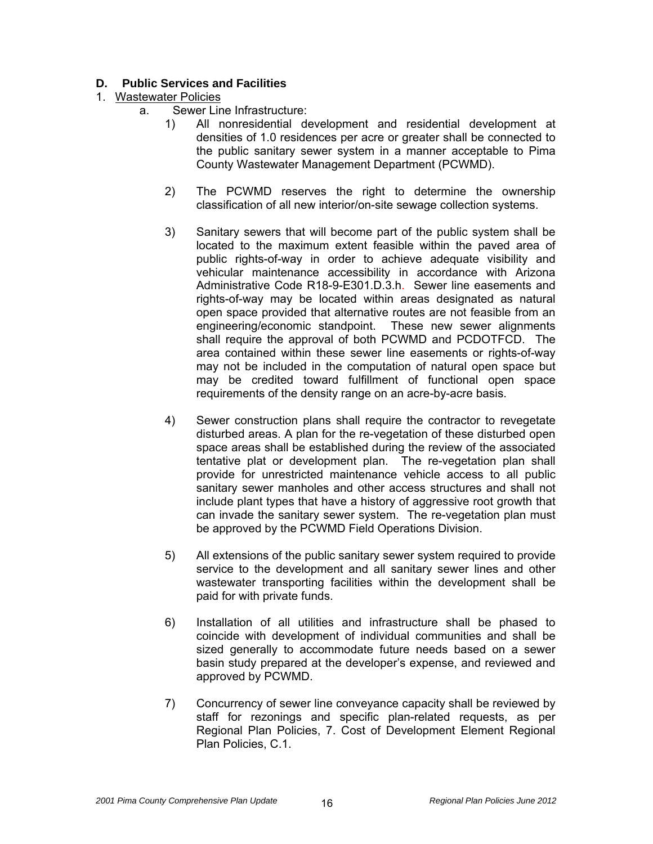# **D. Public Services and Facilities**

#### 1. Wastewater Policies

- a. Sewer Line Infrastructure:
	- 1) All nonresidential development and residential development at densities of 1.0 residences per acre or greater shall be connected to the public sanitary sewer system in a manner acceptable to Pima County Wastewater Management Department (PCWMD).
	- 2) The PCWMD reserves the right to determine the ownership classification of all new interior/on-site sewage collection systems.
	- 3) Sanitary sewers that will become part of the public system shall be located to the maximum extent feasible within the paved area of public rights-of-way in order to achieve adequate visibility and vehicular maintenance accessibility in accordance with Arizona Administrative Code R18-9-E301.D.3.h. Sewer line easements and rights-of-way may be located within areas designated as natural open space provided that alternative routes are not feasible from an engineering/economic standpoint. These new sewer alignments shall require the approval of both PCWMD and PCDOTFCD. The area contained within these sewer line easements or rights-of-way may not be included in the computation of natural open space but may be credited toward fulfillment of functional open space requirements of the density range on an acre-by-acre basis.
	- 4) Sewer construction plans shall require the contractor to revegetate disturbed areas. A plan for the re-vegetation of these disturbed open space areas shall be established during the review of the associated tentative plat or development plan. The re-vegetation plan shall provide for unrestricted maintenance vehicle access to all public sanitary sewer manholes and other access structures and shall not include plant types that have a history of aggressive root growth that can invade the sanitary sewer system. The re-vegetation plan must be approved by the PCWMD Field Operations Division.
	- 5) All extensions of the public sanitary sewer system required to provide service to the development and all sanitary sewer lines and other wastewater transporting facilities within the development shall be paid for with private funds.
	- 6) Installation of all utilities and infrastructure shall be phased to coincide with development of individual communities and shall be sized generally to accommodate future needs based on a sewer basin study prepared at the developer's expense, and reviewed and approved by PCWMD.
	- 7) Concurrency of sewer line conveyance capacity shall be reviewed by staff for rezonings and specific plan-related requests, as per Regional Plan Policies, 7. Cost of Development Element Regional Plan Policies, C.1.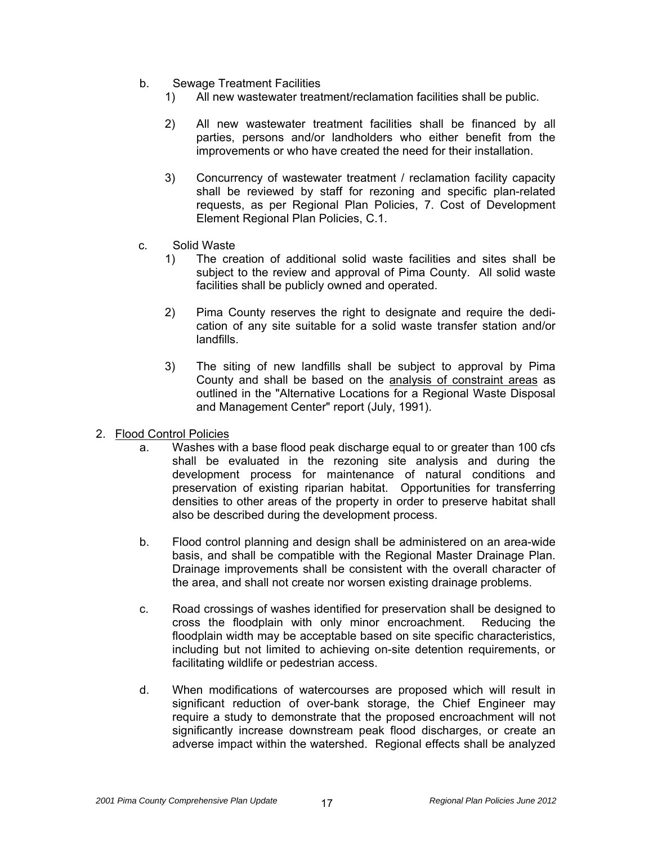- b. Sewage Treatment Facilities
	- 1) All new wastewater treatment/reclamation facilities shall be public.
	- 2) All new wastewater treatment facilities shall be financed by all parties, persons and/or landholders who either benefit from the improvements or who have created the need for their installation.
	- 3) Concurrency of wastewater treatment / reclamation facility capacity shall be reviewed by staff for rezoning and specific plan-related requests, as per Regional Plan Policies, 7. Cost of Development Element Regional Plan Policies, C.1.
- c. Solid Waste
	- 1) The creation of additional solid waste facilities and sites shall be subject to the review and approval of Pima County. All solid waste facilities shall be publicly owned and operated.
	- 2) Pima County reserves the right to designate and require the dedication of any site suitable for a solid waste transfer station and/or landfills.
	- 3) The siting of new landfills shall be subject to approval by Pima County and shall be based on the analysis of constraint areas as outlined in the "Alternative Locations for a Regional Waste Disposal and Management Center" report (July, 1991).
- 2. Flood Control Policies
	- a. Washes with a base flood peak discharge equal to or greater than 100 cfs shall be evaluated in the rezoning site analysis and during the development process for maintenance of natural conditions and preservation of existing riparian habitat. Opportunities for transferring densities to other areas of the property in order to preserve habitat shall also be described during the development process.
	- b. Flood control planning and design shall be administered on an area-wide basis, and shall be compatible with the Regional Master Drainage Plan. Drainage improvements shall be consistent with the overall character of the area, and shall not create nor worsen existing drainage problems.
	- c. Road crossings of washes identified for preservation shall be designed to cross the floodplain with only minor encroachment. Reducing the floodplain width may be acceptable based on site specific characteristics, including but not limited to achieving on-site detention requirements, or facilitating wildlife or pedestrian access.
	- d. When modifications of watercourses are proposed which will result in significant reduction of over-bank storage, the Chief Engineer may require a study to demonstrate that the proposed encroachment will not significantly increase downstream peak flood discharges, or create an adverse impact within the watershed. Regional effects shall be analyzed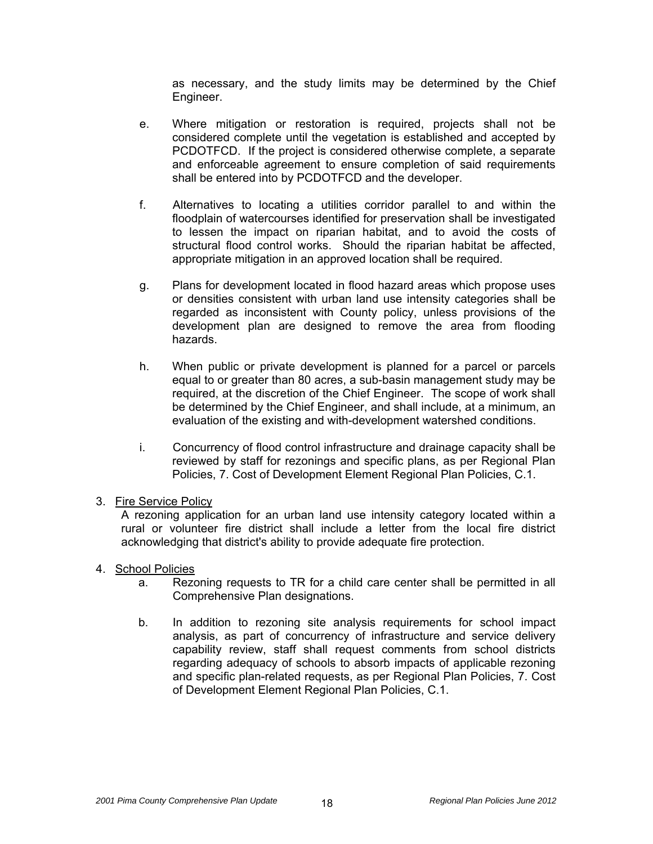as necessary, and the study limits may be determined by the Chief Engineer.

- e. Where mitigation or restoration is required, projects shall not be considered complete until the vegetation is established and accepted by PCDOTFCD. If the project is considered otherwise complete, a separate and enforceable agreement to ensure completion of said requirements shall be entered into by PCDOTFCD and the developer.
- f. Alternatives to locating a utilities corridor parallel to and within the floodplain of watercourses identified for preservation shall be investigated to lessen the impact on riparian habitat, and to avoid the costs of structural flood control works. Should the riparian habitat be affected, appropriate mitigation in an approved location shall be required.
- g. Plans for development located in flood hazard areas which propose uses or densities consistent with urban land use intensity categories shall be regarded as inconsistent with County policy, unless provisions of the development plan are designed to remove the area from flooding hazards.
- h. When public or private development is planned for a parcel or parcels equal to or greater than 80 acres, a sub-basin management study may be required, at the discretion of the Chief Engineer. The scope of work shall be determined by the Chief Engineer, and shall include, at a minimum, an evaluation of the existing and with-development watershed conditions.
- i. Concurrency of flood control infrastructure and drainage capacity shall be reviewed by staff for rezonings and specific plans, as per Regional Plan Policies, 7. Cost of Development Element Regional Plan Policies, C.1.

#### 3. Fire Service Policy

 A rezoning application for an urban land use intensity category located within a rural or volunteer fire district shall include a letter from the local fire district acknowledging that district's ability to provide adequate fire protection.

- 4. School Policies
	- a. Rezoning requests to TR for a child care center shall be permitted in all Comprehensive Plan designations.
	- b. In addition to rezoning site analysis requirements for school impact analysis, as part of concurrency of infrastructure and service delivery capability review, staff shall request comments from school districts regarding adequacy of schools to absorb impacts of applicable rezoning and specific plan-related requests, as per Regional Plan Policies, 7. Cost of Development Element Regional Plan Policies, C.1.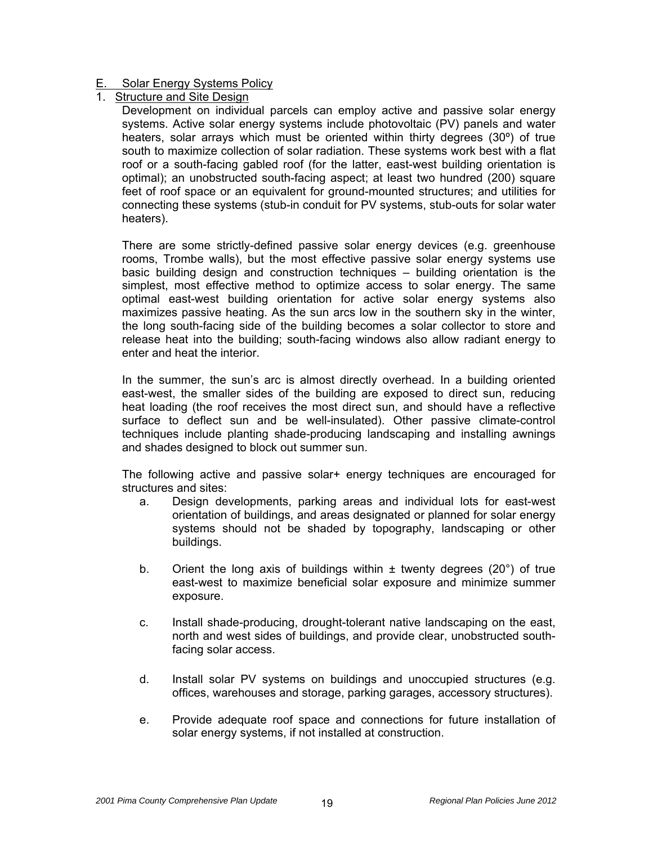#### E. Solar Energy Systems Policy

Structure and Site Design

 Development on individual parcels can employ active and passive solar energy systems. Active solar energy systems include photovoltaic (PV) panels and water heaters, solar arrays which must be oriented within thirty degrees (30º) of true south to maximize collection of solar radiation. These systems work best with a flat roof or a south-facing gabled roof (for the latter, east-west building orientation is optimal); an unobstructed south-facing aspect; at least two hundred (200) square feet of roof space or an equivalent for ground-mounted structures; and utilities for connecting these systems (stub-in conduit for PV systems, stub-outs for solar water heaters).

There are some strictly-defined passive solar energy devices (e.g. greenhouse rooms, Trombe walls), but the most effective passive solar energy systems use basic building design and construction techniques – building orientation is the simplest, most effective method to optimize access to solar energy. The same optimal east-west building orientation for active solar energy systems also maximizes passive heating. As the sun arcs low in the southern sky in the winter, the long south-facing side of the building becomes a solar collector to store and release heat into the building; south-facing windows also allow radiant energy to enter and heat the interior.

In the summer, the sun's arc is almost directly overhead. In a building oriented east-west, the smaller sides of the building are exposed to direct sun, reducing heat loading (the roof receives the most direct sun, and should have a reflective surface to deflect sun and be well-insulated). Other passive climate-control techniques include planting shade-producing landscaping and installing awnings and shades designed to block out summer sun.

The following active and passive solar+ energy techniques are encouraged for structures and sites:

- a. Design developments, parking areas and individual lots for east-west orientation of buildings, and areas designated or planned for solar energy systems should not be shaded by topography, landscaping or other buildings.
- b. Orient the long axis of buildings within  $\pm$  twenty degrees (20 $^{\circ}$ ) of true east-west to maximize beneficial solar exposure and minimize summer exposure.
- c. Install shade-producing, drought-tolerant native landscaping on the east, north and west sides of buildings, and provide clear, unobstructed southfacing solar access.
- d. Install solar PV systems on buildings and unoccupied structures (e.g. offices, warehouses and storage, parking garages, accessory structures).
- e. Provide adequate roof space and connections for future installation of solar energy systems, if not installed at construction.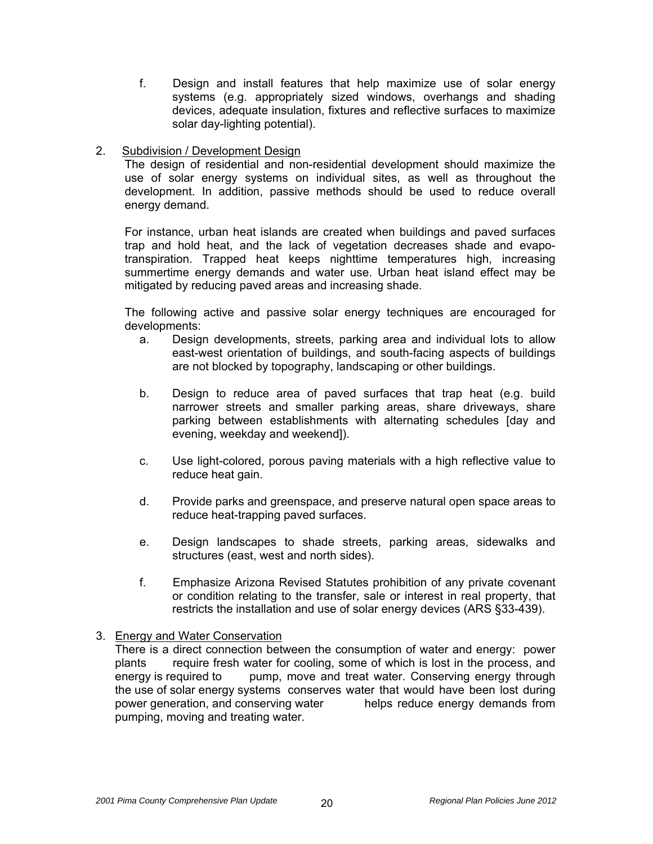- f. Design and install features that help maximize use of solar energy systems (e.g. appropriately sized windows, overhangs and shading devices, adequate insulation, fixtures and reflective surfaces to maximize solar day-lighting potential).
- 2. Subdivision / Development Design

The design of residential and non-residential development should maximize the use of solar energy systems on individual sites, as well as throughout the development. In addition, passive methods should be used to reduce overall energy demand.

For instance, urban heat islands are created when buildings and paved surfaces trap and hold heat, and the lack of vegetation decreases shade and evapotranspiration. Trapped heat keeps nighttime temperatures high, increasing summertime energy demands and water use. Urban heat island effect may be mitigated by reducing paved areas and increasing shade.

The following active and passive solar energy techniques are encouraged for developments:

- a. Design developments, streets, parking area and individual lots to allow east-west orientation of buildings, and south-facing aspects of buildings are not blocked by topography, landscaping or other buildings.
- b. Design to reduce area of paved surfaces that trap heat (e.g. build narrower streets and smaller parking areas, share driveways, share parking between establishments with alternating schedules [day and evening, weekday and weekend]).
- c. Use light-colored, porous paving materials with a high reflective value to reduce heat gain.
- d. Provide parks and greenspace, and preserve natural open space areas to reduce heat-trapping paved surfaces.
- e. Design landscapes to shade streets, parking areas, sidewalks and structures (east, west and north sides).
- f. Emphasize Arizona Revised Statutes prohibition of any private covenant or condition relating to the transfer, sale or interest in real property, that restricts the installation and use of solar energy devices (ARS §33-439).

#### 3. Energy and Water Conservation

There is a direct connection between the consumption of water and energy: power plants require fresh water for cooling, some of which is lost in the process, and energy is required to pump, move and treat water. Conserving energy through the use of solar energy systems conserves water that would have been lost during power generation, and conserving water helps reduce energy demands from pumping, moving and treating water.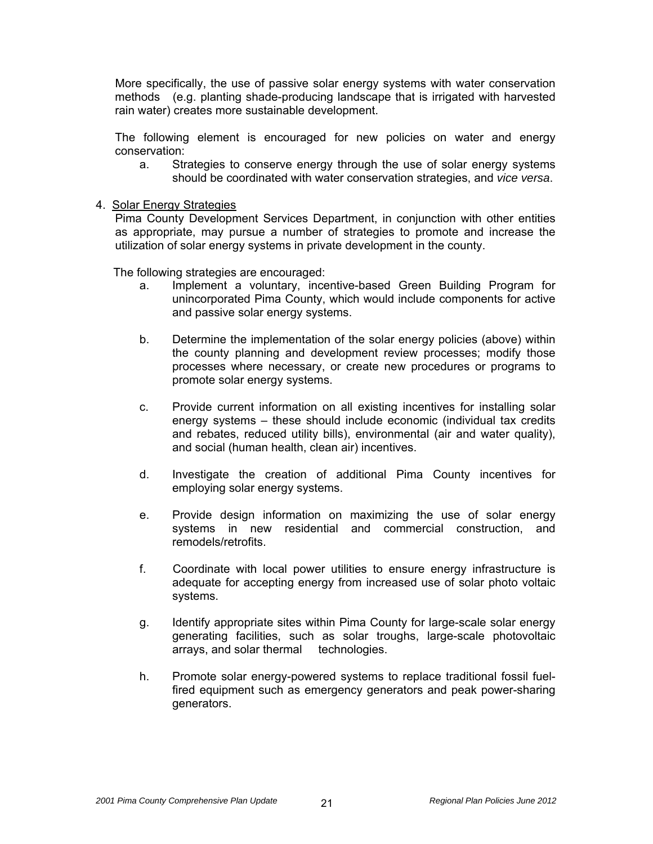More specifically, the use of passive solar energy systems with water conservation methods (e.g. planting shade-producing landscape that is irrigated with harvested rain water) creates more sustainable development.

The following element is encouraged for new policies on water and energy conservation:

a. Strategies to conserve energy through the use of solar energy systems should be coordinated with water conservation strategies, and *vice versa*.

#### 4. Solar Energy Strategies

Pima County Development Services Department, in conjunction with other entities as appropriate, may pursue a number of strategies to promote and increase the utilization of solar energy systems in private development in the county.

The following strategies are encouraged:

- a. Implement a voluntary, incentive-based Green Building Program for unincorporated Pima County, which would include components for active and passive solar energy systems.
- b. Determine the implementation of the solar energy policies (above) within the county planning and development review processes; modify those processes where necessary, or create new procedures or programs to promote solar energy systems.
- c. Provide current information on all existing incentives for installing solar energy systems – these should include economic (individual tax credits and rebates, reduced utility bills), environmental (air and water quality), and social (human health, clean air) incentives.
- d. Investigate the creation of additional Pima County incentives for employing solar energy systems.
- e. Provide design information on maximizing the use of solar energy systems in new residential and commercial construction, and remodels/retrofits.
- f. Coordinate with local power utilities to ensure energy infrastructure is adequate for accepting energy from increased use of solar photo voltaic systems.
- g. Identify appropriate sites within Pima County for large-scale solar energy generating facilities, such as solar troughs, large-scale photovoltaic arrays, and solar thermal technologies.
- h. Promote solar energy-powered systems to replace traditional fossil fuelfired equipment such as emergency generators and peak power-sharing generators.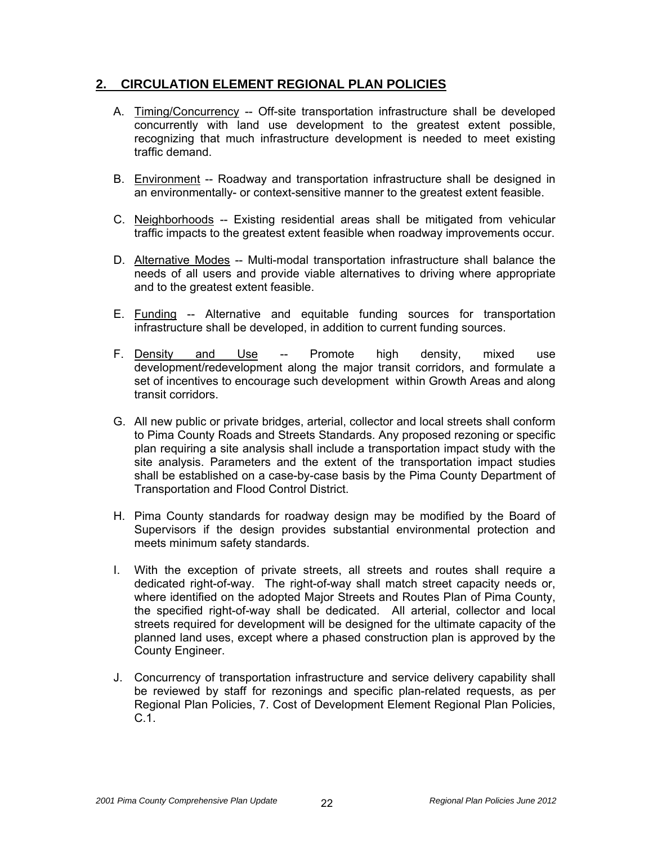# **2. CIRCULATION ELEMENT REGIONAL PLAN POLICIES**

- A. Timing/Concurrency -- Off-site transportation infrastructure shall be developed concurrently with land use development to the greatest extent possible, recognizing that much infrastructure development is needed to meet existing traffic demand.
- B. Environment -- Roadway and transportation infrastructure shall be designed in an environmentally- or context-sensitive manner to the greatest extent feasible.
- C. Neighborhoods -- Existing residential areas shall be mitigated from vehicular traffic impacts to the greatest extent feasible when roadway improvements occur.
- D. Alternative Modes -- Multi-modal transportation infrastructure shall balance the needs of all users and provide viable alternatives to driving where appropriate and to the greatest extent feasible.
- E. Funding -- Alternative and equitable funding sources for transportation infrastructure shall be developed, in addition to current funding sources.
- F. Density and Use -- Promote high density, mixed use development/redevelopment along the major transit corridors, and formulate a set of incentives to encourage such development within Growth Areas and along transit corridors.
- G. All new public or private bridges, arterial, collector and local streets shall conform to Pima County Roads and Streets Standards. Any proposed rezoning or specific plan requiring a site analysis shall include a transportation impact study with the site analysis. Parameters and the extent of the transportation impact studies shall be established on a case-by-case basis by the Pima County Department of Transportation and Flood Control District.
- H. Pima County standards for roadway design may be modified by the Board of Supervisors if the design provides substantial environmental protection and meets minimum safety standards.
- I. With the exception of private streets, all streets and routes shall require a dedicated right-of-way. The right-of-way shall match street capacity needs or, where identified on the adopted Major Streets and Routes Plan of Pima County, the specified right-of-way shall be dedicated. All arterial, collector and local streets required for development will be designed for the ultimate capacity of the planned land uses, except where a phased construction plan is approved by the County Engineer.
- J. Concurrency of transportation infrastructure and service delivery capability shall be reviewed by staff for rezonings and specific plan-related requests, as per Regional Plan Policies, 7. Cost of Development Element Regional Plan Policies, C.1.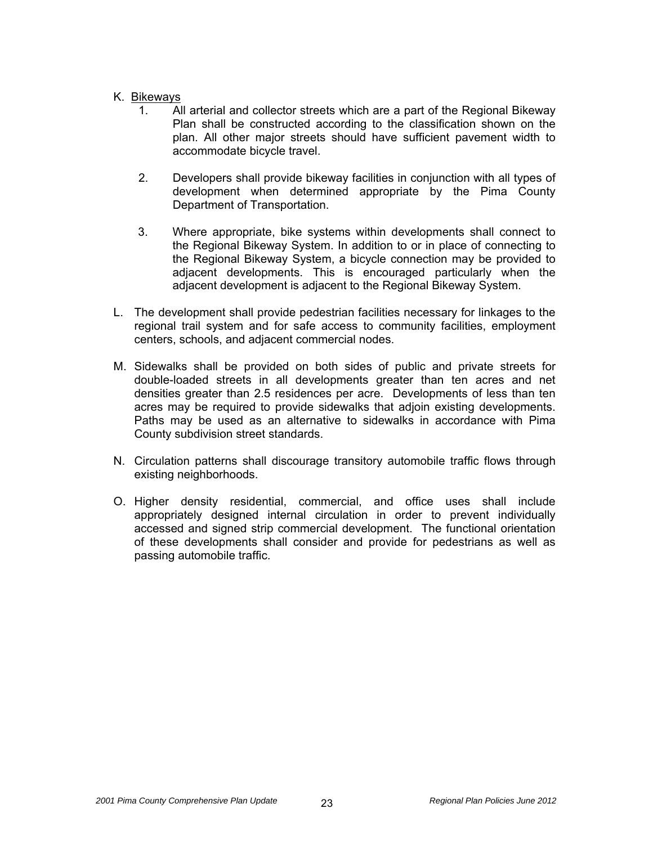#### K. Bikeways

- 1. All arterial and collector streets which are a part of the Regional Bikeway Plan shall be constructed according to the classification shown on the plan. All other major streets should have sufficient pavement width to accommodate bicycle travel.
- 2. Developers shall provide bikeway facilities in conjunction with all types of development when determined appropriate by the Pima County Department of Transportation.
- 3. Where appropriate, bike systems within developments shall connect to the Regional Bikeway System. In addition to or in place of connecting to the Regional Bikeway System, a bicycle connection may be provided to adjacent developments. This is encouraged particularly when the adjacent development is adjacent to the Regional Bikeway System.
- L. The development shall provide pedestrian facilities necessary for linkages to the regional trail system and for safe access to community facilities, employment centers, schools, and adjacent commercial nodes.
- M. Sidewalks shall be provided on both sides of public and private streets for double-loaded streets in all developments greater than ten acres and net densities greater than 2.5 residences per acre. Developments of less than ten acres may be required to provide sidewalks that adjoin existing developments. Paths may be used as an alternative to sidewalks in accordance with Pima County subdivision street standards.
- N. Circulation patterns shall discourage transitory automobile traffic flows through existing neighborhoods.
- O. Higher density residential, commercial, and office uses shall include appropriately designed internal circulation in order to prevent individually accessed and signed strip commercial development. The functional orientation of these developments shall consider and provide for pedestrians as well as passing automobile traffic.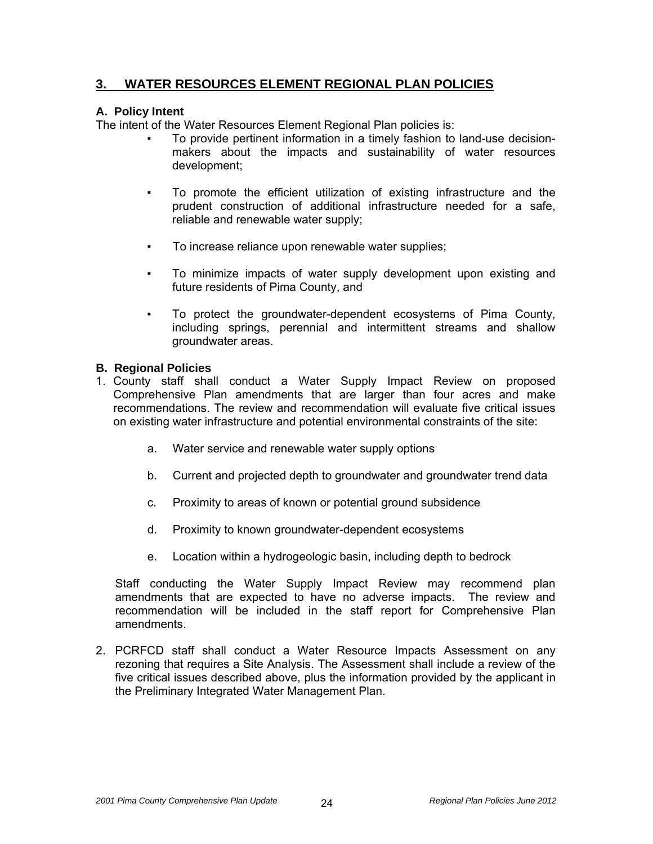# **3. WATER RESOURCES ELEMENT REGIONAL PLAN POLICIES**

#### **A. Policy Intent**

The intent of the Water Resources Element Regional Plan policies is:

- To provide pertinent information in a timely fashion to land-use decisionmakers about the impacts and sustainability of water resources development;
- To promote the efficient utilization of existing infrastructure and the prudent construction of additional infrastructure needed for a safe, reliable and renewable water supply;
- To increase reliance upon renewable water supplies;
- To minimize impacts of water supply development upon existing and future residents of Pima County, and
- To protect the groundwater-dependent ecosystems of Pima County, including springs, perennial and intermittent streams and shallow groundwater areas.

#### **B. Regional Policies**

- 1. County staff shall conduct a Water Supply Impact Review on proposed Comprehensive Plan amendments that are larger than four acres and make recommendations. The review and recommendation will evaluate five critical issues on existing water infrastructure and potential environmental constraints of the site:
	- a. Water service and renewable water supply options
	- b. Current and projected depth to groundwater and groundwater trend data
	- c. Proximity to areas of known or potential ground subsidence
	- d. Proximity to known groundwater-dependent ecosystems
	- e. Location within a hydrogeologic basin, including depth to bedrock

Staff conducting the Water Supply Impact Review may recommend plan amendments that are expected to have no adverse impacts. The review and recommendation will be included in the staff report for Comprehensive Plan amendments.

2. PCRFCD staff shall conduct a Water Resource Impacts Assessment on any rezoning that requires a Site Analysis. The Assessment shall include a review of the five critical issues described above, plus the information provided by the applicant in the Preliminary Integrated Water Management Plan.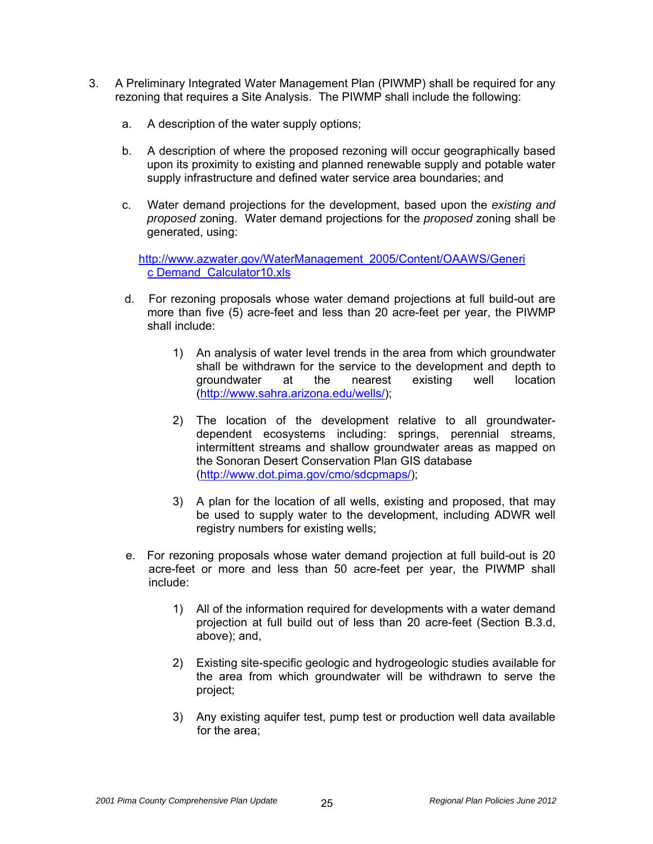- 3. A Preliminary Integrated Water Management Plan (PIWMP) shall be required for any rezoning that requires a Site Analysis. The PIWMP shall include the following:
	- a. A description of the water supply options;
	- b. A description of where the proposed rezoning will occur geographically based upon its proximity to existing and planned renewable supply and potable water supply infrastructure and defined water service area boundaries; and
	- c. Water demand projections for the development, based upon the *existing and proposed* zoning. Water demand projections for the *proposed* zoning shall be generated, using:

[http://www.azwater.gov/WaterManagement\\_2005/Content/OAAWS/Generi](http://www.azwater.gov/WaterManagement_2005/Content/OAAWS/Generic%20Demand_Calculator10.xls) [c Demand\\_Calculator10.xls](http://www.azwater.gov/WaterManagement_2005/Content/OAAWS/Generic%20Demand_Calculator10.xls)

- d. For rezoning proposals whose water demand projections at full build-out are more than five (5) acre-feet and less than 20 acre-feet per year, the PIWMP shall include:
	- 1) An analysis of water level trends in the area from which groundwater shall be withdrawn for the service to the development and depth to groundwater at the nearest existing well location ([http://www.sahra.arizona.edu/wells/\)](http://www.sahra.arizona.edu/wells/);
	- 2) The location of the development relative to all groundwaterdependent ecosystems including: springs, perennial streams, intermittent streams and shallow groundwater areas as mapped on the Sonoran Desert Conservation Plan GIS database (<http://www.dot.pima.gov/cmo/sdcpmaps/>);
	- 3) A plan for the location of all wells, existing and proposed, that may be used to supply water to the development, including ADWR well registry numbers for existing wells;
- e. For rezoning proposals whose water demand projection at full build-out is 20 acre-feet or more and less than 50 acre-feet per year, the PIWMP shall include:
	- 1) All of the information required for developments with a water demand projection at full build out of less than 20 acre-feet (Section B.3.d, above); and,
	- 2) Existing site-specific geologic and hydrogeologic studies available for the area from which groundwater will be withdrawn to serve the project;
	- 3) Any existing aquifer test, pump test or production well data available for the area;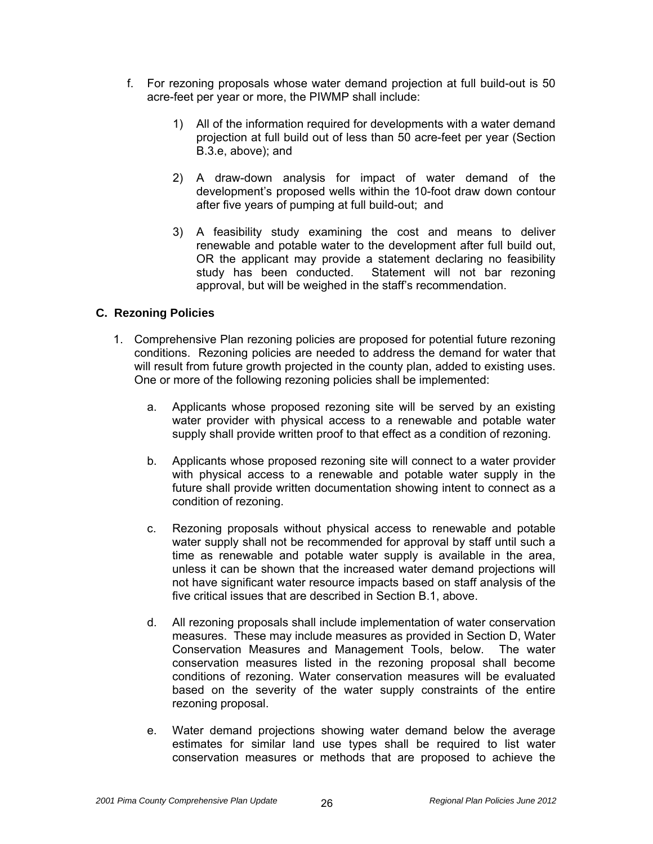- f. For rezoning proposals whose water demand projection at full build-out is 50 acre-feet per year or more, the PIWMP shall include:
	- 1) All of the information required for developments with a water demand projection at full build out of less than 50 acre-feet per year (Section B.3.e, above); and
	- 2) A draw-down analysis for impact of water demand of the development's proposed wells within the 10-foot draw down contour after five years of pumping at full build-out; and
	- 3) A feasibility study examining the cost and means to deliver renewable and potable water to the development after full build out, OR the applicant may provide a statement declaring no feasibility study has been conducted. Statement will not bar rezoning approval, but will be weighed in the staff's recommendation.

## **C. Rezoning Policies**

- 1. Comprehensive Plan rezoning policies are proposed for potential future rezoning conditions. Rezoning policies are needed to address the demand for water that will result from future growth projected in the county plan, added to existing uses. One or more of the following rezoning policies shall be implemented:
	- a. Applicants whose proposed rezoning site will be served by an existing water provider with physical access to a renewable and potable water supply shall provide written proof to that effect as a condition of rezoning.
	- b. Applicants whose proposed rezoning site will connect to a water provider with physical access to a renewable and potable water supply in the future shall provide written documentation showing intent to connect as a condition of rezoning.
	- c. Rezoning proposals without physical access to renewable and potable water supply shall not be recommended for approval by staff until such a time as renewable and potable water supply is available in the area, unless it can be shown that the increased water demand projections will not have significant water resource impacts based on staff analysis of the five critical issues that are described in Section B.1, above.
	- d. All rezoning proposals shall include implementation of water conservation measures. These may include measures as provided in Section D, Water Conservation Measures and Management Tools, below. The water conservation measures listed in the rezoning proposal shall become conditions of rezoning. Water conservation measures will be evaluated based on the severity of the water supply constraints of the entire rezoning proposal.
	- e. Water demand projections showing water demand below the average estimates for similar land use types shall be required to list water conservation measures or methods that are proposed to achieve the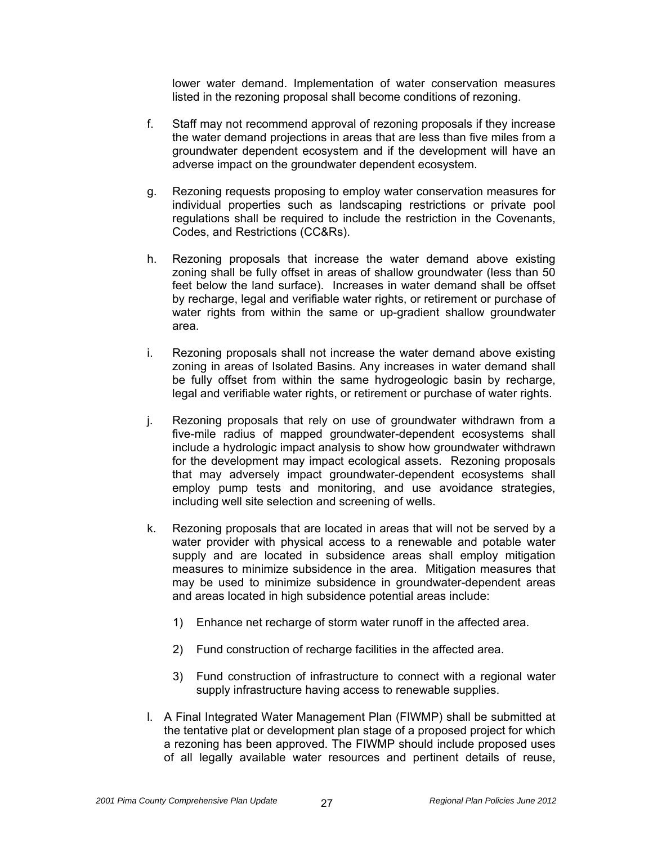lower water demand. Implementation of water conservation measures listed in the rezoning proposal shall become conditions of rezoning.

- f. Staff may not recommend approval of rezoning proposals if they increase the water demand projections in areas that are less than five miles from a groundwater dependent ecosystem and if the development will have an adverse impact on the groundwater dependent ecosystem.
- g. Rezoning requests proposing to employ water conservation measures for individual properties such as landscaping restrictions or private pool regulations shall be required to include the restriction in the Covenants, Codes, and Restrictions (CC&Rs).
- h. Rezoning proposals that increase the water demand above existing zoning shall be fully offset in areas of shallow groundwater (less than 50 feet below the land surface). Increases in water demand shall be offset by recharge, legal and verifiable water rights, or retirement or purchase of water rights from within the same or up-gradient shallow groundwater area.
- i. Rezoning proposals shall not increase the water demand above existing zoning in areas of Isolated Basins. Any increases in water demand shall be fully offset from within the same hydrogeologic basin by recharge, legal and verifiable water rights, or retirement or purchase of water rights.
- j. Rezoning proposals that rely on use of groundwater withdrawn from a five-mile radius of mapped groundwater-dependent ecosystems shall include a hydrologic impact analysis to show how groundwater withdrawn for the development may impact ecological assets. Rezoning proposals that may adversely impact groundwater-dependent ecosystems shall employ pump tests and monitoring, and use avoidance strategies, including well site selection and screening of wells.
- k. Rezoning proposals that are located in areas that will not be served by a water provider with physical access to a renewable and potable water supply and are located in subsidence areas shall employ mitigation measures to minimize subsidence in the area. Mitigation measures that may be used to minimize subsidence in groundwater-dependent areas and areas located in high subsidence potential areas include:
	- 1) Enhance net recharge of storm water runoff in the affected area.
	- 2) Fund construction of recharge facilities in the affected area.
	- 3) Fund construction of infrastructure to connect with a regional water supply infrastructure having access to renewable supplies.
- l. A Final Integrated Water Management Plan (FIWMP) shall be submitted at the tentative plat or development plan stage of a proposed project for which a rezoning has been approved. The FIWMP should include proposed uses of all legally available water resources and pertinent details of reuse,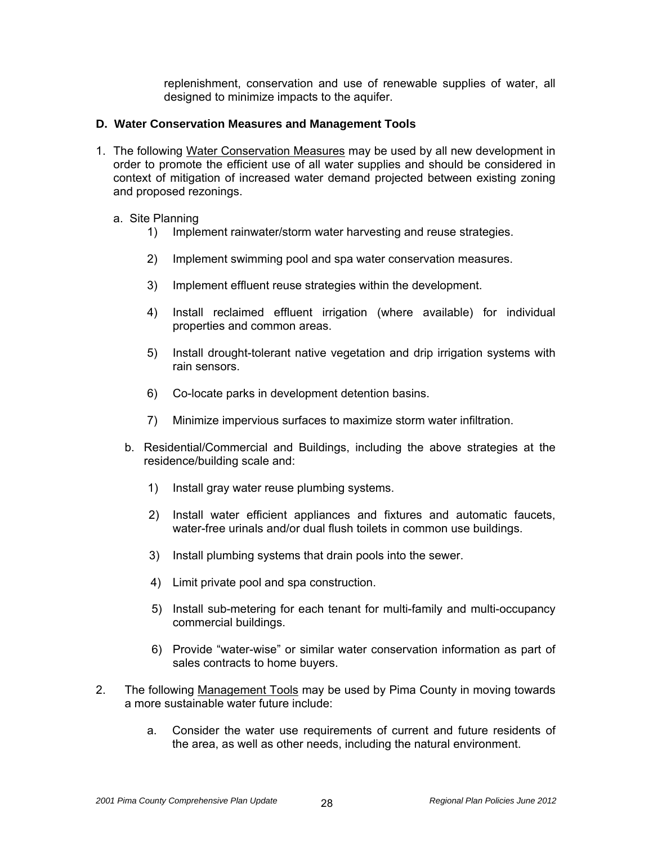replenishment, conservation and use of renewable supplies of water, all designed to minimize impacts to the aquifer.

#### **D. Water Conservation Measures and Management Tools**

- 1. The following Water Conservation Measures may be used by all new development in order to promote the efficient use of all water supplies and should be considered in context of mitigation of increased water demand projected between existing zoning and proposed rezonings.
	- a. Site Planning
		- 1) Implement rainwater/storm water harvesting and reuse strategies.
		- 2) Implement swimming pool and spa water conservation measures.
		- 3) Implement effluent reuse strategies within the development.
		- 4) Install reclaimed effluent irrigation (where available) for individual properties and common areas.
		- 5) Install drought-tolerant native vegetation and drip irrigation systems with rain sensors.
		- 6) Co-locate parks in development detention basins.
		- 7) Minimize impervious surfaces to maximize storm water infiltration.
		- b. Residential/Commercial and Buildings, including the above strategies at the residence/building scale and:
			- 1) Install gray water reuse plumbing systems.
			- 2) Install water efficient appliances and fixtures and automatic faucets, water-free urinals and/or dual flush toilets in common use buildings.
			- 3) Install plumbing systems that drain pools into the sewer.
			- 4) Limit private pool and spa construction.
			- 5) Install sub-metering for each tenant for multi-family and multi-occupancy commercial buildings.
			- 6) Provide "water-wise" or similar water conservation information as part of sales contracts to home buyers.
- 2. The following Management Tools may be used by Pima County in moving towards a more sustainable water future include:
	- a. Consider the water use requirements of current and future residents of the area, as well as other needs, including the natural environment.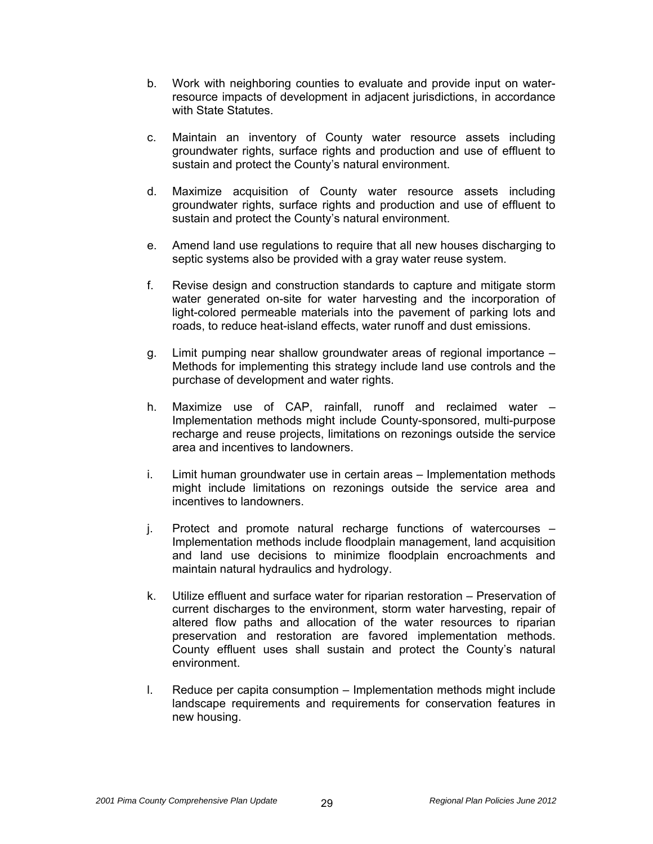- b. Work with neighboring counties to evaluate and provide input on waterresource impacts of development in adjacent jurisdictions, in accordance with State Statutes
- c. Maintain an inventory of County water resource assets including groundwater rights, surface rights and production and use of effluent to sustain and protect the County's natural environment.
- d. Maximize acquisition of County water resource assets including groundwater rights, surface rights and production and use of effluent to sustain and protect the County's natural environment.
- e. Amend land use regulations to require that all new houses discharging to septic systems also be provided with a gray water reuse system.
- f. Revise design and construction standards to capture and mitigate storm water generated on-site for water harvesting and the incorporation of light-colored permeable materials into the pavement of parking lots and roads, to reduce heat-island effects, water runoff and dust emissions.
- g. Limit pumping near shallow groundwater areas of regional importance Methods for implementing this strategy include land use controls and the purchase of development and water rights.
- h. Maximize use of CAP, rainfall, runoff and reclaimed water Implementation methods might include County-sponsored, multi-purpose recharge and reuse projects, limitations on rezonings outside the service area and incentives to landowners.
- i. Limit human groundwater use in certain areas Implementation methods might include limitations on rezonings outside the service area and incentives to landowners.
- j. Protect and promote natural recharge functions of watercourses Implementation methods include floodplain management, land acquisition and land use decisions to minimize floodplain encroachments and maintain natural hydraulics and hydrology.
- k. Utilize effluent and surface water for riparian restoration Preservation of current discharges to the environment, storm water harvesting, repair of altered flow paths and allocation of the water resources to riparian preservation and restoration are favored implementation methods. County effluent uses shall sustain and protect the County's natural environment.
- l. Reduce per capita consumption Implementation methods might include landscape requirements and requirements for conservation features in new housing.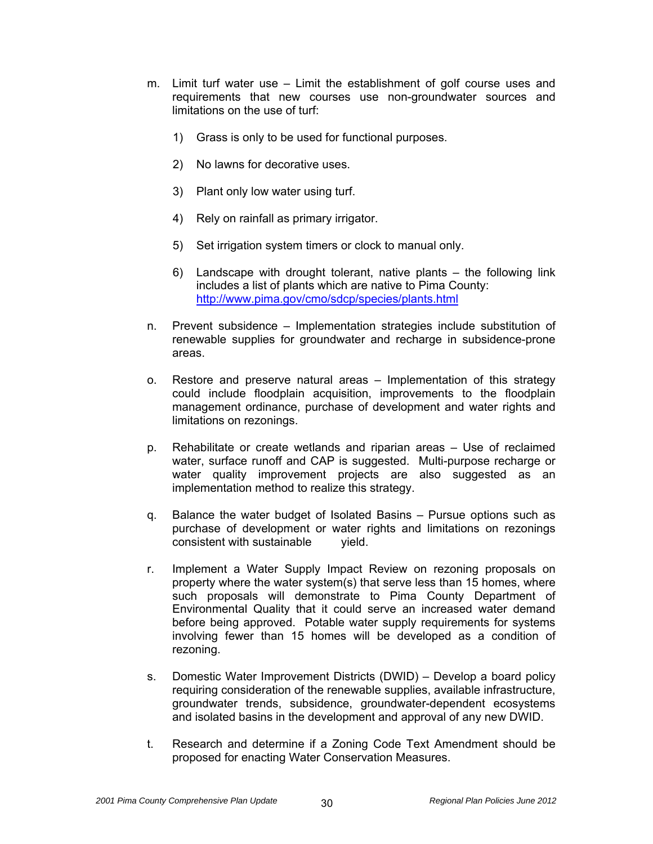- m. Limit turf water use Limit the establishment of golf course uses and requirements that new courses use non-groundwater sources and limitations on the use of turf:
	- 1) Grass is only to be used for functional purposes.
	- 2) No lawns for decorative uses.
	- 3) Plant only low water using turf.
	- 4) Rely on rainfall as primary irrigator.
	- 5) Set irrigation system timers or clock to manual only.
	- 6) Landscape with drought tolerant, native plants the following link includes a list of plants which are native to Pima County: <http://www.pima.gov/cmo/sdcp/species/plants.html>
- n. Prevent subsidence Implementation strategies include substitution of renewable supplies for groundwater and recharge in subsidence-prone areas.
- o. Restore and preserve natural areas Implementation of this strategy could include floodplain acquisition, improvements to the floodplain management ordinance, purchase of development and water rights and limitations on rezonings.
- p. Rehabilitate or create wetlands and riparian areas Use of reclaimed water, surface runoff and CAP is suggested. Multi-purpose recharge or water quality improvement projects are also suggested as an implementation method to realize this strategy.
- q. Balance the water budget of Isolated Basins Pursue options such as purchase of development or water rights and limitations on rezonings consistent with sustainable vield.
- r. Implement a Water Supply Impact Review on rezoning proposals on property where the water system(s) that serve less than 15 homes, where such proposals will demonstrate to Pima County Department of Environmental Quality that it could serve an increased water demand before being approved. Potable water supply requirements for systems involving fewer than 15 homes will be developed as a condition of rezoning.
- s. Domestic Water Improvement Districts (DWID) Develop a board policy requiring consideration of the renewable supplies, available infrastructure, groundwater trends, subsidence, groundwater-dependent ecosystems and isolated basins in the development and approval of any new DWID.
- t. Research and determine if a Zoning Code Text Amendment should be proposed for enacting Water Conservation Measures.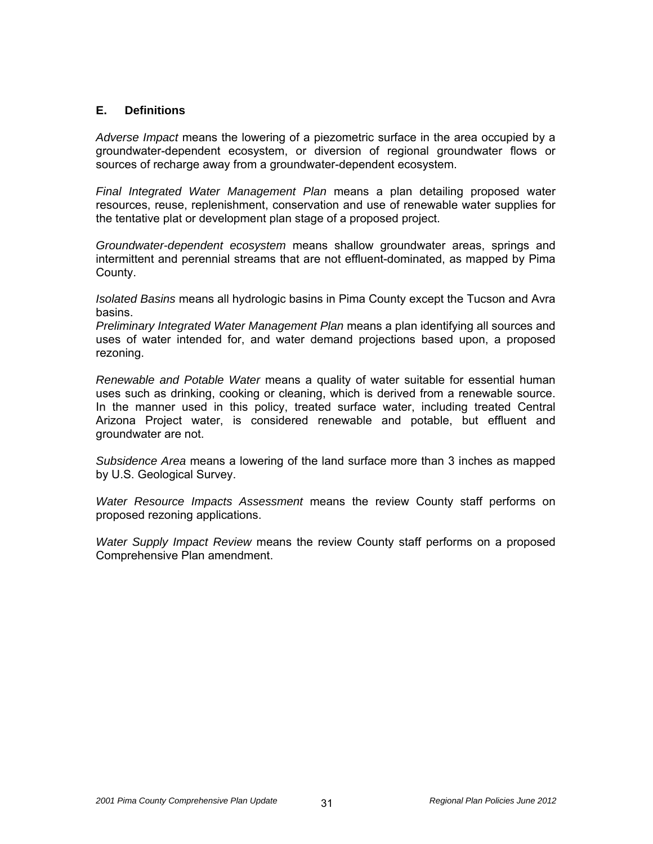#### **E. Definitions**

*Adverse Impact* means the lowering of a piezometric surface in the area occupied by a groundwater-dependent ecosystem, or diversion of regional groundwater flows or sources of recharge away from a groundwater-dependent ecosystem.

*Final Integrated Water Management Plan* means a plan detailing proposed water resources, reuse, replenishment, conservation and use of renewable water supplies for the tentative plat or development plan stage of a proposed project.

*Groundwater-dependent ecosystem* means shallow groundwater areas, springs and intermittent and perennial streams that are not effluent-dominated, as mapped by Pima County.

*Isolated Basins* means all hydrologic basins in Pima County except the Tucson and Avra basins.

*Preliminary Integrated Water Management Plan* means a plan identifying all sources and uses of water intended for, and water demand projections based upon, a proposed rezoning.

*Renewable and Potable Water* means a quality of water suitable for essential human uses such as drinking, cooking or cleaning, which is derived from a renewable source. In the manner used in this policy, treated surface water, including treated Central Arizona Project water, is considered renewable and potable, but effluent and groundwater are not.

*Subsidence Area* means a lowering of the land surface more than 3 inches as mapped by U.S. Geological Survey.

*Water Resource Impacts Assessment* means the review County staff performs on proposed rezoning applications.

*Water Supply Impact Review* means the review County staff performs on a proposed Comprehensive Plan amendment.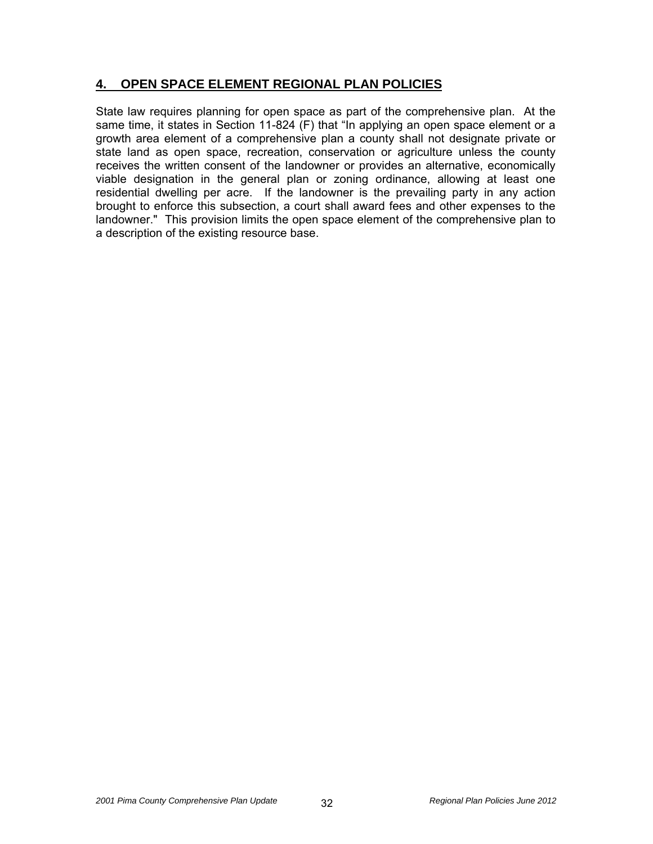# **4. OPEN SPACE ELEMENT REGIONAL PLAN POLICIES**

State law requires planning for open space as part of the comprehensive plan. At the same time, it states in Section 11-824 (F) that "In applying an open space element or a growth area element of a comprehensive plan a county shall not designate private or state land as open space, recreation, conservation or agriculture unless the county receives the written consent of the landowner or provides an alternative, economically viable designation in the general plan or zoning ordinance, allowing at least one residential dwelling per acre. If the landowner is the prevailing party in any action brought to enforce this subsection, a court shall award fees and other expenses to the landowner." This provision limits the open space element of the comprehensive plan to a description of the existing resource base.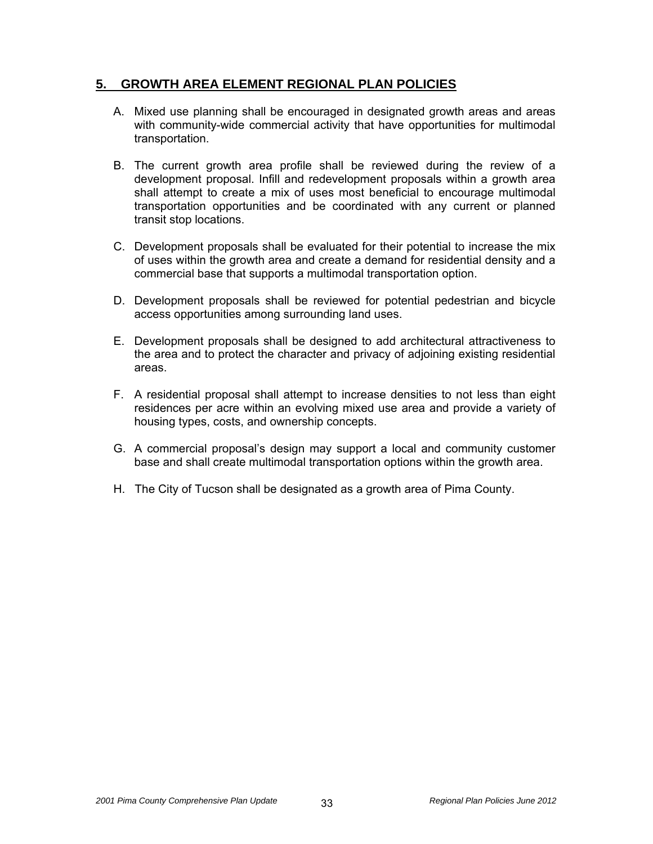# **5. GROWTH AREA ELEMENT REGIONAL PLAN POLICIES**

- A. Mixed use planning shall be encouraged in designated growth areas and areas with community-wide commercial activity that have opportunities for multimodal transportation.
- B. The current growth area profile shall be reviewed during the review of a development proposal. Infill and redevelopment proposals within a growth area shall attempt to create a mix of uses most beneficial to encourage multimodal transportation opportunities and be coordinated with any current or planned transit stop locations.
- C. Development proposals shall be evaluated for their potential to increase the mix of uses within the growth area and create a demand for residential density and a commercial base that supports a multimodal transportation option.
- D. Development proposals shall be reviewed for potential pedestrian and bicycle access opportunities among surrounding land uses.
- E. Development proposals shall be designed to add architectural attractiveness to the area and to protect the character and privacy of adjoining existing residential areas.
- F. A residential proposal shall attempt to increase densities to not less than eight residences per acre within an evolving mixed use area and provide a variety of housing types, costs, and ownership concepts.
- G. A commercial proposal's design may support a local and community customer base and shall create multimodal transportation options within the growth area.
- H. The City of Tucson shall be designated as a growth area of Pima County.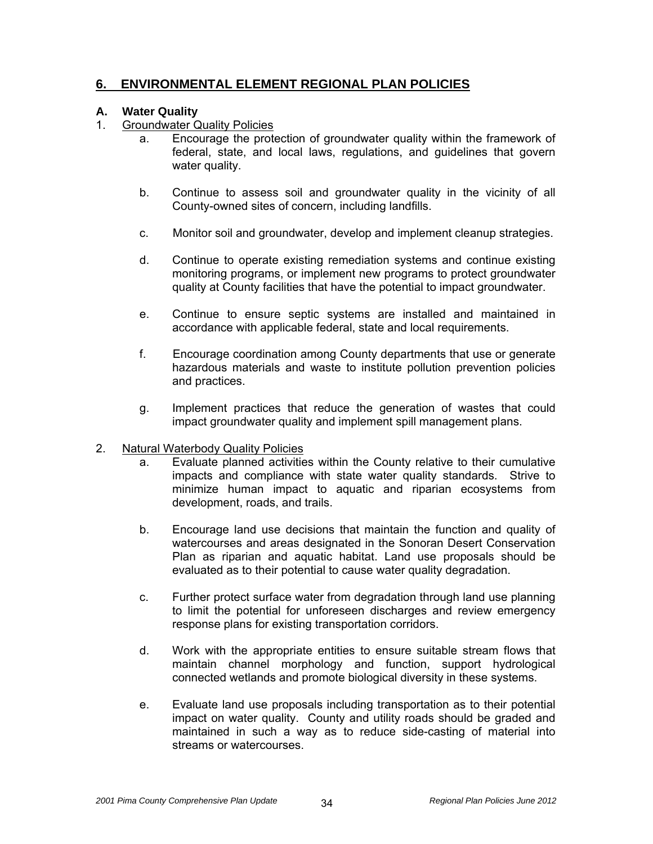# **6. ENVIRONMENTAL ELEMENT REGIONAL PLAN POLICIES**

#### **A. Water Quality**

- 1. Groundwater Quality Policies
	- a. Encourage the protection of groundwater quality within the framework of federal, state, and local laws, regulations, and guidelines that govern water quality.
	- b. Continue to assess soil and groundwater quality in the vicinity of all County-owned sites of concern, including landfills.
	- c. Monitor soil and groundwater, develop and implement cleanup strategies.
	- d. Continue to operate existing remediation systems and continue existing monitoring programs, or implement new programs to protect groundwater quality at County facilities that have the potential to impact groundwater.
	- e. Continue to ensure septic systems are installed and maintained in accordance with applicable federal, state and local requirements.
	- f. Encourage coordination among County departments that use or generate hazardous materials and waste to institute pollution prevention policies and practices.
	- g. Implement practices that reduce the generation of wastes that could impact groundwater quality and implement spill management plans.

#### 2. Natural Waterbody Quality Policies

- a. Evaluate planned activities within the County relative to their cumulative impacts and compliance with state water quality standards. Strive to minimize human impact to aquatic and riparian ecosystems from development, roads, and trails.
- b. Encourage land use decisions that maintain the function and quality of watercourses and areas designated in the Sonoran Desert Conservation Plan as riparian and aquatic habitat. Land use proposals should be evaluated as to their potential to cause water quality degradation.
- c. Further protect surface water from degradation through land use planning to limit the potential for unforeseen discharges and review emergency response plans for existing transportation corridors.
- d. Work with the appropriate entities to ensure suitable stream flows that maintain channel morphology and function, support hydrological connected wetlands and promote biological diversity in these systems.
- e. Evaluate land use proposals including transportation as to their potential impact on water quality. County and utility roads should be graded and maintained in such a way as to reduce side-casting of material into streams or watercourses.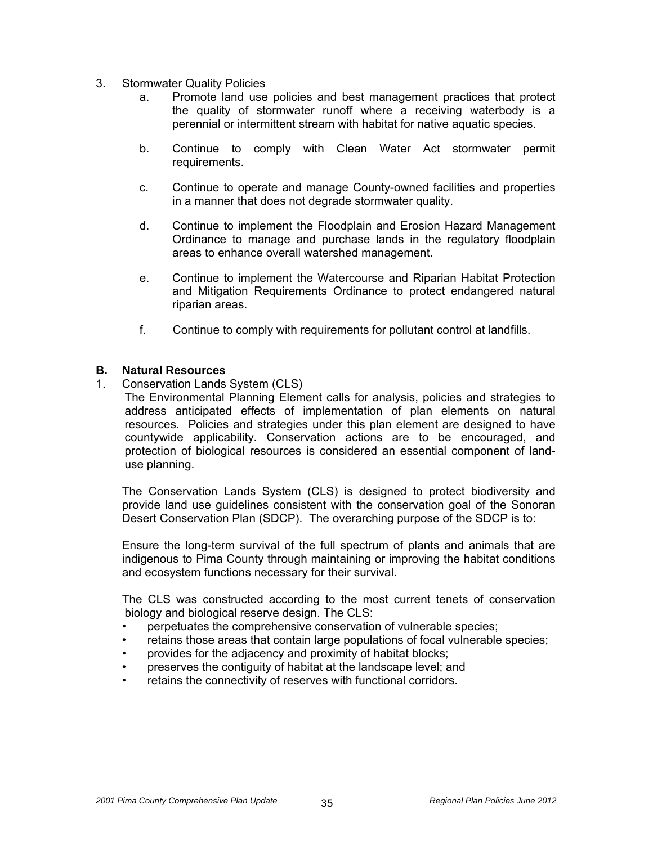#### 3. Stormwater Quality Policies

- a. Promote land use policies and best management practices that protect the quality of stormwater runoff where a receiving waterbody is a perennial or intermittent stream with habitat for native aquatic species.
- b. Continue to comply with Clean Water Act stormwater permit requirements.
- c. Continue to operate and manage County-owned facilities and properties in a manner that does not degrade stormwater quality.
- d. Continue to implement the Floodplain and Erosion Hazard Management Ordinance to manage and purchase lands in the regulatory floodplain areas to enhance overall watershed management.
- e. Continue to implement the Watercourse and Riparian Habitat Protection and Mitigation Requirements Ordinance to protect endangered natural riparian areas.
- f. Continue to comply with requirements for pollutant control at landfills.

#### **B. Natural Resources**

1. Conservation Lands System (CLS)

 The Environmental Planning Element calls for analysis, policies and strategies to address anticipated effects of implementation of plan elements on natural resources. Policies and strategies under this plan element are designed to have countywide applicability. Conservation actions are to be encouraged, and protection of biological resources is considered an essential component of landuse planning.

 The Conservation Lands System (CLS) is designed to protect biodiversity and provide land use guidelines consistent with the conservation goal of the Sonoran Desert Conservation Plan (SDCP). The overarching purpose of the SDCP is to:

 Ensure the long-term survival of the full spectrum of plants and animals that are indigenous to Pima County through maintaining or improving the habitat conditions and ecosystem functions necessary for their survival.

 The CLS was constructed according to the most current tenets of conservation biology and biological reserve design. The CLS:

- perpetuates the comprehensive conservation of vulnerable species;
- retains those areas that contain large populations of focal vulnerable species;
- provides for the adjacency and proximity of habitat blocks;
- preserves the contiguity of habitat at the landscape level; and
- retains the connectivity of reserves with functional corridors.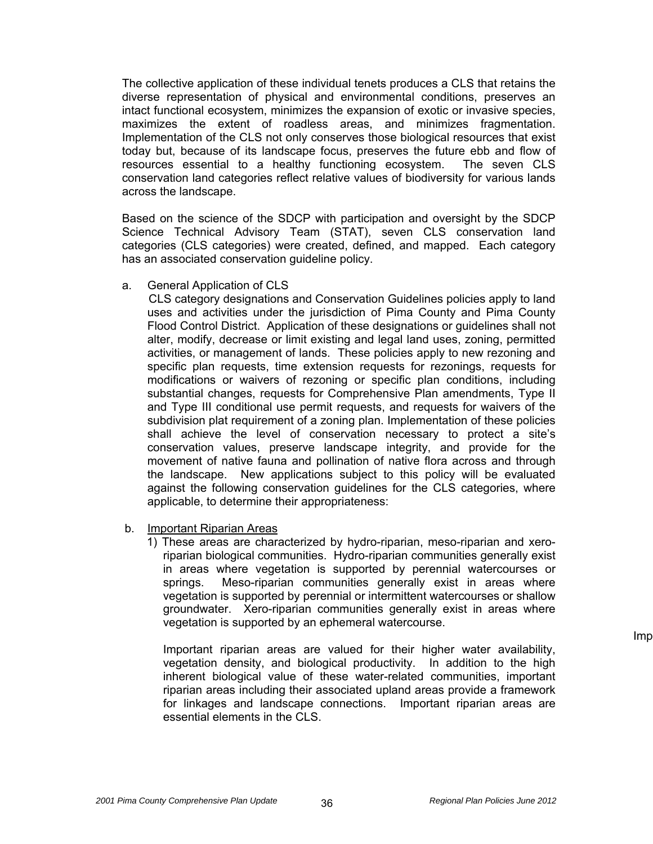The collective application of these individual tenets produces a CLS that retains the diverse representation of physical and environmental conditions, preserves an intact functional ecosystem, minimizes the expansion of exotic or invasive species, maximizes the extent of roadless areas, and minimizes fragmentation. Implementation of the CLS not only conserves those biological resources that exist today but, because of its landscape focus, preserves the future ebb and flow of resources essential to a healthy functioning ecosystem. The seven CLS conservation land categories reflect relative values of biodiversity for various lands across the landscape.

 Based on the science of the SDCP with participation and oversight by the SDCP Science Technical Advisory Team (STAT), seven CLS conservation land categories (CLS categories) were created, defined, and mapped. Each category has an associated conservation guideline policy.

a. General Application of CLS

 CLS category designations and Conservation Guidelines policies apply to land uses and activities under the jurisdiction of Pima County and Pima County Flood Control District. Application of these designations or guidelines shall not alter, modify, decrease or limit existing and legal land uses, zoning, permitted activities, or management of lands. These policies apply to new rezoning and specific plan requests, time extension requests for rezonings, requests for modifications or waivers of rezoning or specific plan conditions, including substantial changes, requests for Comprehensive Plan amendments, Type II and Type III conditional use permit requests, and requests for waivers of the subdivision plat requirement of a zoning plan. Implementation of these policies shall achieve the level of conservation necessary to protect a site's conservation values, preserve landscape integrity, and provide for the movement of native fauna and pollination of native flora across and through the landscape. New applications subject to this policy will be evaluated against the following conservation guidelines for the CLS categories, where applicable, to determine their appropriateness:

b. Important Riparian Areas

1) These areas are characterized by hydro-riparian, meso-riparian and xeroriparian biological communities. Hydro-riparian communities generally exist in areas where vegetation is supported by perennial watercourses or springs. Meso-riparian communities generally exist in areas where vegetation is supported by perennial or intermittent watercourses or shallow groundwater. Xero-riparian communities generally exist in areas where vegetation is supported by an ephemeral watercourse.

Important riparian areas are valued for their higher water availability, vegetation density, and biological productivity. In addition to the high inherent biological value of these water-related communities, important riparian areas including their associated upland areas provide a framework for linkages and landscape connections. Important riparian areas are essential elements in the CLS.

Imp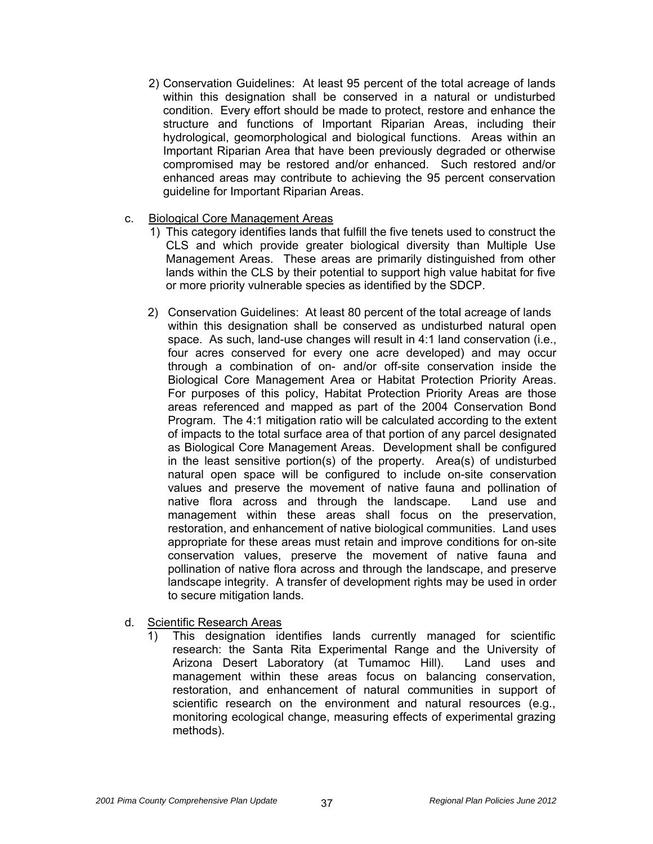- 2) Conservation Guidelines: At least 95 percent of the total acreage of lands within this designation shall be conserved in a natural or undisturbed condition. Every effort should be made to protect, restore and enhance the structure and functions of Important Riparian Areas, including their hydrological, geomorphological and biological functions. Areas within an Important Riparian Area that have been previously degraded or otherwise compromised may be restored and/or enhanced. Such restored and/or enhanced areas may contribute to achieving the 95 percent conservation guideline for Important Riparian Areas.
- c. Biological Core Management Areas
	- 1) This category identifies lands that fulfill the five tenets used to construct the CLS and which provide greater biological diversity than Multiple Use Management Areas. These areas are primarily distinguished from other lands within the CLS by their potential to support high value habitat for five or more priority vulnerable species as identified by the SDCP.
	- 2) Conservation Guidelines: At least 80 percent of the total acreage of lands within this designation shall be conserved as undisturbed natural open space. As such, land-use changes will result in 4:1 land conservation (i.e., four acres conserved for every one acre developed) and may occur through a combination of on- and/or off-site conservation inside the Biological Core Management Area or Habitat Protection Priority Areas. For purposes of this policy, Habitat Protection Priority Areas are those areas referenced and mapped as part of the 2004 Conservation Bond Program. The 4:1 mitigation ratio will be calculated according to the extent of impacts to the total surface area of that portion of any parcel designated as Biological Core Management Areas. Development shall be configured in the least sensitive portion(s) of the property. Area(s) of undisturbed natural open space will be configured to include on-site conservation values and preserve the movement of native fauna and pollination of native flora across and through the landscape. Land use and management within these areas shall focus on the preservation, restoration, and enhancement of native biological communities. Land uses appropriate for these areas must retain and improve conditions for on-site conservation values, preserve the movement of native fauna and pollination of native flora across and through the landscape, and preserve landscape integrity. A transfer of development rights may be used in order to secure mitigation lands.
- d. Scientific Research Areas
	- 1) This designation identifies lands currently managed for scientific research: the Santa Rita Experimental Range and the University of Arizona Desert Laboratory (at Tumamoc Hill). Land uses and management within these areas focus on balancing conservation, restoration, and enhancement of natural communities in support of scientific research on the environment and natural resources (e.g., monitoring ecological change, measuring effects of experimental grazing methods).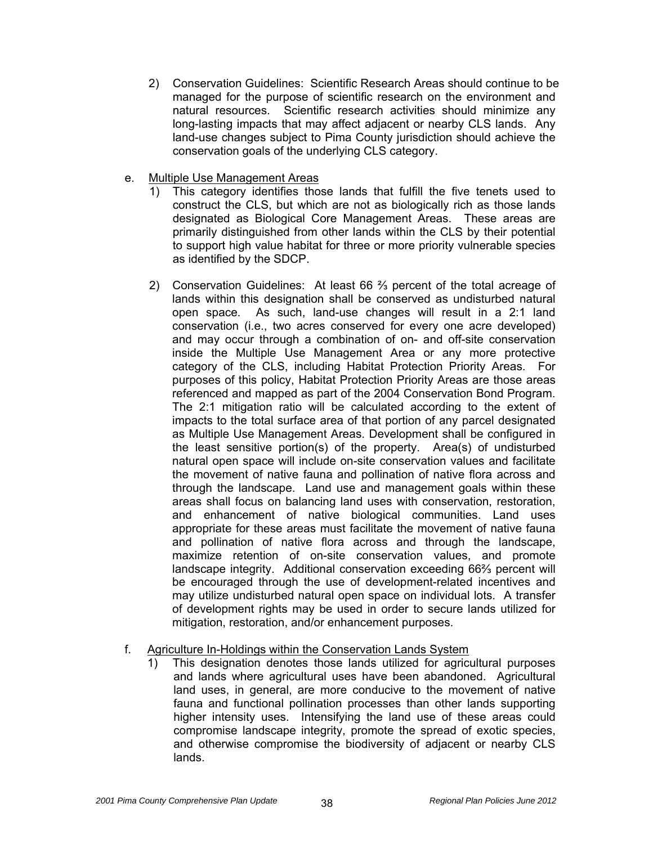- 2) Conservation Guidelines: Scientific Research Areas should continue to be managed for the purpose of scientific research on the environment and natural resources. Scientific research activities should minimize any long-lasting impacts that may affect adjacent or nearby CLS lands. Any land-use changes subject to Pima County jurisdiction should achieve the conservation goals of the underlying CLS category.
- e. Multiple Use Management Areas
	- 1) This category identifies those lands that fulfill the five tenets used to construct the CLS, but which are not as biologically rich as those lands designated as Biological Core Management Areas. These areas are primarily distinguished from other lands within the CLS by their potential to support high value habitat for three or more priority vulnerable species as identified by the SDCP.
	- 2) Conservation Guidelines: At least 66 ⅔ percent of the total acreage of lands within this designation shall be conserved as undisturbed natural open space. As such, land-use changes will result in a 2:1 land conservation (i.e., two acres conserved for every one acre developed) and may occur through a combination of on- and off-site conservation inside the Multiple Use Management Area or any more protective category of the CLS, including Habitat Protection Priority Areas. For purposes of this policy, Habitat Protection Priority Areas are those areas referenced and mapped as part of the 2004 Conservation Bond Program. The 2:1 mitigation ratio will be calculated according to the extent of impacts to the total surface area of that portion of any parcel designated as Multiple Use Management Areas. Development shall be configured in the least sensitive portion(s) of the property. Area(s) of undisturbed natural open space will include on-site conservation values and facilitate the movement of native fauna and pollination of native flora across and through the landscape. Land use and management goals within these areas shall focus on balancing land uses with conservation, restoration, and enhancement of native biological communities. Land uses appropriate for these areas must facilitate the movement of native fauna and pollination of native flora across and through the landscape, maximize retention of on-site conservation values, and promote landscape integrity. Additional conservation exceeding 66⅔ percent will be encouraged through the use of development-related incentives and may utilize undisturbed natural open space on individual lots. A transfer of development rights may be used in order to secure lands utilized for mitigation, restoration, and/or enhancement purposes.

# f. Agriculture In-Holdings within the Conservation Lands System

1) This designation denotes those lands utilized for agricultural purposes and lands where agricultural uses have been abandoned. Agricultural land uses, in general, are more conducive to the movement of native fauna and functional pollination processes than other lands supporting higher intensity uses. Intensifying the land use of these areas could compromise landscape integrity, promote the spread of exotic species, and otherwise compromise the biodiversity of adjacent or nearby CLS lands.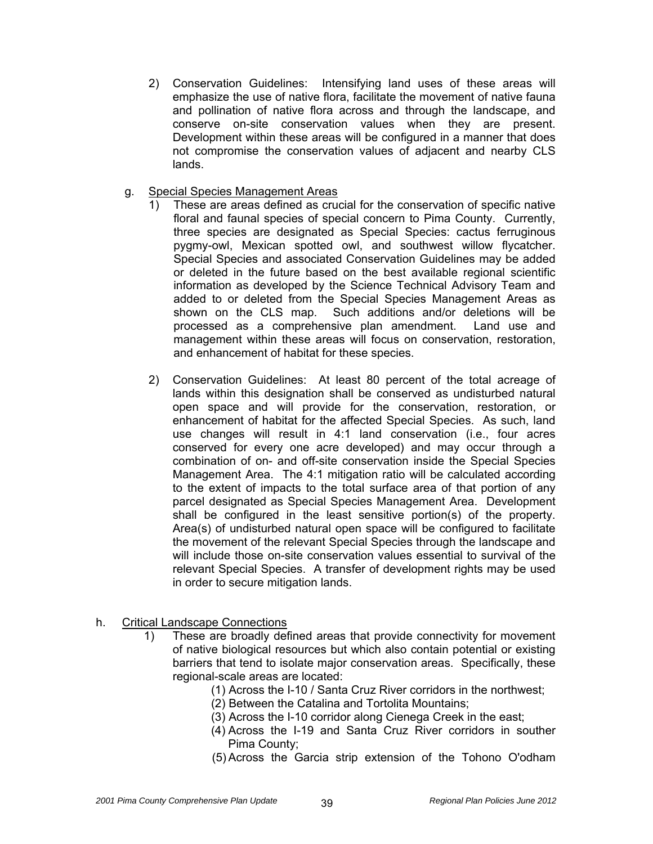- 2) Conservation Guidelines: Intensifying land uses of these areas will emphasize the use of native flora, facilitate the movement of native fauna and pollination of native flora across and through the landscape, and conserve on-site conservation values when they are present. Development within these areas will be configured in a manner that does not compromise the conservation values of adjacent and nearby CLS lands.
- g. Special Species Management Areas
	- 1) These are areas defined as crucial for the conservation of specific native floral and faunal species of special concern to Pima County. Currently, three species are designated as Special Species: cactus ferruginous pygmy-owl, Mexican spotted owl, and southwest willow flycatcher. Special Species and associated Conservation Guidelines may be added or deleted in the future based on the best available regional scientific information as developed by the Science Technical Advisory Team and added to or deleted from the Special Species Management Areas as shown on the CLS map. Such additions and/or deletions will be processed as a comprehensive plan amendment. Land use and management within these areas will focus on conservation, restoration, and enhancement of habitat for these species.
	- 2) Conservation Guidelines: At least 80 percent of the total acreage of lands within this designation shall be conserved as undisturbed natural open space and will provide for the conservation, restoration, or enhancement of habitat for the affected Special Species. As such, land use changes will result in 4:1 land conservation (i.e., four acres conserved for every one acre developed) and may occur through a combination of on- and off-site conservation inside the Special Species Management Area. The 4:1 mitigation ratio will be calculated according to the extent of impacts to the total surface area of that portion of any parcel designated as Special Species Management Area. Development shall be configured in the least sensitive portion(s) of the property. Area(s) of undisturbed natural open space will be configured to facilitate the movement of the relevant Special Species through the landscape and will include those on-site conservation values essential to survival of the relevant Special Species. A transfer of development rights may be used in order to secure mitigation lands.
- h. Critical Landscape Connections
	- 1) These are broadly defined areas that provide connectivity for movement of native biological resources but which also contain potential or existing barriers that tend to isolate major conservation areas. Specifically, these regional-scale areas are located:
		- (1) Across the I-10 / Santa Cruz River corridors in the northwest;
		- (2) Between the Catalina and Tortolita Mountains;
		- (3) Across the I-10 corridor along Cienega Creek in the east;
		- (4) Across the I-19 and Santa Cruz River corridors in souther Pima County;
		- (5) Across the Garcia strip extension of the Tohono O'odham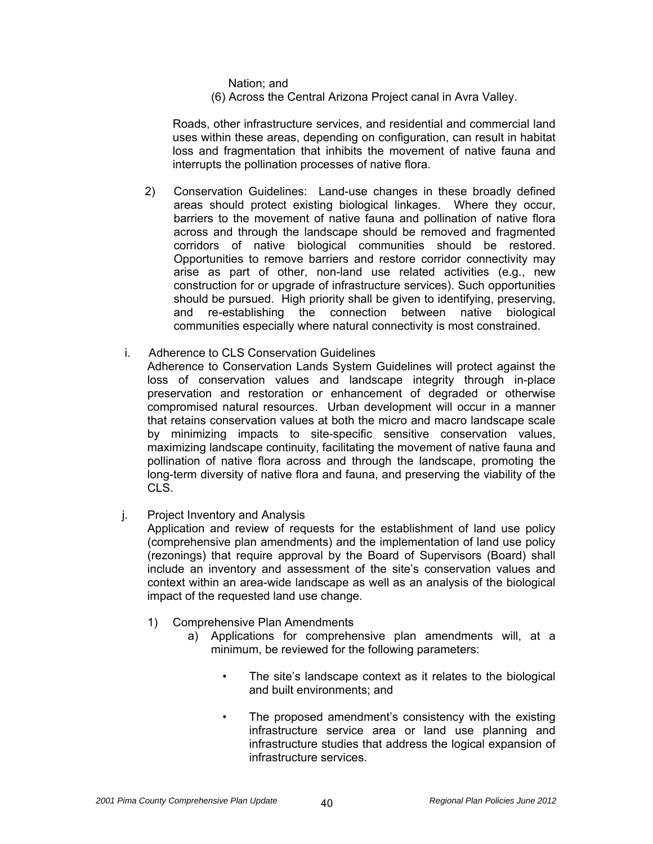Nation; and

(6) Across the Central Arizona Project canal in Avra Valley.

 Roads, other infrastructure services, and residential and commercial land uses within these areas, depending on configuration, can result in habitat loss and fragmentation that inhibits the movement of native fauna and interrupts the pollination processes of native flora.

- 2) Conservation Guidelines: Land-use changes in these broadly defined areas should protect existing biological linkages. Where they occur, barriers to the movement of native fauna and pollination of native flora across and through the landscape should be removed and fragmented corridors of native biological communities should be restored. Opportunities to remove barriers and restore corridor connectivity may arise as part of other, non-land use related activities (e.g., new construction for or upgrade of infrastructure services). Such opportunities should be pursued. High priority shall be given to identifying, preserving, and re-establishing the connection between native biological communities especially where natural connectivity is most constrained.
- i. Adherence to CLS Conservation Guidelines
	- Adherence to Conservation Lands System Guidelines will protect against the loss of conservation values and landscape integrity through in-place preservation and restoration or enhancement of degraded or otherwise compromised natural resources. Urban development will occur in a manner that retains conservation values at both the micro and macro landscape scale by minimizing impacts to site-specific sensitive conservation values, maximizing landscape continuity, facilitating the movement of native fauna and pollination of native flora across and through the landscape, promoting the long-term diversity of native flora and fauna, and preserving the viability of the CLS.
- j. Project Inventory and Analysis

 Application and review of requests for the establishment of land use policy (comprehensive plan amendments) and the implementation of land use policy (rezonings) that require approval by the Board of Supervisors (Board) shall include an inventory and assessment of the site's conservation values and context within an area-wide landscape as well as an analysis of the biological impact of the requested land use change.

- 1) Comprehensive Plan Amendments
	- a) Applications for comprehensive plan amendments will, at a minimum, be reviewed for the following parameters:
		- The site's landscape context as it relates to the biological and built environments; and
		- The proposed amendment's consistency with the existing infrastructure service area or land use planning and infrastructure studies that address the logical expansion of infrastructure services.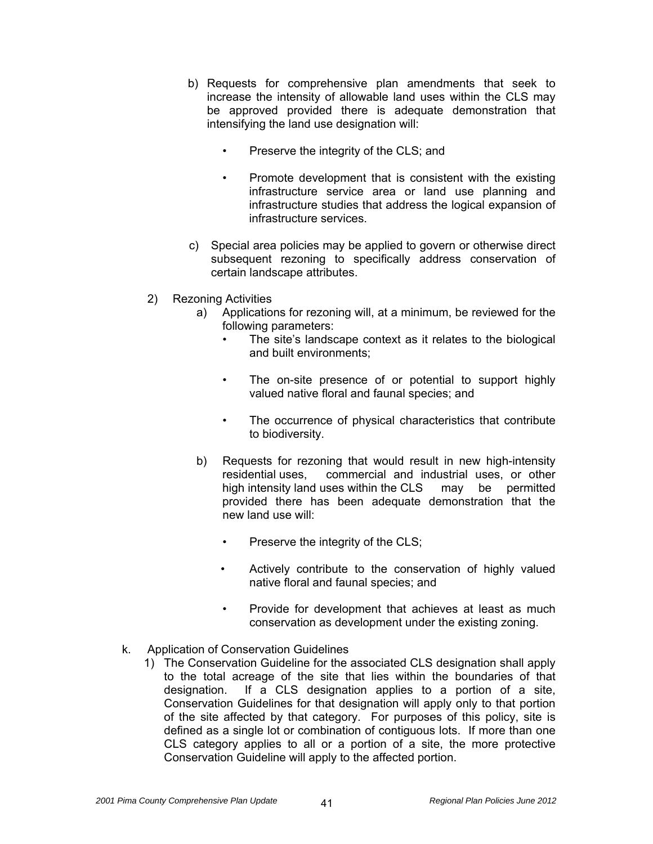- b) Requests for comprehensive plan amendments that seek to increase the intensity of allowable land uses within the CLS may be approved provided there is adequate demonstration that intensifying the land use designation will:
	- Preserve the integrity of the CLS; and
	- Promote development that is consistent with the existing infrastructure service area or land use planning and infrastructure studies that address the logical expansion of infrastructure services.
- c) Special area policies may be applied to govern or otherwise direct subsequent rezoning to specifically address conservation of certain landscape attributes.
- 2) Rezoning Activities
	- a) Applications for rezoning will, at a minimum, be reviewed for the following parameters:
		- The site's landscape context as it relates to the biological and built environments;
		- The on-site presence of or potential to support highly valued native floral and faunal species; and
		- The occurrence of physical characteristics that contribute to biodiversity.
	- b) Requests for rezoning that would result in new high-intensity residential uses, commercial and industrial uses, or other high intensity land uses within the CLS may be permitted provided there has been adequate demonstration that the new land use will:
		- Preserve the integrity of the CLS;
		- Actively contribute to the conservation of highly valued native floral and faunal species; and
		- Provide for development that achieves at least as much conservation as development under the existing zoning.
- k. Application of Conservation Guidelines
	- 1) The Conservation Guideline for the associated CLS designation shall apply to the total acreage of the site that lies within the boundaries of that designation. If a CLS designation applies to a portion of a site, Conservation Guidelines for that designation will apply only to that portion of the site affected by that category. For purposes of this policy, site is defined as a single lot or combination of contiguous lots. If more than one CLS category applies to all or a portion of a site, the more protective Conservation Guideline will apply to the affected portion.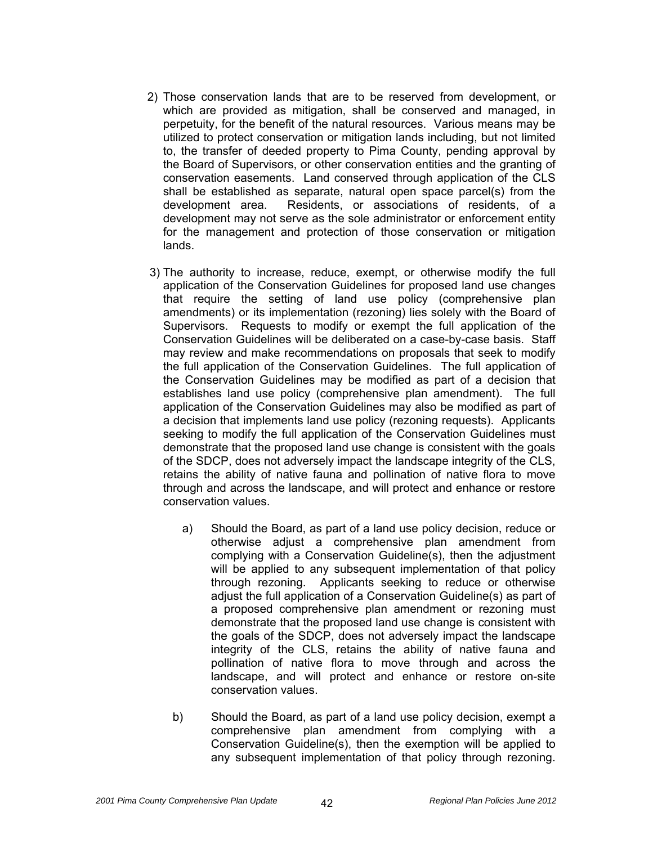- 2) Those conservation lands that are to be reserved from development, or which are provided as mitigation, shall be conserved and managed, in perpetuity, for the benefit of the natural resources. Various means may be utilized to protect conservation or mitigation lands including, but not limited to, the transfer of deeded property to Pima County, pending approval by the Board of Supervisors, or other conservation entities and the granting of conservation easements. Land conserved through application of the CLS shall be established as separate, natural open space parcel(s) from the development area. Residents, or associations of residents, of a development may not serve as the sole administrator or enforcement entity for the management and protection of those conservation or mitigation lands.
- 3) The authority to increase, reduce, exempt, or otherwise modify the full application of the Conservation Guidelines for proposed land use changes that require the setting of land use policy (comprehensive plan amendments) or its implementation (rezoning) lies solely with the Board of Supervisors. Requests to modify or exempt the full application of the Conservation Guidelines will be deliberated on a case-by-case basis. Staff may review and make recommendations on proposals that seek to modify the full application of the Conservation Guidelines. The full application of the Conservation Guidelines may be modified as part of a decision that establishes land use policy (comprehensive plan amendment). The full application of the Conservation Guidelines may also be modified as part of a decision that implements land use policy (rezoning requests). Applicants seeking to modify the full application of the Conservation Guidelines must demonstrate that the proposed land use change is consistent with the goals of the SDCP, does not adversely impact the landscape integrity of the CLS, retains the ability of native fauna and pollination of native flora to move through and across the landscape, and will protect and enhance or restore conservation values.
	- a) Should the Board, as part of a land use policy decision, reduce or otherwise adjust a comprehensive plan amendment from complying with a Conservation Guideline(s), then the adjustment will be applied to any subsequent implementation of that policy through rezoning. Applicants seeking to reduce or otherwise adjust the full application of a Conservation Guideline(s) as part of a proposed comprehensive plan amendment or rezoning must demonstrate that the proposed land use change is consistent with the goals of the SDCP, does not adversely impact the landscape integrity of the CLS, retains the ability of native fauna and pollination of native flora to move through and across the landscape, and will protect and enhance or restore on-site conservation values.
	- b) Should the Board, as part of a land use policy decision, exempt a comprehensive plan amendment from complying with a Conservation Guideline(s), then the exemption will be applied to any subsequent implementation of that policy through rezoning.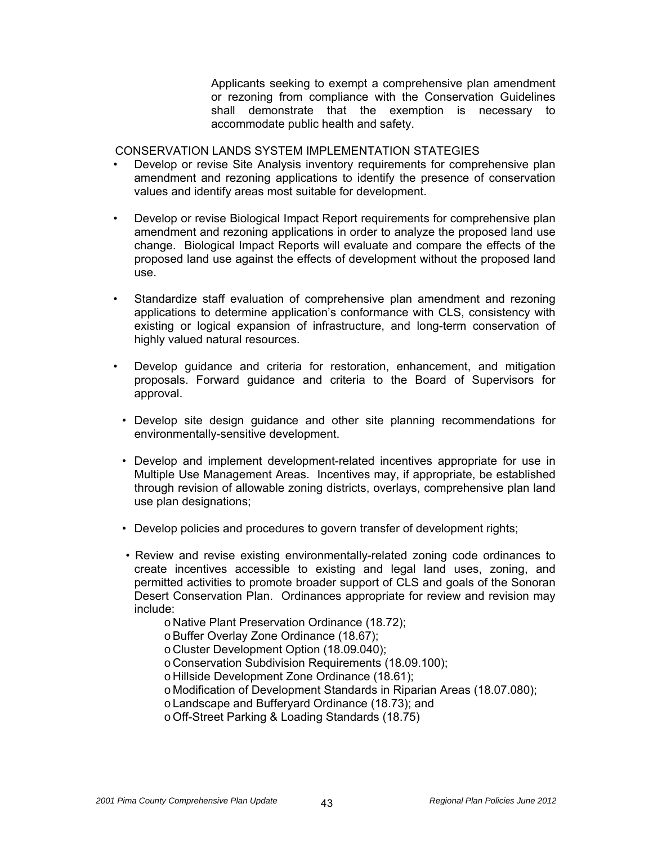Applicants seeking to exempt a comprehensive plan amendment or rezoning from compliance with the Conservation Guidelines shall demonstrate that the exemption is necessary to accommodate public health and safety.

CONSERVATION LANDS SYSTEM IMPLEMENTATION STATEGIES

- Develop or revise Site Analysis inventory requirements for comprehensive plan amendment and rezoning applications to identify the presence of conservation values and identify areas most suitable for development.
- Develop or revise Biological Impact Report requirements for comprehensive plan amendment and rezoning applications in order to analyze the proposed land use change. Biological Impact Reports will evaluate and compare the effects of the proposed land use against the effects of development without the proposed land use.
- Standardize staff evaluation of comprehensive plan amendment and rezoning applications to determine application's conformance with CLS, consistency with existing or logical expansion of infrastructure, and long-term conservation of highly valued natural resources.
- Develop guidance and criteria for restoration, enhancement, and mitigation proposals. Forward guidance and criteria to the Board of Supervisors for approval.
	- Develop site design guidance and other site planning recommendations for environmentally-sensitive development.
	- Develop and implement development-related incentives appropriate for use in Multiple Use Management Areas. Incentives may, if appropriate, be established through revision of allowable zoning districts, overlays, comprehensive plan land use plan designations;
	- Develop policies and procedures to govern transfer of development rights;
	- Review and revise existing environmentally-related zoning code ordinances to create incentives accessible to existing and legal land uses, zoning, and permitted activities to promote broader support of CLS and goals of the Sonoran Desert Conservation Plan. Ordinances appropriate for review and revision may include:
		- o Native Plant Preservation Ordinance (18.72);

o Buffer Overlay Zone Ordinance (18.67);

- o Cluster Development Option (18.09.040);
- o Conservation Subdivision Requirements (18.09.100);
- o Hillside Development Zone Ordinance (18.61);
- o Modification of Development Standards in Riparian Areas (18.07.080);
- o Landscape and Bufferyard Ordinance (18.73); and
- o Off-Street Parking & Loading Standards (18.75)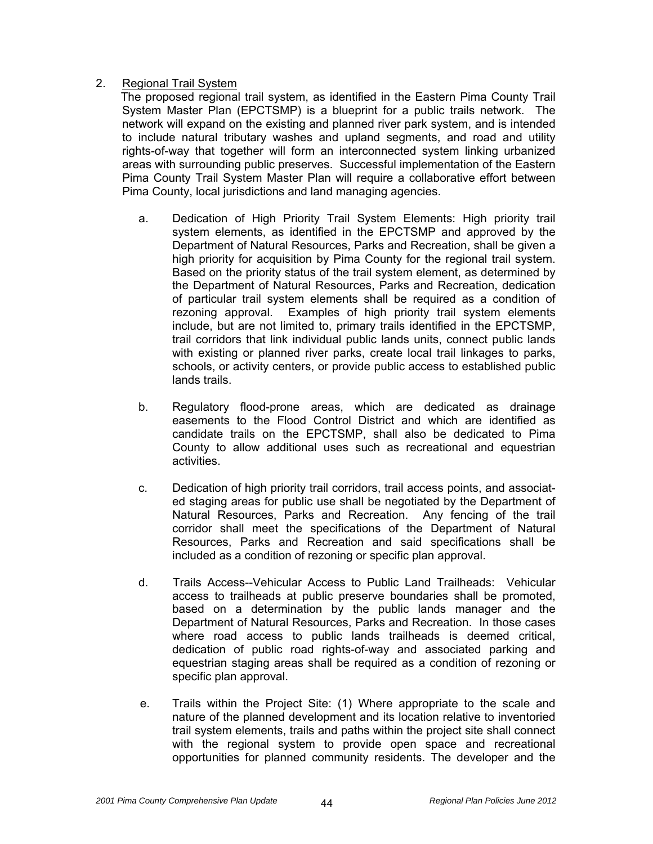#### 2. Regional Trail System

The proposed regional trail system, as identified in the Eastern Pima County Trail System Master Plan (EPCTSMP) is a blueprint for a public trails network. The network will expand on the existing and planned river park system, and is intended to include natural tributary washes and upland segments, and road and utility rights-of-way that together will form an interconnected system linking urbanized areas with surrounding public preserves. Successful implementation of the Eastern Pima County Trail System Master Plan will require a collaborative effort between Pima County, local jurisdictions and land managing agencies.

- a. Dedication of High Priority Trail System Elements: High priority trail system elements, as identified in the EPCTSMP and approved by the Department of Natural Resources, Parks and Recreation, shall be given a high priority for acquisition by Pima County for the regional trail system. Based on the priority status of the trail system element, as determined by the Department of Natural Resources, Parks and Recreation, dedication of particular trail system elements shall be required as a condition of rezoning approval. Examples of high priority trail system elements include, but are not limited to, primary trails identified in the EPCTSMP, trail corridors that link individual public lands units, connect public lands with existing or planned river parks, create local trail linkages to parks, schools, or activity centers, or provide public access to established public lands trails.
- b. Regulatory flood-prone areas, which are dedicated as drainage easements to the Flood Control District and which are identified as candidate trails on the EPCTSMP, shall also be dedicated to Pima County to allow additional uses such as recreational and equestrian activities.
- c. Dedication of high priority trail corridors, trail access points, and associated staging areas for public use shall be negotiated by the Department of Natural Resources, Parks and Recreation. Any fencing of the trail corridor shall meet the specifications of the Department of Natural Resources, Parks and Recreation and said specifications shall be included as a condition of rezoning or specific plan approval.
- d. Trails Access--Vehicular Access to Public Land Trailheads: Vehicular access to trailheads at public preserve boundaries shall be promoted, based on a determination by the public lands manager and the Department of Natural Resources, Parks and Recreation. In those cases where road access to public lands trailheads is deemed critical, dedication of public road rights-of-way and associated parking and equestrian staging areas shall be required as a condition of rezoning or specific plan approval.
- e. Trails within the Project Site: (1) Where appropriate to the scale and nature of the planned development and its location relative to inventoried trail system elements, trails and paths within the project site shall connect with the regional system to provide open space and recreational opportunities for planned community residents. The developer and the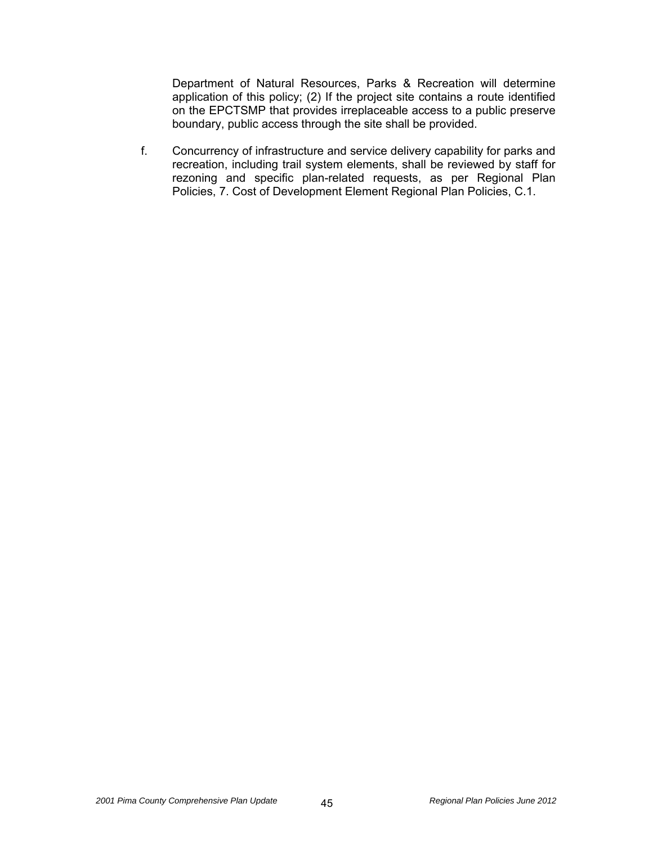Department of Natural Resources, Parks & Recreation will determine application of this policy; (2) If the project site contains a route identified on the EPCTSMP that provides irreplaceable access to a public preserve boundary, public access through the site shall be provided.

f. Concurrency of infrastructure and service delivery capability for parks and recreation, including trail system elements, shall be reviewed by staff for rezoning and specific plan-related requests, as per Regional Plan Policies, 7. Cost of Development Element Regional Plan Policies, C.1.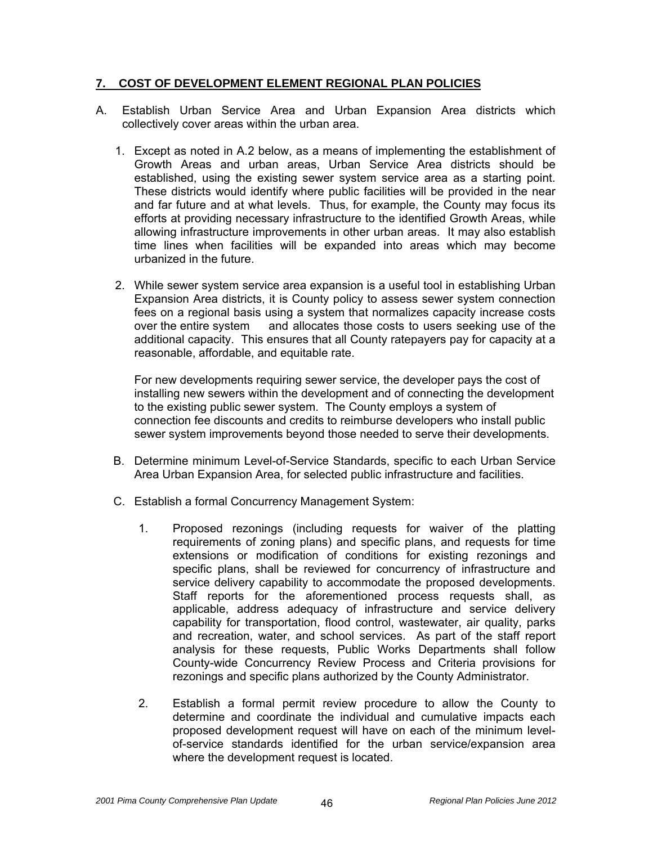#### **7. COST OF DEVELOPMENT ELEMENT REGIONAL PLAN POLICIES**

- A. Establish Urban Service Area and Urban Expansion Area districts which collectively cover areas within the urban area.
	- 1. Except as noted in A.2 below, as a means of implementing the establishment of Growth Areas and urban areas, Urban Service Area districts should be established, using the existing sewer system service area as a starting point. These districts would identify where public facilities will be provided in the near and far future and at what levels. Thus, for example, the County may focus its efforts at providing necessary infrastructure to the identified Growth Areas, while allowing infrastructure improvements in other urban areas. It may also establish time lines when facilities will be expanded into areas which may become urbanized in the future.
	- 2. While sewer system service area expansion is a useful tool in establishing Urban Expansion Area districts, it is County policy to assess sewer system connection fees on a regional basis using a system that normalizes capacity increase costs over the entire system and allocates those costs to users seeking use of the additional capacity. This ensures that all County ratepayers pay for capacity at a reasonable, affordable, and equitable rate.

For new developments requiring sewer service, the developer pays the cost of installing new sewers within the development and of connecting the development to the existing public sewer system. The County employs a system of connection fee discounts and credits to reimburse developers who install public sewer system improvements beyond those needed to serve their developments.

- B. Determine minimum Level-of-Service Standards, specific to each Urban Service Area Urban Expansion Area, for selected public infrastructure and facilities.
- C. Establish a formal Concurrency Management System:
	- 1. Proposed rezonings (including requests for waiver of the platting requirements of zoning plans) and specific plans, and requests for time extensions or modification of conditions for existing rezonings and specific plans, shall be reviewed for concurrency of infrastructure and service delivery capability to accommodate the proposed developments. Staff reports for the aforementioned process requests shall, as applicable, address adequacy of infrastructure and service delivery capability for transportation, flood control, wastewater, air quality, parks and recreation, water, and school services. As part of the staff report analysis for these requests, Public Works Departments shall follow County-wide Concurrency Review Process and Criteria provisions for rezonings and specific plans authorized by the County Administrator.
	- 2. Establish a formal permit review procedure to allow the County to determine and coordinate the individual and cumulative impacts each proposed development request will have on each of the minimum levelof-service standards identified for the urban service/expansion area where the development request is located.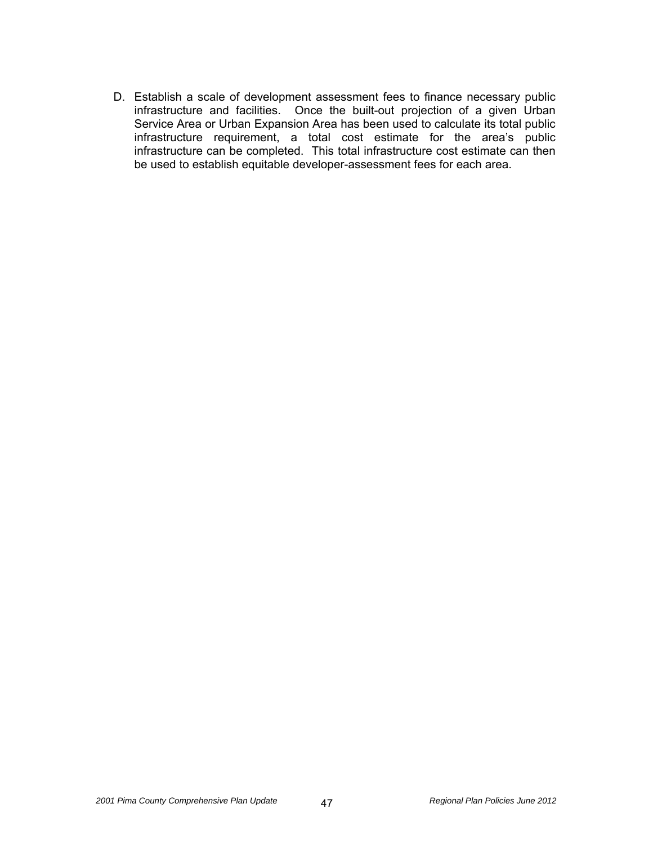D. Establish a scale of development assessment fees to finance necessary public infrastructure and facilities. Once the built-out projection of a given Urban Service Area or Urban Expansion Area has been used to calculate its total public infrastructure requirement, a total cost estimate for the area's public infrastructure can be completed. This total infrastructure cost estimate can then be used to establish equitable developer-assessment fees for each area.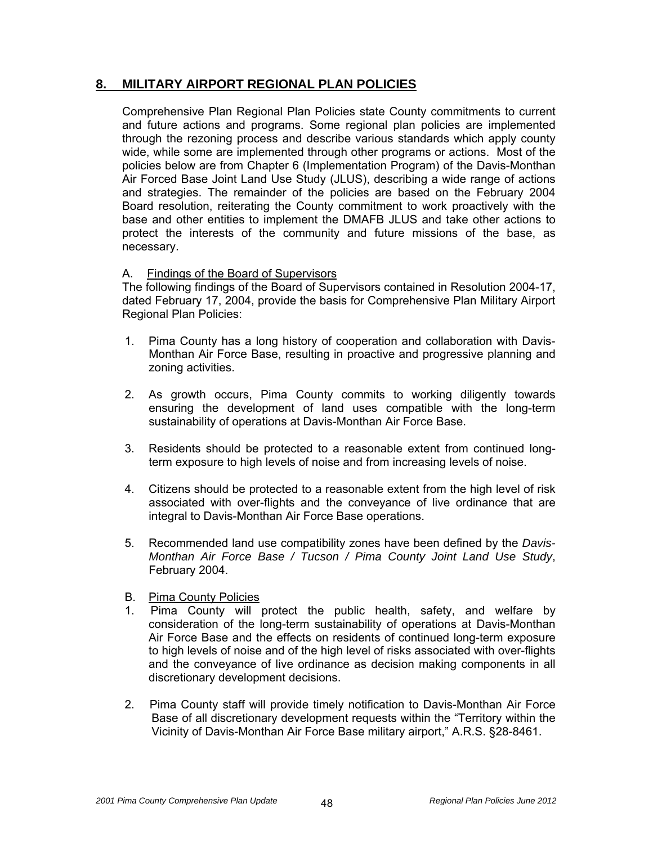# **8. MILITARY AIRPORT REGIONAL PLAN POLICIES**

 Comprehensive Plan Regional Plan Policies state County commitments to current and future actions and programs. Some regional plan policies are implemented through the rezoning process and describe various standards which apply county wide, while some are implemented through other programs or actions. Most of the policies below are from Chapter 6 (Implementation Program) of the Davis-Monthan Air Forced Base Joint Land Use Study (JLUS), describing a wide range of actions and strategies. The remainder of the policies are based on the February 2004 Board resolution, reiterating the County commitment to work proactively with the base and other entities to implement the DMAFB JLUS and take other actions to protect the interests of the community and future missions of the base, as necessary.

## A. Findings of the Board of Supervisors

 The following findings of the Board of Supervisors contained in Resolution 2004-17, dated February 17, 2004, provide the basis for Comprehensive Plan Military Airport Regional Plan Policies:

- 1. Pima County has a long history of cooperation and collaboration with Davis-Monthan Air Force Base, resulting in proactive and progressive planning and zoning activities.
- sustainability of operations at Davis-Monthan Air Force Base. 2. As growth occurs, Pima County commits to working diligently towards ensuring the development of land uses compatible with the long-term
- term exposure to high levels of noise and from increasing levels of noise. 3. Residents should be protected to a reasonable extent from continued long-
- integral to Davis-Monthan Air Force Base operations. 4. Citizens should be protected to a reasonable extent from the high level of risk associated with over-flights and the conveyance of live ordinance that are
- . February 2004 5. Recommended land use compatibility zones have been defined by the *Davis-Monthan Air Force Base / Tucson / Pima County Joint Land Use Study*,
- B. Pima County Policies
- 1. Pima County will protect the public health, safety, and welfare by consideration of the long-term sustainability of operations at Davis-Monthan Air Force Base and the effects on residents of continued long-term exposure to high levels of noise and of the high level of risks associated with over-flights and the conveyance of live ordinance as decision making components in all discretionary development decisions.
- 2. Pima County staff will provide timely notification to Davis-Monthan Air Force Base of all discretionary development requests within the "Territory within the Vicinity of Davis-Monthan Air Force Base military airport," A.R.S. §28-8461.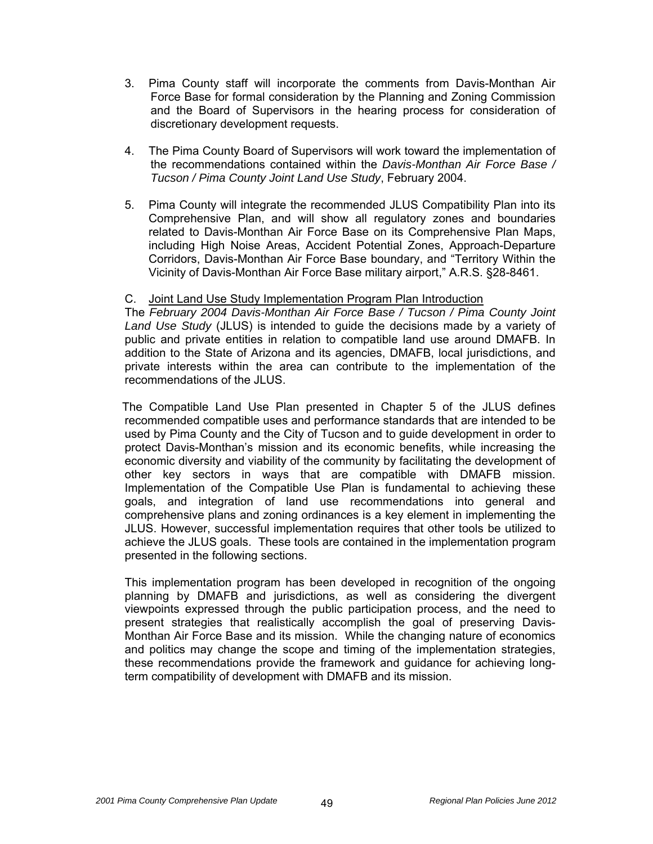- 3. Pima County staff will incorporate the comments from Davis-Monthan Air Force Base for formal consideration by the Planning and Zoning Commission and the Board of Supervisors in the hearing process for consideration of discretionary development requests.
- 4. The Pima County Board of Supervisors will work toward the implementation of the recommendations contained within the *Davis-Monthan Air Force Base / Tucson / Pima County Joint Land Use Study*, February 2004.
- 5. Pima County will integrate the recommended JLUS Compatibility Plan into its Comprehensive Plan, and will show all regulatory zones and boundaries related to Davis-Monthan Air Force Base on its Comprehensive Plan Maps, including High Noise Areas, Accident Potential Zones, Approach-Departure Corridors, Davis-Monthan Air Force Base boundary, and "Territory Within the Vicinity of Davis-Monthan Air Force Base military airport," A.R.S. §28-8461.

#### C. Joint Land Use Study Implementation Program Plan Introduction

 The *February 2004 Davis-Monthan Air Force Base / Tucson / Pima County Joint Land Use Study* (JLUS) is intended to guide the decisions made by a variety of public and private entities in relation to compatible land use around DMAFB. In addition to the State of Arizona and its agencies, DMAFB, local jurisdictions, and private interests within the area can contribute to the implementation of the recommendations of the JLUS.

 The Compatible Land Use Plan presented in Chapter 5 of the JLUS defines recommended compatible uses and performance standards that are intended to be used by Pima County and the City of Tucson and to guide development in order to protect Davis-Monthan's mission and its economic benefits, while increasing the economic diversity and viability of the community by facilitating the development of other key sectors in ways that are compatible with DMAFB mission. Implementation of the Compatible Use Plan is fundamental to achieving these goals, and integration of land use recommendations into general and comprehensive plans and zoning ordinances is a key element in implementing the JLUS. However, successful implementation requires that other tools be utilized to achieve the JLUS goals. These tools are contained in the implementation program presented in the following sections.

 This implementation program has been developed in recognition of the ongoing planning by DMAFB and jurisdictions, as well as considering the divergent viewpoints expressed through the public participation process, and the need to present strategies that realistically accomplish the goal of preserving Davis-Monthan Air Force Base and its mission. While the changing nature of economics and politics may change the scope and timing of the implementation strategies, these recommendations provide the framework and guidance for achieving longterm compatibility of development with DMAFB and its mission.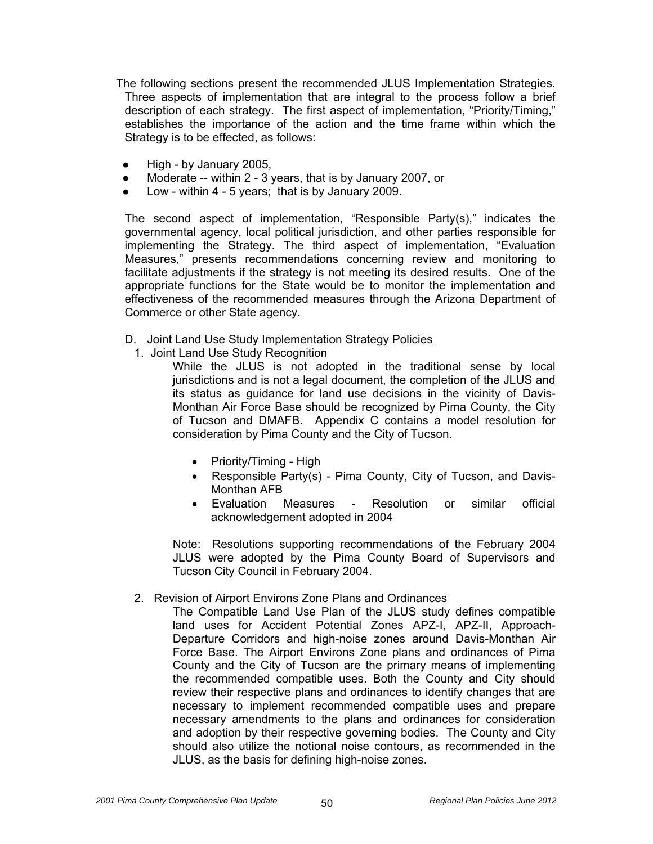The following sections present the recommended JLUS Implementation Strategies. Three aspects of implementation that are integral to the process follow a brief description of each strategy. The first aspect of implementation, "Priority/Timing," establishes the importance of the action and the time frame within which the Strategy is to be effected, as follows:

- High by January 2005,
- Moderate -- within 2 3 years, that is by January 2007, or
- Low within  $4 5$  years; that is by January 2009.

 The second aspect of implementation, "Responsible Party(s)," indicates the governmental agency, local political jurisdiction, and other parties responsible for implementing the Strategy. The third aspect of implementation, "Evaluation Measures," presents recommendations concerning review and monitoring to facilitate adjustments if the strategy is not meeting its desired results. One of the appropriate functions for the State would be to monitor the implementation and effectiveness of the recommended measures through the Arizona Department of Commerce or other State agency.

- D. Joint Land Use Study Implementation Strategy Policies
	- 1. Joint Land Use Study Recognition

While the JLUS is not adopted in the traditional sense by local jurisdictions and is not a legal document, the completion of the JLUS and its status as guidance for land use decisions in the vicinity of Davis-Monthan Air Force Base should be recognized by Pima County, the City of Tucson and DMAFB. Appendix C contains a model resolution for consideration by Pima County and the City of Tucson.

- Priority/Timing High
- Responsible Party(s) Pima County, City of Tucson, and Davis-Monthan AFB
- Evaluation Measures Resolution or similar official acknowledgement adopted in 2004

 Note: Resolutions supporting recommendations of the February 2004 JLUS were adopted by the Pima County Board of Supervisors and Tucson City Council in February 2004.

- 2. Revision of Airport Environs Zone Plans and Ordinances
	- The Compatible Land Use Plan of the JLUS study defines compatible land uses for Accident Potential Zones APZ-I, APZ-II, Approach-Departure Corridors and high-noise zones around Davis-Monthan Air Force Base. The Airport Environs Zone plans and ordinances of Pima County and the City of Tucson are the primary means of implementing the recommended compatible uses. Both the County and City should review their respective plans and ordinances to identify changes that are necessary to implement recommended compatible uses and prepare necessary amendments to the plans and ordinances for consideration and adoption by their respective governing bodies. The County and City should also utilize the notional noise contours, as recommended in the JLUS, as the basis for defining high-noise zones.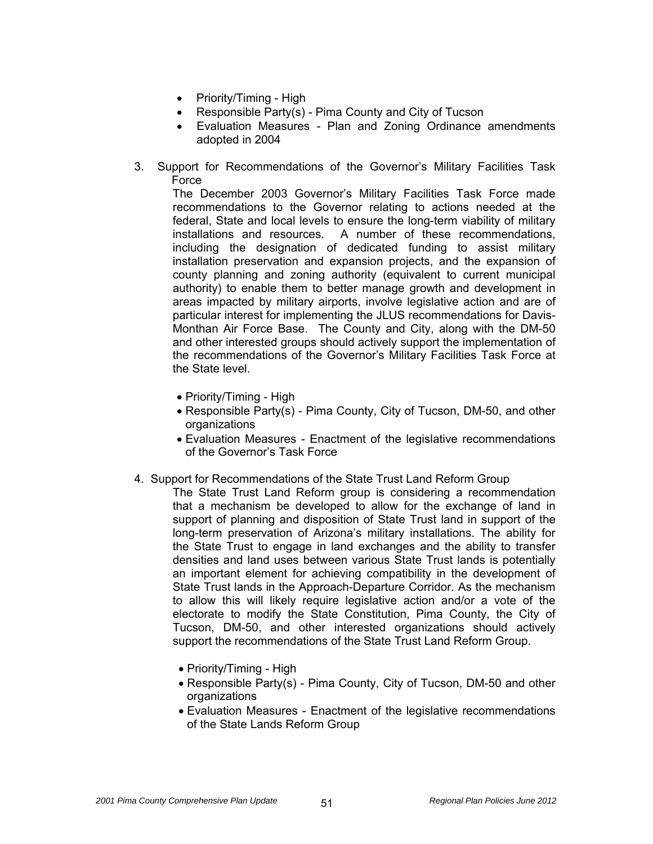- Priority/Timing High
- Responsible Party(s) Pima County and City of Tucson
- Evaluation Measures Plan and Zoning Ordinance amendments adopted in 2004
- 3. Support for Recommendations of the Governor's Military Facilities Task Force

The December 2003 Governor's Military Facilities Task Force made recommendations to the Governor relating to actions needed at the federal, State and local levels to ensure the long-term viability of military installations and resources. A number of these recommendations, including the designation of dedicated funding to assist military installation preservation and expansion projects, and the expansion of county planning and zoning authority (equivalent to current municipal authority) to enable them to better manage growth and development in areas impacted by military airports, involve legislative action and are of particular interest for implementing the JLUS recommendations for Davis-Monthan Air Force Base. The County and City, along with the DM-50 and other interested groups should actively support the implementation of the recommendations of the Governor's Military Facilities Task Force at the State level.

- Priority/Timing High
- Responsible Party(s) Pima County, City of Tucson, DM-50, and other organizations
- Evaluation Measures Enactment of the legislative recommendations of the Governor's Task Force
- 4. Support for Recommendations of the State Trust Land Reform Group
	- The State Trust Land Reform group is considering a recommendation that a mechanism be developed to allow for the exchange of land in support of planning and disposition of State Trust land in support of the long-term preservation of Arizona's military installations. The ability for the State Trust to engage in land exchanges and the ability to transfer densities and land uses between various State Trust lands is potentially an important element for achieving compatibility in the development of State Trust lands in the Approach-Departure Corridor. As the mechanism to allow this will likely require legislative action and/or a vote of the electorate to modify the State Constitution, Pima County, the City of Tucson, DM-50, and other interested organizations should actively support the recommendations of the State Trust Land Reform Group.
		- Priority/Timing High
		- Responsible Party(s) Pima County, City of Tucson, DM-50 and other organizations
		- Evaluation Measures Enactment of the legislative recommendations of the State Lands Reform Group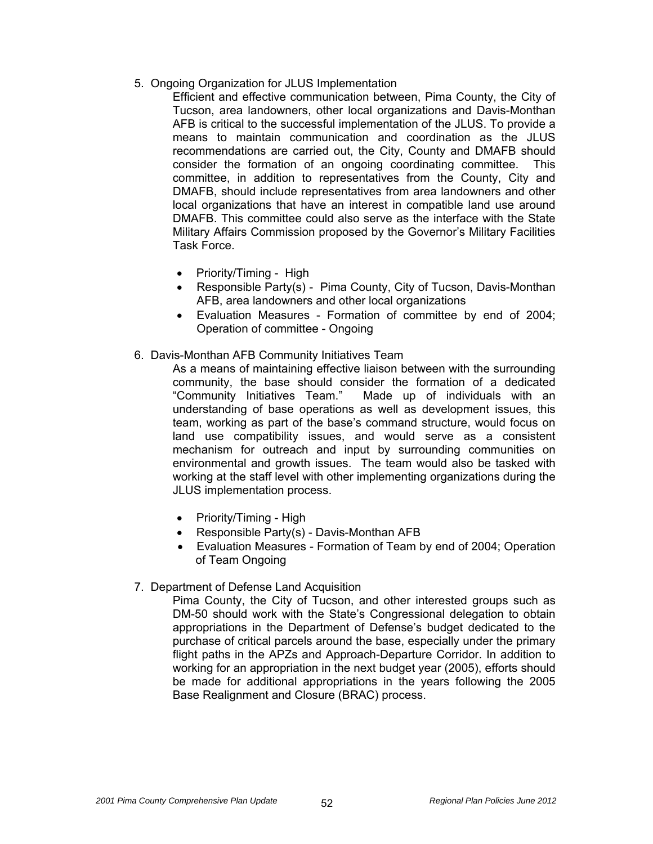5. Ongoing Organization for JLUS Implementation

 Efficient and effective communication between, Pima County, the City of Tucson, area landowners, other local organizations and Davis-Monthan AFB is critical to the successful implementation of the JLUS. To provide a means to maintain communication and coordination as the JLUS recommendations are carried out, the City, County and DMAFB should consider the formation of an ongoing coordinating committee. This committee, in addition to representatives from the County, City and DMAFB, should include representatives from area landowners and other local organizations that have an interest in compatible land use around DMAFB. This committee could also serve as the interface with the State Military Affairs Commission proposed by the Governor's Military Facilities Task Force.

- Priority/Timing High
- Responsible Party(s) Pima County, City of Tucson, Davis-Monthan AFB, area landowners and other local organizations
- Evaluation Measures Formation of committee by end of 2004; Operation of committee - Ongoing
- 6. Davis-Monthan AFB Community Initiatives Team

As a means of maintaining effective liaison between with the surrounding community, the base should consider the formation of a dedicated "Community Initiatives Team." Made up of individuals with an understanding of base operations as well as development issues, this team, working as part of the base's command structure, would focus on land use compatibility issues, and would serve as a consistent mechanism for outreach and input by surrounding communities on environmental and growth issues. The team would also be tasked with working at the staff level with other implementing organizations during the JLUS implementation process.

- Priority/Timing High
- Responsible Party(s) Davis-Monthan AFB
- Evaluation Measures Formation of Team by end of 2004; Operation of Team Ongoing
- 7. Department of Defense Land Acquisition

Pima County, the City of Tucson, and other interested groups such as DM-50 should work with the State's Congressional delegation to obtain appropriations in the Department of Defense's budget dedicated to the purchase of critical parcels around the base, especially under the primary flight paths in the APZs and Approach-Departure Corridor. In addition to working for an appropriation in the next budget year (2005), efforts should be made for additional appropriations in the years following the 2005 Base Realignment and Closure (BRAC) process.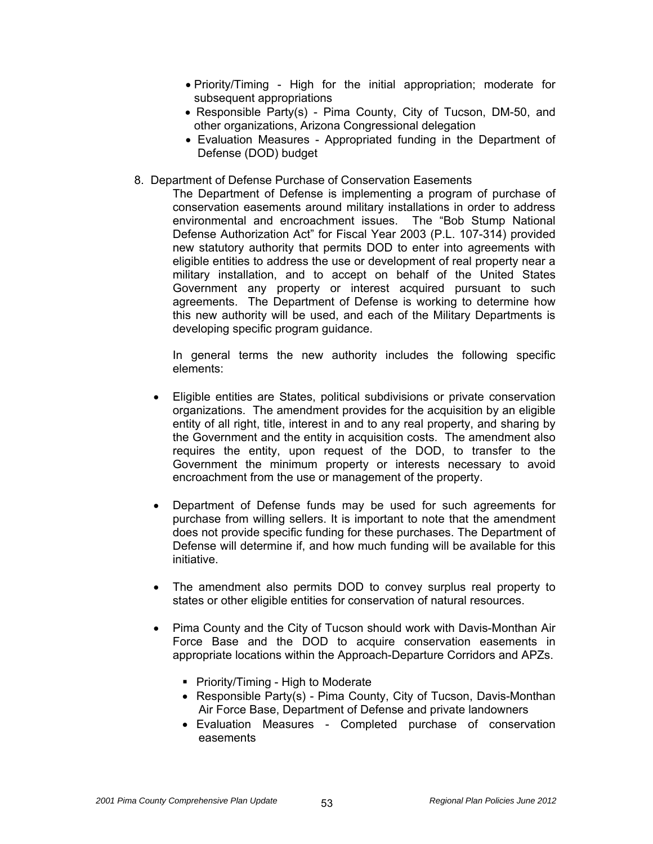- Priority/Timing High for the initial appropriation; moderate for subsequent appropriations
- Responsible Party(s) Pima County, City of Tucson, DM-50, and other organizations, Arizona Congressional delegation
- Evaluation Measures Appropriated funding in the Department of Defense (DOD) budget
- 8. Department of Defense Purchase of Conservation Easements

The Department of Defense is implementing a program of purchase of conservation easements around military installations in order to address environmental and encroachment issues. The "Bob Stump National Defense Authorization Act" for Fiscal Year 2003 (P.L. 107-314) provided new statutory authority that permits DOD to enter into agreements with eligible entities to address the use or development of real property near a military installation, and to accept on behalf of the United States Government any property or interest acquired pursuant to such agreements. The Department of Defense is working to determine how this new authority will be used, and each of the Military Departments is developing specific program guidance.

 In general terms the new authority includes the following specific elements:

- Eligible entities are States, political subdivisions or private conservation organizations. The amendment provides for the acquisition by an eligible entity of all right, title, interest in and to any real property, and sharing by the Government and the entity in acquisition costs. The amendment also requires the entity, upon request of the DOD, to transfer to the Government the minimum property or interests necessary to avoid encroachment from the use or management of the property.
- Department of Defense funds may be used for such agreements for purchase from willing sellers. It is important to note that the amendment does not provide specific funding for these purchases. The Department of Defense will determine if, and how much funding will be available for this initiative.
- The amendment also permits DOD to convey surplus real property to states or other eligible entities for conservation of natural resources.
- Pima County and the City of Tucson should work with Davis-Monthan Air Force Base and the DOD to acquire conservation easements in appropriate locations within the Approach-Departure Corridors and APZs.
	- **Priority/Timing High to Moderate**
	- Responsible Party(s) Pima County, City of Tucson, Davis-Monthan Air Force Base, Department of Defense and private landowners
	- Evaluation Measures Completed purchase of conservation easements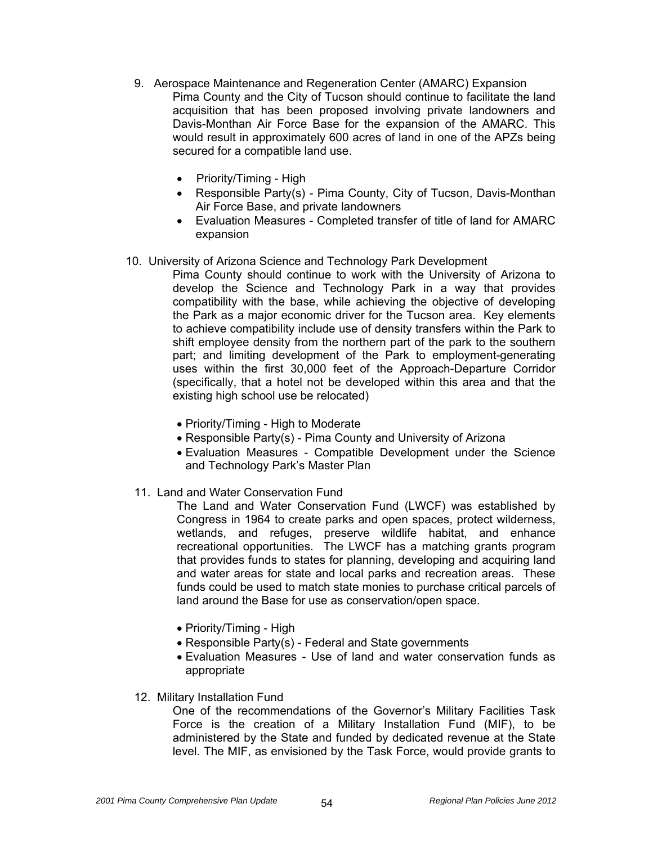- 9. Aerospace Maintenance and Regeneration Center (AMARC) Expansion Pima County and the City of Tucson should continue to facilitate the land acquisition that has been proposed involving private landowners and Davis-Monthan Air Force Base for the expansion of the AMARC. This would result in approximately 600 acres of land in one of the APZs being secured for a compatible land use.
	- Priority/Timing High
	- Responsible Party(s) Pima County, City of Tucson, Davis-Monthan Air Force Base, and private landowners
	- Evaluation Measures Completed transfer of title of land for AMARC expansion
- 10. University of Arizona Science and Technology Park Development
	- Pima County should continue to work with the University of Arizona to develop the Science and Technology Park in a way that provides compatibility with the base, while achieving the objective of developing the Park as a major economic driver for the Tucson area. Key elements to achieve compatibility include use of density transfers within the Park to shift employee density from the northern part of the park to the southern part; and limiting development of the Park to employment-generating uses within the first 30,000 feet of the Approach-Departure Corridor (specifically, that a hotel not be developed within this area and that the existing high school use be relocated)
		- Priority/Timing High to Moderate
		- Responsible Party(s) Pima County and University of Arizona
		- Evaluation Measures Compatible Development under the Science and Technology Park's Master Plan
	- 11. Land and Water Conservation Fund

The Land and Water Conservation Fund (LWCF) was established by Congress in 1964 to create parks and open spaces, protect wilderness, wetlands, and refuges, preserve wildlife habitat, and enhance recreational opportunities. The LWCF has a matching grants program that provides funds to states for planning, developing and acquiring land and water areas for state and local parks and recreation areas. These funds could be used to match state monies to purchase critical parcels of land around the Base for use as conservation/open space.

- Priority/Timing High
- Responsible Party(s) Federal and State governments
- Evaluation Measures Use of land and water conservation funds as appropriate
- 12. Military Installation Fund

One of the recommendations of the Governor's Military Facilities Task Force is the creation of a Military Installation Fund (MIF), to be administered by the State and funded by dedicated revenue at the State level. The MIF, as envisioned by the Task Force, would provide grants to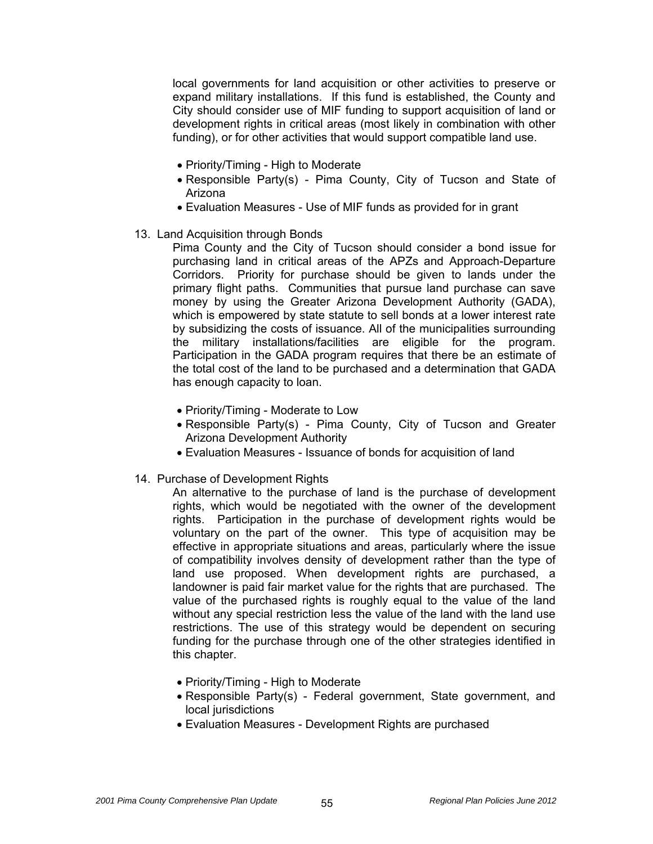local governments for land acquisition or other activities to preserve or expand military installations. If this fund is established, the County and City should consider use of MIF funding to support acquisition of land or development rights in critical areas (most likely in combination with other funding), or for other activities that would support compatible land use.

- Priority/Timing High to Moderate
- Responsible Party(s) Pima County, City of Tucson and State of Arizona
- Evaluation Measures Use of MIF funds as provided for in grant
- 13. Land Acquisition through Bonds

Pima County and the City of Tucson should consider a bond issue for purchasing land in critical areas of the APZs and Approach-Departure Corridors. Priority for purchase should be given to lands under the primary flight paths. Communities that pursue land purchase can save money by using the Greater Arizona Development Authority (GADA), which is empowered by state statute to sell bonds at a lower interest rate by subsidizing the costs of issuance. All of the municipalities surrounding the military installations/facilities are eligible for the program. Participation in the GADA program requires that there be an estimate of the total cost of the land to be purchased and a determination that GADA has enough capacity to loan.

- Priority/Timing Moderate to Low
- Responsible Party(s) Pima County, City of Tucson and Greater Arizona Development Authority
- Evaluation Measures Issuance of bonds for acquisition of land
- 14. Purchase of Development Rights

An alternative to the purchase of land is the purchase of development rights, which would be negotiated with the owner of the development rights. Participation in the purchase of development rights would be voluntary on the part of the owner. This type of acquisition may be effective in appropriate situations and areas, particularly where the issue of compatibility involves density of development rather than the type of land use proposed. When development rights are purchased, a landowner is paid fair market value for the rights that are purchased. The value of the purchased rights is roughly equal to the value of the land without any special restriction less the value of the land with the land use restrictions. The use of this strategy would be dependent on securing funding for the purchase through one of the other strategies identified in this chapter.

- Priority/Timing High to Moderate
- Responsible Party(s) Federal government, State government, and local jurisdictions
- Evaluation Measures Development Rights are purchased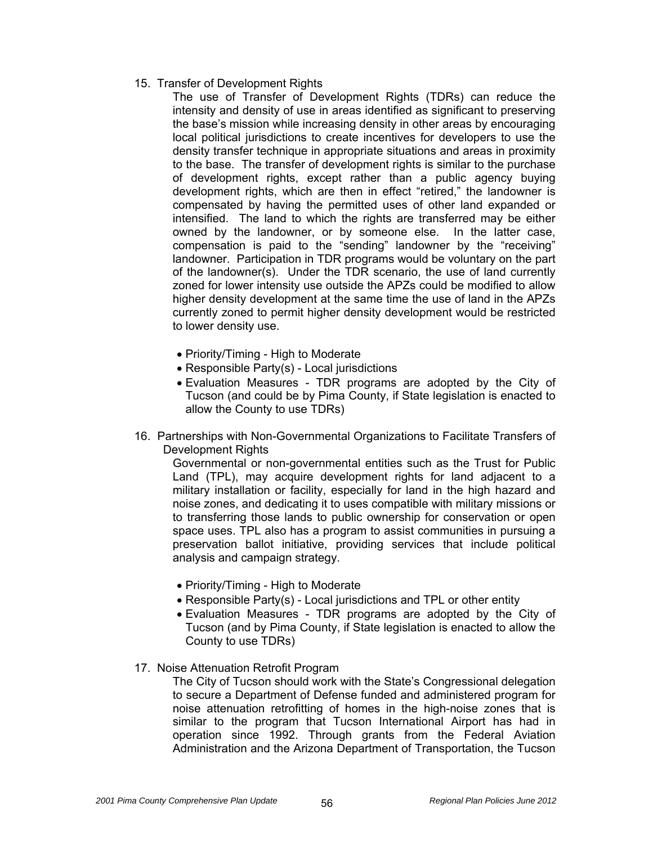15. Transfer of Development Rights

The use of Transfer of Development Rights (TDRs) can reduce the intensity and density of use in areas identified as significant to preserving the base's mission while increasing density in other areas by encouraging local political jurisdictions to create incentives for developers to use the density transfer technique in appropriate situations and areas in proximity to the base. The transfer of development rights is similar to the purchase of development rights, except rather than a public agency buying development rights, which are then in effect "retired," the landowner is compensated by having the permitted uses of other land expanded or intensified. The land to which the rights are transferred may be either owned by the landowner, or by someone else. In the latter case, compensation is paid to the "sending" landowner by the "receiving" landowner. Participation in TDR programs would be voluntary on the part of the landowner(s). Under the TDR scenario, the use of land currently zoned for lower intensity use outside the APZs could be modified to allow higher density development at the same time the use of land in the APZs currently zoned to permit higher density development would be restricted to lower density use.

- Priority/Timing High to Moderate
- Responsible Party(s) Local jurisdictions
- Evaluation Measures TDR programs are adopted by the City of Tucson (and could be by Pima County, if State legislation is enacted to allow the County to use TDRs)
- 16. Partnerships with Non-Governmental Organizations to Facilitate Transfers of Development Rights

Governmental or non-governmental entities such as the Trust for Public Land (TPL), may acquire development rights for land adjacent to a military installation or facility, especially for land in the high hazard and noise zones, and dedicating it to uses compatible with military missions or to transferring those lands to public ownership for conservation or open space uses. TPL also has a program to assist communities in pursuing a preservation ballot initiative, providing services that include political analysis and campaign strategy.

- Priority/Timing High to Moderate
- Responsible Party(s) Local jurisdictions and TPL or other entity
- Evaluation Measures TDR programs are adopted by the City of Tucson (and by Pima County, if State legislation is enacted to allow the County to use TDRs)
- 17. Noise Attenuation Retrofit Program

The City of Tucson should work with the State's Congressional delegation to secure a Department of Defense funded and administered program for noise attenuation retrofitting of homes in the high-noise zones that is similar to the program that Tucson International Airport has had in operation since 1992. Through grants from the Federal Aviation Administration and the Arizona Department of Transportation, the Tucson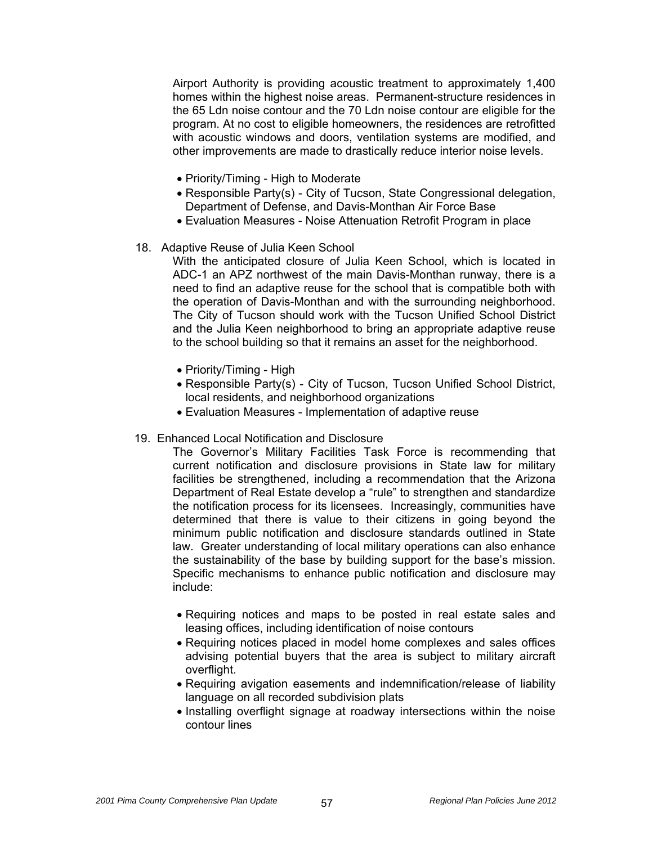Airport Authority is providing acoustic treatment to approximately 1,400 homes within the highest noise areas. Permanent-structure residences in the 65 Ldn noise contour and the 70 Ldn noise contour are eligible for the program. At no cost to eligible homeowners, the residences are retrofitted with acoustic windows and doors, ventilation systems are modified, and other improvements are made to drastically reduce interior noise levels.

- Priority/Timing High to Moderate
- Responsible Party(s) City of Tucson, State Congressional delegation, Department of Defense, and Davis-Monthan Air Force Base
- Evaluation Measures Noise Attenuation Retrofit Program in place
- 18. Adaptive Reuse of Julia Keen School

With the anticipated closure of Julia Keen School, which is located in ADC-1 an APZ northwest of the main Davis-Monthan runway, there is a need to find an adaptive reuse for the school that is compatible both with the operation of Davis-Monthan and with the surrounding neighborhood. The City of Tucson should work with the Tucson Unified School District and the Julia Keen neighborhood to bring an appropriate adaptive reuse to the school building so that it remains an asset for the neighborhood.

- Priority/Timing High
- Responsible Party(s) City of Tucson, Tucson Unified School District, local residents, and neighborhood organizations
- Evaluation Measures Implementation of adaptive reuse
- 19. Enhanced Local Notification and Disclosure

The Governor's Military Facilities Task Force is recommending that current notification and disclosure provisions in State law for military facilities be strengthened, including a recommendation that the Arizona Department of Real Estate develop a "rule" to strengthen and standardize the notification process for its licensees. Increasingly, communities have determined that there is value to their citizens in going beyond the minimum public notification and disclosure standards outlined in State law. Greater understanding of local military operations can also enhance the sustainability of the base by building support for the base's mission. Specific mechanisms to enhance public notification and disclosure may include:

- Requiring notices and maps to be posted in real estate sales and leasing offices, including identification of noise contours
- Requiring notices placed in model home complexes and sales offices advising potential buyers that the area is subject to military aircraft overflight.
- Requiring avigation easements and indemnification/release of liability language on all recorded subdivision plats
- Installing overflight signage at roadway intersections within the noise contour lines